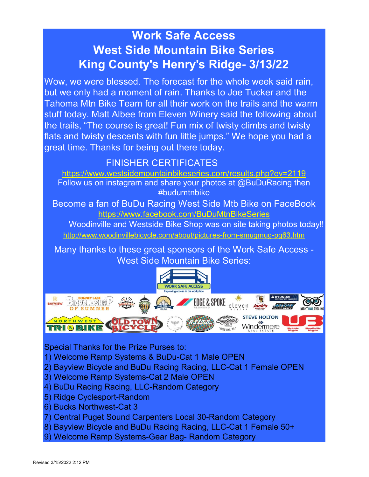# Work Safe Access West Side Mountain Bike Series King County's Henry's Ridge- 3/13/22

Wow, we were blessed. The forecast for the whole week said rain, but we only had a moment of rain. Thanks to Joe Tucker and the Tahoma Mtn Bike Team for all their work on the trails and the warm stuff today. Matt Albee from Eleven Winery said the following about the trails, "The course is great! Fun mix of twisty climbs and twisty flats and twisty descents with fun little jumps." We hope you had a great time. Thanks for being out there today.

# FINISHER CERTIFICATES

https://www.westsidemountainbikeseries.com/results.php?ev=2119 Follow us on instagram and share your photos at @BuDuRacing then #budumtnbike

Become a fan of BuDu Racing West Side Mtb Bike on FaceBook https://www.facebook.com/BuDuMtnBikeSeries

http://www.woodinvillebicycle.com/about/pictures-from-smugmug-pg63.htm Woodinville and Westside Bike Shop was on site taking photos today!!

Many thanks to these great sponsors of the Work Safe Access - West Side Mountain Bike Series:



Special Thanks for the Prize Purses to:

- 1) Welcome Ramp Systems & BuDu-Cat 1 Male OPEN
- 2) Bayview Bicycle and BuDu Racing Racing, LLC-Cat 1 Female OPEN
- 3) Welcome Ramp Systems-Cat 2 Male OPEN
- 4) BuDu Racing Racing, LLC-Random Category
- 5) Ridge Cyclesport-Random
- 6) Bucks Northwest-Cat 3
- 7) Central Puget Sound Carpenters Local 30-Random Category
- 8) Bayview Bicycle and BuDu Racing Racing, LLC-Cat 1 Female 50+
- 9) Welcome Ramp Systems-Gear Bag- Random Category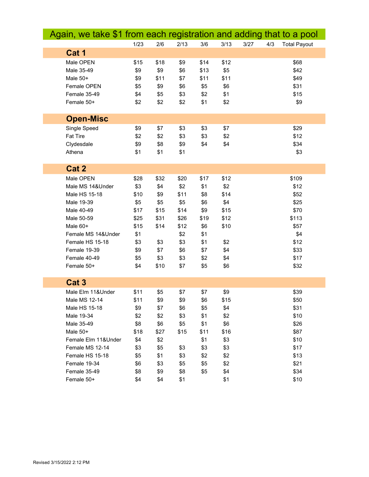| Again, we take \$1 from each registration and adding that to a pool |      |      |      |      |      |      |     |                     |
|---------------------------------------------------------------------|------|------|------|------|------|------|-----|---------------------|
|                                                                     | 1/23 | 2/6  | 2/13 | 3/6  | 3/13 | 3/27 | 4/3 | <b>Total Payout</b> |
| Cat 1                                                               |      |      |      |      |      |      |     |                     |
| Male OPEN                                                           | \$15 | \$18 | \$9  | \$14 | \$12 |      |     | \$68                |
| Male 35-49                                                          | \$9  | \$9  | \$6  | \$13 | \$5  |      |     | \$42                |
| Male 50+                                                            | \$9  | \$11 | \$7  | \$11 | \$11 |      |     | \$49                |
| Female OPEN                                                         | \$5  | \$9  | \$6  | \$5  | \$6  |      |     | \$31                |
| Female 35-49                                                        | \$4  | \$5  | \$3  | \$2  | \$1  |      |     | \$15                |
| Female 50+                                                          | \$2  | \$2  | \$2  | \$1  | \$2  |      |     | \$9                 |
|                                                                     |      |      |      |      |      |      |     |                     |
| <b>Open-Misc</b>                                                    |      |      |      |      |      |      |     |                     |
| Single Speed                                                        | \$9  | \$7  | \$3  | \$3  | \$7  |      |     | \$29                |
| <b>Fat Tire</b>                                                     | \$2  | \$2  | \$3  | \$3  | \$2  |      |     | \$12                |
| Clydesdale                                                          | \$9  | \$8  | \$9  | \$4  | \$4  |      |     | \$34                |
| Athena                                                              | \$1  | \$1  | \$1  |      |      |      |     | \$3                 |
|                                                                     |      |      |      |      |      |      |     |                     |
| Cat 2                                                               |      |      |      |      |      |      |     |                     |
| Male OPEN                                                           | \$28 | \$32 | \$20 | \$17 | \$12 |      |     | \$109               |
| Male MS 14&Under                                                    | \$3  | \$4  | \$2  | \$1  | \$2  |      |     | \$12                |
| Male HS 15-18                                                       | \$10 | \$9  | \$11 | \$8  | \$14 |      |     | \$52                |
| Male 19-39                                                          | \$5  | \$5  | \$5  | \$6  | \$4  |      |     | \$25                |
| Male 40-49                                                          | \$17 | \$15 | \$14 | \$9  | \$15 |      |     | \$70                |
| Male 50-59                                                          | \$25 | \$31 | \$26 | \$19 | \$12 |      |     | \$113               |
| Male 60+                                                            | \$15 | \$14 | \$12 | \$6  | \$10 |      |     | \$57                |
| Female MS 14&Under                                                  | \$1  |      | \$2  | \$1  |      |      |     | \$4                 |
| Female HS 15-18                                                     | \$3  | \$3  | \$3  | \$1  | \$2  |      |     | \$12                |
| Female 19-39                                                        | \$9  | \$7  | \$6  | \$7  | \$4  |      |     | \$33                |
| Female 40-49                                                        | \$5  | \$3  | \$3  | \$2  | \$4  |      |     | \$17                |
| Female 50+                                                          | \$4  | \$10 | \$7  | \$5  | \$6  |      |     | \$32                |
|                                                                     |      |      |      |      |      |      |     |                     |
| Cat <sub>3</sub>                                                    |      |      |      |      |      |      |     |                     |
| Male Elm 11&Under                                                   | \$11 | \$5  | \$7  | \$7  | \$9  |      |     | \$39                |
| Male MS 12-14                                                       | \$11 | \$9  | \$9  | \$6  | \$15 |      |     | \$50                |
| Male HS 15-18                                                       | \$9  | \$7  | \$6  | \$5  | \$4  |      |     | \$31                |
| Male 19-34                                                          | \$2  | \$2  | \$3  | \$1  | \$2  |      |     | \$10                |
| Male 35-49                                                          | \$8  | \$6  | \$5  | \$1  | \$6  |      |     | \$26                |
| Male 50+                                                            | \$18 | \$27 | \$15 | \$11 | \$16 |      |     | \$87                |
| Female Elm 11&Under                                                 | \$4  | \$2  |      | \$1  | \$3  |      |     | \$10                |
| Female MS 12-14                                                     | \$3  | \$5  | \$3  | \$3  | \$3  |      |     | \$17                |
| Female HS 15-18                                                     | \$5  | \$1  | \$3  | \$2  | \$2  |      |     | \$13                |
| Female 19-34                                                        | \$6  | \$3  | \$5  | \$5  | \$2  |      |     | \$21                |
| Female 35-49                                                        | \$8  | \$9  | \$8  | \$5  | \$4  |      |     | \$34                |
| Female 50+                                                          | \$4  | \$4  | \$1  |      | \$1  |      |     | \$10                |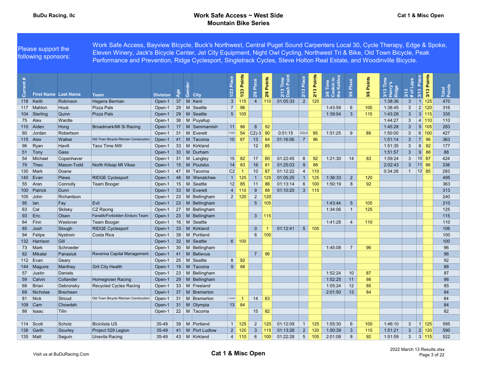Please support the following sponsors: Work Safe Access, Bayview BIcycle, Buck's Northwest, Central Puget Sound Carpenters Local 30, Cycle Therapy, Edge & Spoke, Eleven Winery, Jack's Bicycle Center, Jet City Equipment, Night Owl Cycling, Northwest Tri & Bike, Old Town Bicycle, Peak Performance and Prevention, Ridge Cyclesport, Singletrack Cycles, Steve Holton Real Estate, and Woodinville Bicycle.

| ent<br>$\overline{5}$ | <b>First Name Last Name</b> |                   |                                       |                           | Age | 겯<br>ෂී                            | Place<br>1/23                  | 1/23 Points | Place<br>2/6    | Points<br>2/6 | Time<br><u>I</u> Point<br>$\equiv$<br>$2/13$<br>Dash<br>$\overline{v}$ | Place<br>2/13   | 2/13 Points | the Kettles<br>Time<br>န္က ၀ိ | Place<br>3/6   | Points<br>3/6 | Ě<br>3/13 Tii<br>Henry's<br>Ridge | Laps<br>$3/13$<br># of $ $ | 3/13 Place    | Points<br>3/13 | Total<br>Points |  |
|-----------------------|-----------------------------|-------------------|---------------------------------------|---------------------------|-----|------------------------------------|--------------------------------|-------------|-----------------|---------------|------------------------------------------------------------------------|-----------------|-------------|-------------------------------|----------------|---------------|-----------------------------------|----------------------------|---------------|----------------|-----------------|--|
|                       | 118 Keith                   | Robinson          | <b>Team</b><br>Hagens Berman          | <b>Division</b><br>Open-1 |     | <b>City</b><br>37 M Kent           | $\mathbf{3}$                   | 115         | $\overline{4}$  | 110           | 01:05:33                                                               | $2^{\circ}$     | 120         |                               |                |               | 1:38:36                           | $\mathbf{3}$               | 1 125         |                | 470             |  |
|                       | 117 Mahlon                  | Houk              | Pizza Pals                            | Open-1                    |     | 29 M Seattle                       | $\overline{7}$                 | 96          |                 |               |                                                                        |                 |             | 1:43:59                       | 6              | 100           | 1:38:45                           | 3 <sup>1</sup>             | $2 \mid 120$  |                | 316             |  |
|                       | 104 Sterling                | Quinn             | <b>Pizza Pals</b>                     | Open-1                    |     | 29   M Seattle                     | 5 <sup>1</sup>                 | 105         |                 |               |                                                                        |                 |             | 1:39:54                       | $\mathbf{3}$   | 115           | 1:43:28                           | 3 <sup>2</sup>             | 3 115         |                | 335             |  |
|                       |                             | Wardle            |                                       | Open-1                    |     | 38 M Puyallup                      |                                |             |                 |               |                                                                        |                 |             |                               |                |               | 1:44:27                           | 3                          | 4 110         |                | 110             |  |
| 75                    | Alex                        |                   | Broadmark/Mt Si Racing                |                           |     |                                    |                                |             | 8               | 92            |                                                                        |                 |             |                               |                |               |                                   | 3 <sup>2</sup>             | 5 105         |                |                 |  |
|                       | 110 Aiden<br>Jordan         | Hong<br>Robertson |                                       | Open-1<br>Open-1          |     | 17   M   Sammamish<br>31 M Everett | 11<br>C18O-                    | 86<br>54    | $C2$ )-3 90     |               | 0:51:15                                                                | $C2$ )-2        | 95          | 1:51:25                       | 9              | 88            | 1:45:28<br>1:50:00                | $\mathbf{3}$               | $6 \mid$      | 100            | 283<br>427      |  |
| 60                    | 115 Alex                    | Walker            | Old Town Bicycle Ritzman Construction |                           |     | 41   M   Tacoma                    |                                | 87          | 13              |               | 01:16:06                                                               | $\overline{7}$  | 96          |                               |                |               | 1:51:14                           | $\mathbf{3}$               | 7 96          |                | 363             |  |
|                       |                             | Havill            | <b>Taco Time NW</b>                   | Open-1                    |     | 33 M Kirkland                      | 10 <sup>1</sup>                |             |                 | 84<br>85      |                                                                        |                 |             |                               |                |               | 1:51:35                           | 3                          | $8 \mid 92$   |                | 177             |  |
| 96                    | Ryan                        |                   |                                       | Open-1                    |     | 33 M Durham                        |                                |             | 12              |               |                                                                        |                 |             |                               |                |               |                                   | 3 <sup>2</sup>             | $9$ 88        |                | 88              |  |
|                       | 51   Tony                   | Gass              |                                       | Open-1                    |     |                                    |                                |             |                 |               | 01:22:45                                                               |                 |             |                               |                |               | 1:51:57                           | $\mathbf{3}$               |               |                |                 |  |
| 54                    | Michael                     | Copenhaver        |                                       | Open-1                    |     | 31 M Langley<br>15 M Poulsbo       | 15                             | 82          | 17              | 80            | 01:25:03                                                               | 8               | 92          | 1:21:30                       | 14             | 83            | 1:59:24                           |                            | $10$ 87       |                | 424             |  |
| 79                    | $ $ Theo                    | Mason-Todd        | North Kitsap Mt Vikes                 | Open-1                    |     |                                    | 14                             | 83          | 16              | 81            |                                                                        | 9               | 88          |                               |                |               | 2:02:43                           | 3 <sup>1</sup>             | 11 86         |                | 338             |  |
|                       | 130 Mark                    | Doane             |                                       | Open-1                    |     | 47   M Tacoma                      | C <sub>2</sub><br>$\mathbf{1}$ |             | 10 <sup>°</sup> | 87            | 01:12:22                                                               | $\overline{4}$  | 110         |                               |                |               | 0:34:26                           | $\mathbf{1}$               | $ 12 $ 85     |                | 283             |  |
|                       | $140$ Evan                  | Plews             | <b>RIDGE Cyclesport</b>               | Open-1                    |     | 46   M   Wenatchee                 |                                | 125         |                 | 125           | 01:05:25                                                               | $\mathbf{1}$    | 125         | 1:36:33                       | $\overline{2}$ | 120           |                                   |                            |               |                | 495             |  |
| 55                    | <b>Aran</b>                 | Connolly          | <b>Team Booger</b>                    | Open-1                    |     | $15$ M<br>Seattle                  | 12                             | 85          | 11<br>9         | 86            | 01:13:14<br>01:10:20                                                   | 6               | 100         | 1:50:19                       | 8              | 92            |                                   |                            |               |                | 363             |  |
| 100 <sub>1</sub>      | Patrick                     | Dunn              |                                       | Open-1                    |     | 33 M Everett                       | $\overline{4}$                 | 110         |                 | 88            |                                                                        | $\mathbf{3}$    | 115         |                               |                |               |                                   |                            |               |                | 313             |  |
| 105                   | John                        | Richardson        |                                       | Open-1                    |     | 23   M Bellingham                  | $\overline{2}$                 | 120         | $\overline{2}$  | 120           |                                                                        |                 |             |                               |                |               |                                   |                            |               |                | 240             |  |
| 95                    | lan                         | Fay               | Evil                                  | Open-1                    |     | 23 M Bellingham                    |                                |             | $5\phantom{.0}$ | 105           |                                                                        |                 |             | 1:43:44                       | 5              | 105           |                                   |                            |               |                | 210             |  |
| 63                    | Cal                         | Skilsky           | CZ Racing                             | Open-1                    |     | 27   M   Bellingham                |                                |             |                 |               |                                                                        |                 |             | 1:34:06                       | -1             | 125           |                                   |                            |               |                | 125             |  |
| 93                    | Eric                        | Olsen             | Fanatik/Forbidden Enduro Team         | Open-1                    |     | 23 M Bellingham                    |                                |             | $\mathbf{3}$    | 115           |                                                                        |                 |             |                               |                |               |                                   |                            |               |                | 115             |  |
| 64                    | Finn                        | Westover          | <b>Team Booger</b>                    | Open-1                    |     | 16 M Seattle                       |                                |             |                 |               |                                                                        |                 |             | 1:41:28                       | $\overline{4}$ | 110           |                                   |                            |               |                | 110             |  |
| 85                    | $\big $ Josh                | Stough            | <b>RIDGE Cyclesport</b>               | Open-1                    |     | 33 M Kirkland                      |                                |             | $\Omega$        |               | 01:12:41                                                               | 5 <sup>1</sup>  | 105         |                               |                |               |                                   |                            |               |                | 106             |  |
| 94                    | Felipe                      | Nystrom           | Costa Rica                            | Open-1                    |     | 39 M Portland                      |                                |             | 6               | 100           |                                                                        |                 |             |                               |                |               |                                   |                            |               |                | 100             |  |
|                       | 132 Harrison                | Gill              |                                       | Open-1                    |     | 32 M Seattle                       |                                | 6   100     |                 |               |                                                                        |                 |             |                               |                |               |                                   |                            |               |                | 100             |  |
| 73                    | Mark                        | Schroeder         |                                       | Open-1                    |     | 30 M Bellingham                    |                                |             |                 |               |                                                                        |                 |             | 1:45:08                       | $\overline{7}$ | 96            |                                   |                            |               |                | 96              |  |
| 82                    | Mikalai                     | Panasiuk          | Ravenna Capital Management            | Open-1                    |     | 41   M   Bellevue                  |                                |             | $\overline{7}$  | 96            |                                                                        |                 |             |                               |                |               |                                   |                            |               |                | 96              |  |
|                       | 112 Evan                    | Geary             |                                       | Open-1                    |     | 25   M Seattle                     | 8                              | 92          |                 |               |                                                                        |                 |             |                               |                |               |                                   |                            |               |                | 92              |  |
|                       | 144 Maguire                 | Manthey           | <b>Grit City Health</b>               | Open-1                    |     | 19   M   Tacoma                    | $9^{\circ}$                    | 88          |                 |               |                                                                        |                 |             |                               |                |               |                                   |                            |               |                | 88              |  |
| 57                    | Justin                      | Daniels           |                                       | Open-1                    |     | 23 M Bellingham                    |                                |             |                 |               |                                                                        |                 |             | 1:52:24                       | 10             | 87            |                                   |                            |               |                | 87              |  |
| 59                    | Calvin                      | Collander         | <b>Homegrown Racing</b>               | Open-1                    |     | 29 M Bellingham                    |                                |             |                 |               |                                                                        |                 |             | 1:52:25                       | 11             | 86            |                                   |                            |               |                | 86              |  |
| 68                    | Brian                       | Debronsky         | <b>Recycled Cycles Racing</b>         | Open-1                    |     | 33 M Freeland                      |                                |             |                 |               |                                                                        |                 |             | 1:55:24                       | 12             | 85            |                                   |                            |               |                | 85              |  |
| 69                    | Nicholas                    | Brecheen          |                                       | Open-1                    |     | 37   M   Bremerton                 |                                |             |                 |               |                                                                        |                 |             | 2:01:50                       | 13             | 84            |                                   |                            |               |                | 84              |  |
| 81                    | <b>Nick</b>                 | Stroud            | Old Town Bicycle Ritzman Construction | Open-1                    |     | 31   M   Bremerton                 | $O-SS-6$                       | -1          | 14              | 83            |                                                                        |                 |             |                               |                |               |                                   |                            |               |                | 84              |  |
| 109                   | Cam                         | Chowdah           |                                       | Open-1                    |     | 31 M Olympia                       | 13                             | 84          |                 |               |                                                                        |                 |             |                               |                |               |                                   |                            |               |                | 84              |  |
| 88                    | ∣lsaac                      | <b>Tilin</b>      |                                       | Open-1                    |     | 22   M   Tacoma                    |                                |             | 15              | 82            |                                                                        |                 |             |                               |                |               |                                   |                            |               |                | 82              |  |
|                       |                             |                   |                                       |                           |     |                                    |                                |             |                 |               |                                                                        |                 |             |                               |                |               |                                   |                            |               |                |                 |  |
|                       | 114 Scott                   | Scholz            | <b>Biciclista US</b>                  | 35-49                     |     | 39 M Portland                      | 1 <sup>1</sup>                 | 125         | $\overline{2}$  | 120           | 01:12:09                                                               | 1 <sup>1</sup>  | 125         | 1:55:30                       | 6              | 100           | 1:46:10                           | $\mathbf{3}$               | $\vert$ 1 125 |                | 595             |  |
| 138                   | Garth                       | Gourley           | Project 529 Legion                    | 35-49                     |     | 41   M   Port Ludlow               | $\overline{2}$                 | 120         | $\mathbf{3}$    | 115           | 01:13:28                                                               | $\overline{2}$  | 120         | 1:50:39                       | $\mathbf{3}$   | 115           | 1:51:21                           | 3 <sup>5</sup>             | 2             | 120            | 590             |  |
|                       | 135 Matt                    | Seguin            | <b>Unavita Racing</b>                 | 35-49                     |     | 43 M Kirkland                      | 4                              | 110         | 6               | 100           | 01:22:28                                                               | $5\phantom{.0}$ | 105         | 2:01:08                       | 8              | 92            | 1:51:59                           | 3                          | 3 115         |                | 522             |  |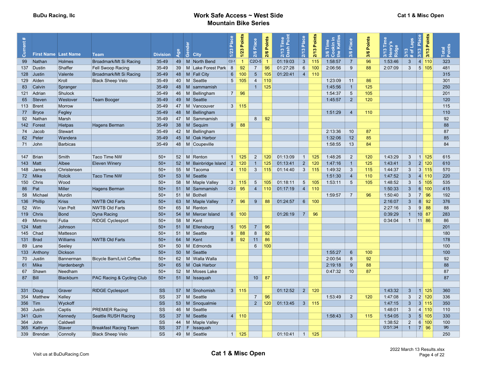|                            |                                       |                   |                                                |                          |          |                                   | Place           | Points       | Place           | Points | Time<br>Poir                 | Place           | Points       | Kettles<br>Time | Place                 | Points    | Ē                               | Laps                                 | Points<br>3/13 Place  |                 |  |
|----------------------------|---------------------------------------|-------------------|------------------------------------------------|--------------------------|----------|-----------------------------------|-----------------|--------------|-----------------|--------|------------------------------|-----------------|--------------|-----------------|-----------------------|-----------|---------------------------------|--------------------------------------|-----------------------|-----------------|--|
|                            |                                       |                   |                                                |                          | Age      | මී                                | 1/23            | $1/23$       | 2/6             |        | $=$<br>$\boldsymbol{\omega}$ | 2/13            | 2/13         | Le              | $\boldsymbol{\omega}$ |           | nry's<br>Henry<br>Ridge<br>3/13 | 3/13<br>$\overleftarrow{\mathrm{o}}$ | 3/13                  | Total<br>Points |  |
| $\bar{\bar{\sigma}}$<br>99 | <b>First Name Last Name</b><br>Nathan | Holmes            | Team<br>Broadmark/Mt Si Racing                 | <b>Division</b><br>35-49 |          | City<br>49   M   North Bend       | $C2-1$          | -1           | $C2O-5$         | 2/6    | ្ត ក្ន<br>01:19:03           | $\mathbf{3}$    | 115          | 1:58:57         | ಸ<br>$\overline{7}$   | 3/6<br>96 | 1:53:46                         | $\ast$<br>$\mathbf{3}$               | 4 110                 | 323             |  |
|                            | 137 Dustin                            | Shaffer           | Fell Swoop Racing                              | 35-49                    | 39       | M Lake Forest Park                | 8               | 92           | $\overline{7}$  | 96     | 01:27:28                     | $6\overline{6}$ | 100          | 2:06:56         | 9                     | 88        | 2:07:09                         | $\mathbf{3}$                         | 5 <sup>1</sup><br>105 | 481             |  |
|                            | 128 Justin                            | Valente           | Broadmark/Mt Si Racing                         | 35-49                    |          | 48   M   Fall City                | $6\overline{6}$ | 100          | 5               | 105    | 01:20:41                     | $\overline{4}$  | 110          |                 |                       |           |                                 |                                      |                       | 315             |  |
|                            | 129 Alden                             | Kroll             | <b>Black Sheep Velo</b>                        | 35-49                    |          | 40   M   Seattle                  | $5\overline{)}$ | 105          | $\overline{4}$  | 110    |                              |                 |              | 1:23:09         | 11                    | 86        |                                 |                                      |                       | 301             |  |
| 83                         | Calvin                                | Spranger          |                                                | 35-49                    |          | 48   M   sammamish                |                 |              | $\mathbf{1}$    | 125    |                              |                 |              | 1:45:56         | $\mathbf{1}$          | 125       |                                 |                                      |                       | 250             |  |
| 121                        | Adrian                                | Shulock           |                                                | 35-49                    | 46       | $\lfloor M \rfloor$<br>Bellingham |                 | $7 \mid 96$  |                 |        |                              |                 |              | 1:54:37         | $5\phantom{.0}$       | 105       |                                 |                                      |                       | 201             |  |
| 65                         | Steven                                | Westover          | <b>Team Booger</b>                             | 35-49                    |          | 49 M Seattle                      |                 |              |                 |        |                              |                 |              | 1:45:57         | $\overline{2}$        | 120       |                                 |                                      |                       | 120             |  |
| 113                        | Brent                                 | Morrow            |                                                | 35-49                    | 47       | M Vancouver                       |                 | $3 \mid 115$ |                 |        |                              |                 |              |                 |                       |           |                                 |                                      |                       | 115             |  |
| 77                         | Bryce                                 | Fegley            |                                                | 35-49                    |          | 48   M Bellingham                 |                 |              |                 |        |                              |                 |              | 1:51:29         | 4                     | 110       |                                 |                                      |                       | 110             |  |
| 92                         | <b>Nathan</b>                         | Marsh             |                                                | 35-49                    |          | 47   M   Sammamish                |                 |              | 8               | 92     |                              |                 |              |                 |                       |           |                                 |                                      |                       | 92              |  |
|                            | 142   Forest                          | Hietpas           | Hagens Berman                                  | 35-49                    |          | 38 M Sequim                       | 9               | 88           |                 |        |                              |                 |              |                 |                       |           |                                 |                                      |                       | 88              |  |
|                            | 74 Jacob                              | Stewart           |                                                | 35-49                    |          | 42   M   Bellingham               |                 |              |                 |        |                              |                 |              | 2:13:36         | 10 <sup>°</sup>       | 87        |                                 |                                      |                       | 87              |  |
|                            | 62 Peter                              | Wandera           |                                                | 35-49                    |          | 45   M   Oak Harbor               |                 |              |                 |        |                              |                 |              | 1:32:06         | 12                    | 85        |                                 |                                      |                       | 85              |  |
|                            | 71 John                               | Barbicas          |                                                | 35-49                    |          | 48   M   Coupeville               |                 |              |                 |        |                              |                 |              | 1:58:55         | 13                    | 84        |                                 |                                      |                       | 84              |  |
|                            |                                       |                   |                                                |                          |          |                                   |                 |              |                 |        |                              |                 |              |                 |                       |           |                                 |                                      |                       |                 |  |
|                            | 147 Brian                             | Smith             | Taco Time NW                                   | $50+$                    | 52       | M Renton                          | 1 <sup>1</sup>  | 125          | $\overline{2}$  | 120    | 01:13:09                     | $\overline{1}$  | 125          | 1:48:26         | $\overline{2}$        | 120       | 1:43:29                         | 3 <sup>5</sup>                       | 11125                 | 615             |  |
| 143                        | Matt                                  | Albee             | <b>Eleven Winery</b>                           | $50+$                    | 52       | M Bainbridge Island               | $\overline{2}$  | 120          | $\mathbf{1}$    | 125    | 01:13:41                     | $2^{\circ}$     | 120          | 1:47:16         | $\overline{1}$        | 125       | 1:43:41                         | $\mathbf{3}$                         | 2 <br>120             | 610             |  |
| 148                        | James                                 | Christensen       |                                                | $50+$                    | 55       | M Tacoma                          | $\overline{4}$  | 110          | $\mathbf{3}$    | 115    | 01:14:40                     | 3               | 115          | 1:49:32         | $\mathbf{3}$          | 115       | 1:44:37                         | 3                                    | 3 115                 | 570             |  |
|                            | 72 Mike                               | Rolcik            | <b>Taco Time NW</b>                            | $50+$                    |          | 53 M Seattle                      |                 |              |                 |        |                              |                 |              | 1:51:30         | $\overline{4}$        | 110       | 1:47:52                         | $\mathbf{3}$                         | 4 110                 | 220             |  |
|                            | 150 Chris                             | Wood              |                                                | $50+$                    |          | 58   M   Maple Valley             | $\mathbf{3}$    | 115          | 5               | 105    | 01:18:11                     | $5\overline{)}$ | 105          | 1:53:11         | 5                     | 105       | 1:48:52                         | $\mathbf{3}$                         | 5 105                 | 535             |  |
| 86                         | Pat                                   | Miller            | Hagens Berman                                  | $50+$                    |          | 51   M   Sammamish                | $C2-2$          | - 95         | $\overline{4}$  | 110    | 01:17:19                     |                 | 4   110      |                 |                       |           | 1:50:33                         | 3 <sup>2</sup>                       | 6 100                 | 415             |  |
| 58                         | Michael                               | Murdin            |                                                | $50+$                    | 51       | M Bothell                         |                 |              |                 |        | 01:24:57                     |                 |              | 1:59:57         | $\overline{7}$        | 96        | 1:50:40                         | 3                                    | 7 96                  | 192             |  |
| 136                        | Phillip                               | Kriss<br>Van Pelt | <b>NWTB Old Farts</b><br><b>NWTB Old Farts</b> | $50+$<br>$50+$           | 63       | M Maple Valley<br>M Renton        |                 | 7 96         | 9               | 88     |                              |                 | 6   100      |                 |                       |           | 2:16:07<br>2:27:16              | $\mathbf{3}$<br>$\mathbf{3}$         | $8 \mid 92$<br>$9$ 88 | 376<br>88       |  |
| 52                         | <b>Win</b><br>119 Chris               | Bond              | Dyna Racing                                    | $50+$                    | 65<br>54 | M Mercer Island                   |                 | 6   100      |                 |        | 01:26:19                     | $\overline{7}$  | 96           |                 |                       |           | 0:39:29                         | 1                                    | 10 87                 | 283             |  |
| 49                         | Mimmo                                 | Futia             | <b>RIDGE Cyclesport</b>                        | $50+$                    | 58       | M Kent                            |                 |              |                 |        |                              |                 |              |                 |                       |           | 0:34:04                         |                                      | $1 \t   11 \t 86$     | 86              |  |
|                            | 124 Matt                              | Johnson           |                                                | $50+$                    |          | 51 M Ellensburg                   | 5 <sup>1</sup>  | 105          | $\overline{7}$  | 96     |                              |                 |              |                 |                       |           |                                 |                                      |                       | 201             |  |
|                            | 145 Chad                              | Matteson          |                                                | $50+$                    |          | 51   M Seattle                    | 9               | 88           | 8               | 92     |                              |                 |              |                 |                       |           |                                 |                                      |                       | 180             |  |
|                            | $131$ Brad                            | Williams          | <b>NWTB Old Farts</b>                          | $50+$                    | 64       | M Kent                            | 8 <sup>°</sup>  | 92           | 11              | 86     |                              |                 |              |                 |                       |           |                                 |                                      |                       | 178             |  |
| 89                         | Lane                                  | Seeley            |                                                | $50+$                    | 50       | M Edmonds                         |                 |              | 6               | 100    |                              |                 |              |                 |                       |           |                                 |                                      |                       | 100             |  |
|                            | 133 Anthony                           | Dickson           |                                                | $50+$                    | 50       | M Seattle                         |                 |              |                 |        |                              |                 |              | 1:55:27         | 6                     | 100       |                                 |                                      |                       | 100             |  |
| 70                         | <b>Justin</b>                         | Bannerman         | <b>Bicycle Barn/Livit Coffee</b>               | $50+$                    | 62       | M Walla Walla                     |                 |              |                 |        |                              |                 |              | 2:00:54         | 8                     | 92        |                                 |                                      |                       | 92              |  |
| 61                         | Mike                                  | Hardenbergh       |                                                | $50+$                    | 65       | M Oak Harbor                      |                 |              |                 |        |                              |                 |              | 2:19:18         | $\overline{9}$        | 88        |                                 |                                      |                       | 88              |  |
| 67                         | <b>Shawr</b>                          | Needham           |                                                | $50+$                    | 52       | M Moses Lake                      |                 |              |                 |        |                              |                 |              | 0:47:32         | 10                    | 87        |                                 |                                      |                       | 87              |  |
| 87                         | <b>B</b>                              | <b>Blackburn</b>  | PAC Racing & Cycling Club                      | $50+$                    |          | 51   M   Issaquah                 |                 |              | 10 <sup>°</sup> | 87     |                              |                 |              |                 |                       |           |                                 |                                      |                       | 87              |  |
|                            |                                       |                   |                                                |                          |          |                                   |                 |              |                 |        |                              |                 |              |                 |                       |           |                                 |                                      |                       |                 |  |
|                            | 331 Doug                              | Graver            | <b>RIDGE Cyclesport</b>                        | <b>SS</b>                |          | 57   M   Snohomish                |                 | $3 \mid 115$ |                 |        | 01:12:52                     |                 | $2 \mid 120$ |                 |                       |           | 1:43:32                         | 3 <sup>1</sup>                       | 11125                 | 360             |  |
|                            | 354 Matthew                           | Kelley            |                                                | SS                       | 37       | M Seattle                         |                 |              | $\overline{7}$  | 96     |                              |                 |              | 1:53:49         | $\overline{2}$        | 120       | 1:47:08                         | $\mathbf{3}$                         | 2 120                 | 336             |  |
| 356 Tim                    |                                       | Wyckoff           |                                                | SS                       |          | 53   M Snoqualmie                 |                 |              | 2 <sup>2</sup>  | 120    | 01:13:45                     | $\mathbf{3}$    | $\vert$ 115  |                 |                       |           | 1:47:15                         | 3 <sup>1</sup>                       | $3 \mid 115$          | 350             |  |
| 363                        | Justin                                | Captis            | <b>PREMIER Racing</b>                          | SS                       | 46       | Seattle<br>M                      |                 |              |                 |        |                              |                 |              |                 |                       |           | 1:48:01                         | 3                                    | 4 110                 | 110             |  |
|                            | 341 Quin                              | Kennedy           | Seattle RUSH Racing                            | SS                       | 37       | Seattle<br><b>M</b>               |                 | 4 110        |                 |        |                              |                 |              | 1:58:43         | 3                     | 115       | 1:54:05                         | 3 <sup>5</sup>                       | 5 105                 | 330             |  |
| 364                        | John                                  | Caldwell          |                                                | SS                       | 44       | M Maple Valley                    |                 |              |                 |        |                              |                 |              |                 |                       |           | 1:38:52                         | $\overline{2}$                       | 6 100                 | 100             |  |
| 365                        | Kathryn                               | Staver            | <b>Breakfast Racing Team</b>                   | $\overline{\text{ss}}$   | 37       | Issaquah<br>F.                    |                 |              |                 |        |                              |                 |              |                 |                       |           | 0:51:34                         | 1                                    | 7 96                  | 96              |  |
|                            | 339 Brendan                           | Connolly          | <b>Black Sheep Velo</b>                        | SS                       | 49       | M Seattle                         |                 | $1 \mid 125$ |                 |        | 01:10:41                     | $\mathbf{1}$    | 125          |                 |                       |           |                                 |                                      |                       | 250             |  |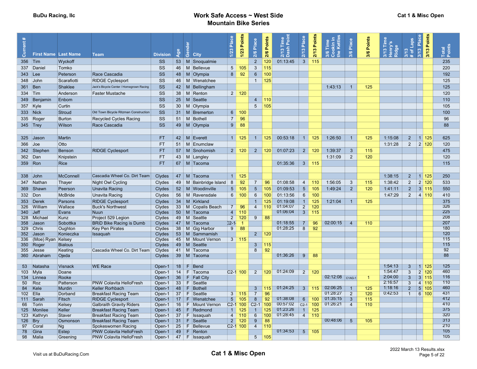|            |                                |                            |                                                                  |                  |          |         |                                      | Place           | Points       |                 |        |                         | Place           | Points |                 |                         |                |                                             |                                  |                               | Points |                 |
|------------|--------------------------------|----------------------------|------------------------------------------------------------------|------------------|----------|---------|--------------------------------------|-----------------|--------------|-----------------|--------|-------------------------|-----------------|--------|-----------------|-------------------------|----------------|---------------------------------------------|----------------------------------|-------------------------------|--------|-----------------|
|            |                                |                            |                                                                  |                  |          |         |                                      |                 |              | Place           | Points | 2/13 Time<br>Dash Point |                 |        | Kettle<br>Time  | Place                   | Points         | 3/13 Time<br><mark>S,</mark> ∕LueH<br>Ridge | Laps                             | 3/13 Place                    |        | Total<br>Points |
| ā          | <b>First Name Last Name</b>    |                            | <b>Team</b>                                                      | <b>Division</b>  | Age      | Gen     | <b>City</b>                          | 1/23            | $1/23$       | 2/6             | 2/6    |                         | 2/13            | 2/13   | Le<br>Ō         | 3/6                     | 3/6            |                                             | $3/13$<br># of                   |                               | 3/13   |                 |
| 356 Tim    |                                | Wyckoff                    |                                                                  | SS               |          |         | 53   M Snoqualmie                    |                 |              | 2 <sup>2</sup>  | 120    | 01:13:45                | $\mathbf{3}$    | 115    |                 |                         |                |                                             |                                  |                               |        | 235             |
|            | 337 Daniel                     | Tomko                      |                                                                  | SS               |          |         | 46   M Bellevue                      | $5\overline{)}$ | 105          | $\mathbf{3}$    | 115    |                         |                 |        |                 |                         |                |                                             |                                  |                               |        | 220             |
| 343 Lee    |                                | Peterson                   | Race Cascadia                                                    | <b>SS</b>        |          |         | 48   M   Olympia                     | 8 <sup>°</sup>  | 92           | $6\phantom{.}6$ | 100    |                         |                 |        |                 |                         |                |                                             |                                  |                               |        | 192             |
|            | 348 John                       | Scarafiotti                | <b>RIDGE Cyclesport</b>                                          | SS               |          |         | 46   M   Wenatchee                   |                 |              | $\mathbf{1}$    | 125    |                         |                 |        |                 |                         |                |                                             |                                  |                               |        | 125             |
| 361 Ben    |                                | Shaklee                    | Jack's Bicycle Center / Homegrown Racing                         | SS               |          |         | $42 \mid M \mid$ Bellingham          |                 |              |                 |        |                         |                 |        | 1:43:13         | $\overline{1}$          | 125            |                                             |                                  |                               |        | 125             |
| 334 Tim    |                                | Anderson                   | <b>Faster Mustache</b>                                           | SS               | 38       |         | M Renton                             |                 | 2   120      |                 |        |                         |                 |        |                 |                         |                |                                             |                                  |                               |        | 120             |
|            | 349 Benjamin                   | Enbom                      |                                                                  | SS               |          |         | 25   M Seattle                       |                 |              | $\overline{4}$  | 110    |                         |                 |        |                 |                         |                |                                             |                                  |                               |        | 110             |
| 357 Kyle   |                                | Curtin                     |                                                                  | SS               | 30       |         | M Olympia                            |                 |              | 5 <sup>5</sup>  | 105    |                         |                 |        |                 |                         |                |                                             |                                  |                               |        | 105             |
| 333 Nick   |                                | <b>Stroud</b>              | Old Town Bicycle Ritzman Construction                            | SS               | 31       |         | M Bremerton                          | $6\phantom{1}$  | 100          |                 |        |                         |                 |        |                 |                         |                |                                             |                                  |                               |        | 100             |
|            | 335 Roger                      | <b>Burton</b>              | <b>Recycled Cycles Racing</b>                                    | SS               |          |         | 51   M   Bothell                     | $\overline{7}$  | 96           |                 |        |                         |                 |        |                 |                         |                |                                             |                                  |                               |        | 96              |
| $345$ Trey |                                | Wilson                     | Race Cascadia                                                    | SS               |          |         | 49   M Olympia                       | 9               | 88           |                 |        |                         |                 |        |                 |                         |                |                                             |                                  |                               |        | 88              |
|            |                                |                            |                                                                  |                  |          |         |                                      |                 |              |                 |        |                         |                 |        |                 |                         |                |                                             |                                  |                               |        |                 |
|            | $325$ Jason                    | Martin                     |                                                                  | <b>FT</b>        |          |         | 42   M Everett                       | 1               | 125          | $\overline{1}$  | 125    | 00:53:18                | $\overline{1}$  | 125    | 1:26:50         | $\overline{1}$          | 125            | 1:15:08                                     | $\overline{2}$                   | $\vert$ 1 125                 |        | 625             |
| 366 Joe    |                                | Otto                       |                                                                  | <b>FT</b>        |          |         | 51   M Enumclaw                      |                 |              |                 |        |                         |                 |        |                 |                         |                | 1:31:28                                     | $2^{\circ}$                      | 2 120                         |        | 120             |
|            | 342 Stephen                    | Benson                     | <b>RIDGE Cyclesport</b>                                          | <b>FT</b>        |          |         | 57   M Snohomish                     |                 | $2 \mid 120$ | $\overline{2}$  | 120    | 01:07:23                | $\overline{2}$  | 120    | 1:39:37         | $\mathbf{3}$            | 115            |                                             |                                  |                               |        | 475             |
| 362 Dan    |                                | Knipstein                  |                                                                  | <b>FT</b>        |          |         | 43 M Langley                         |                 |              |                 |        |                         |                 |        | 1:31:09         | $\overline{2}$          | 120            |                                             |                                  |                               |        | 120             |
| 359 Ron    |                                | <b>Rice</b>                |                                                                  | <b>FT</b>        |          |         | 67   M Tacoma                        |                 |              |                 |        | 01:35:36                | 3 <sup>5</sup>  | 115    |                 |                         |                |                                             |                                  |                               |        | 115             |
|            |                                |                            |                                                                  |                  |          |         |                                      |                 |              |                 |        |                         |                 |        |                 |                         |                |                                             |                                  |                               |        |                 |
|            | $338$ John                     | <b>McConnell</b>           | Cascadia Wheel Co. Dirt Team                                     | <b>Clydes</b>    |          |         | 47 M Tacoma                          |                 | 1   125      |                 |        |                         |                 |        |                 |                         |                | 1:38:15                                     | $2^{\circ}$                      | $1 \overline{\smash{)}\ 125}$ |        | 250             |
|            | 347 Nathan                     | Thayer                     | Night Owl Cycling                                                | Clydes           |          |         | 49   M   Bainbridge Island           | 8               | 92           | $\overline{7}$  | 96     | 01:08:58                | $\overline{4}$  | 110    | 1:56:05         | $\mathbf{3}$            | 115            | 1:38:42                                     | $\overline{2}$                   | 2 120                         |        | 533             |
|            | 369 Shawn                      | Peerson                    | <b>Unavita Racing</b>                                            | Clydes           |          |         | 52   M   Woodinville                 | 5 <sup>5</sup>  | 105          | 5 <sup>5</sup>  | 105    | 01:09:53                | 5 <sup>5</sup>  | 105    | 1:49:24         | 2                       | 120            | 1:41:11                                     | $2^{\circ}$                      | 3 115                         |        | 550             |
| 332 Don    |                                | <b>McBride</b>             | Unavita Racing                                                   | Clydes           | 56       |         | M Ravensdale                         | 6               | 100          | $6\phantom{.}6$ | 100    | 01:13:56                | $6\overline{6}$ | 100    |                 |                         |                | 1:47:29                                     | 2                                | 4 110                         |        | 410             |
|            | 353 Derek                      | Parsons                    | <b>RIDGE Cyclesport</b>                                          | <b>Clydes</b>    | 34       |         | M Kirkland                           |                 |              | $\overline{1}$  | 125    | 01:19:08                | $\mathbf{1}$    | 125    | 1:21:04         | -1                      | 125            |                                             |                                  |                               |        | 375             |
| 326        | William                        | Wallace                    | <b>Buck's Northwest</b>                                          | Clydes           | 33       |         | M Copalis Beach                      | 7               | 96           | $\overline{4}$  | 110    | 01:04:07                | $\overline{2}$  | 120    |                 |                         |                |                                             |                                  |                               |        | 326             |
| 340        | $\vert$ Jeff                   | Evans                      | Nuun                                                             | <b>Clydes</b>    | 50       |         | M Tacoma                             | $\overline{4}$  | 110          |                 |        | 01:06:04                | 3               | 115    |                 |                         |                |                                             |                                  |                               |        | 225             |
| 328        | Michae                         | Kunz                       | Project 529 Legion                                               | Clydes           | 49       |         | M Seattle                            | $\overline{2}$  | 120          | 9               | 88     |                         |                 |        |                 |                         |                |                                             |                                  |                               |        | 208             |
| 358        | Jason                          | Sobottka                   | <b>BRID Bike Racing is Dumb</b>                                  | Clydes           | 47       |         | M Tacoma                             | $2 - 1$         | -1           |                 |        | 01:18:55                | 7               | 96     | 02:00:15        | $\overline{4}$          | 110            |                                             |                                  |                               |        | 207             |
|            | 329 Chris                      | Oughton                    | <b>Key Pen Pirates</b>                                           | Clydes           |          |         | 38   M   Gig Harbor                  | 9               | 88           |                 |        | 01:28:25                | 8               | 92     |                 |                         |                |                                             |                                  |                               |        | 180             |
| 352        | Jason                          | Konieczka                  | Issaquah                                                         | <b>Clydes</b>    | 53       |         | M Sammamish                          |                 |              | 2 <sup>2</sup>  | 120    |                         |                 |        |                 |                         |                |                                             |                                  |                               |        | 120             |
| 336        | (Moe) Ryan Kelsey<br>350 Roger | <b>Bialous</b>             |                                                                  | Clydes<br>Clydes | 49       |         | 45   M   Mount Vernon<br>$M$ Seattle |                 | $3 \mid 115$ | $\overline{3}$  | 115    |                         |                 |        |                 |                         |                |                                             |                                  |                               |        | 115<br>115      |
|            | 355 Jesse                      | Keating                    | Cascadia Wheel Co. Dirt Team                                     | Clydes           | 41       |         | M Tacoma                             |                 |              | 8               | 92     |                         |                 |        |                 |                         |                |                                             |                                  |                               |        | 92              |
|            | 360 Abraham                    | Ojeda                      |                                                                  | Clydes           |          |         | 39 M Tacoma                          |                 |              |                 |        | 01:36:26                | 9               | 88     |                 |                         |                |                                             |                                  |                               |        | 88              |
|            |                                |                            |                                                                  |                  |          |         |                                      |                 |              |                 |        |                         |                 |        |                 |                         |                |                                             |                                  |                               |        |                 |
|            | 53 Natasha                     | <b>Visnack</b>             | <b>WE Race</b>                                                   | Open-1           | 18       | F.      | Bend                                 |                 |              |                 |        |                         |                 |        |                 |                         |                | 1:54:13                                     | $\overline{3}$                   | 1 125                         |        | 125             |
|            | $103$ Myla                     | Doane                      |                                                                  | Open-1           | 14       |         | F Tacoma                             | $C2-1$ 100      |              | $\overline{2}$  | 120    | 01:24:09                | $\overline{2}$  | 120    |                 |                         |                | 1:54:47                                     | $\overline{3}$                   | $2 \mid 120$                  |        | 460             |
| 134        | $\blacksquare$ Linnea          | Rooke                      |                                                                  | Open-1           | 36       |         | $F$   Fall City                      |                 |              |                 |        |                         |                 |        | 02:12:08 C1AG-1 |                         | $\overline{1}$ | 2:04:00                                     | $\overline{3}$                   | 3 115                         |        | 116<br>110      |
| 50<br>84   | Roz<br>Kele                    | Patterson<br><b>Murdin</b> | <b>PNW Colavita HelloFresh</b><br><b>Keller Rorhbach</b>         | Open-1           | 33<br>48 | F<br>F. | Seattle<br>Bothell                   |                 |              | $\overline{3}$  | 115    | 01:24:25                | $\overline{3}$  | 115    | 02:06:25        |                         | 125            | 2:16:57<br>1:18:16                          | $\overline{3}$<br>$\overline{2}$ | 4 110<br>5 105                |        | 460             |
| 102        | Ella                           | Dorband                    | <b>Breakfast Racing Team</b>                                     | Open-1<br>Open-1 | 37       | F       | Seattle                              | 3               | 115          | $\overline{7}$  | 96     |                         |                 |        | 01:28:27        | $\overline{2}$          | 120            | 0:42:53                                     | $\overline{1}$                   | 6 100                         |        | 431             |
| 111        | Sarah                          | Fitsch                     | <b>RIDGE Cyclesport</b>                                          | Open-1           | 17       | F.      | Wenatchee                            | $5\overline{)}$ | 105          | 8               | 92     | 01:38:08                | $6\overline{6}$ | 100    | 01:35:15        | $\overline{\mathbf{3}}$ | 115            |                                             |                                  |                               |        | 412             |
| 66         | Torin                          | Kelsey                     | <b>Galbraith Gravity Riders</b>                                  | Open-1           | 16       |         | F   Mount Vernon                     | $C2-1$          | 100          | $C2-1$          | 100    | 00:57:02                | $C2-1$          | 100    | 01:26:21        | $\overline{4}$          | 110            |                                             |                                  |                               |        | 410             |
| 125        | Monilee                        | Keller                     | <b>Breakfast Racing Team</b>                                     | Open-1           | 45       | F.      | Redmond                              | $\overline{1}$  | 125          | $\mathbf{1}$    | 125    | 01:23:26                | $\overline{1}$  | 125    |                 |                         |                |                                             |                                  |                               |        | 375             |
|            | 123 Kathryn                    | Staver                     | <b>Breakfast Racing Team</b>                                     | Open-1           | 37       | F.      | Issaquah                             | $\overline{4}$  | 110          | 6               | 100    | 01:28:45                | $\overline{4}$  | 110    |                 |                         |                |                                             |                                  |                               |        | 320             |
| $126$ Bry  |                                | Osmonson                   | <b>Breakfast Racing Team</b>                                     | Open-1           | 31       | F       | Seattle                              | $\overline{2}$  | 120          | 9               | 88     |                         |                 |        | 00:48:06        | $5\overline{5}$         | 105            |                                             |                                  |                               |        | 313             |
| 97         | Coral                          | Ng                         | Spokeswomen Racing                                               | Open-1           | 25<br>49 | F.      | Bellevue                             |                 | $C2-1$ 100   | $\overline{4}$  | 110    | 01:34:53                |                 |        |                 |                         |                |                                             |                                  |                               |        | 210<br>105      |
| 78<br>98   | Gina<br>Malia                  | Estep<br>Greening          | <b>PNW Colavita HelloFresh</b><br><b>PNW Colavita HelloFresh</b> | Open-1<br>Open-1 | 47       | F       | $F$ Renton<br>Issaquah               |                 |              | 5 <sup>5</sup>  | 105    |                         | 5 <sup>7</sup>  | 105    |                 |                         |                |                                             |                                  |                               |        | 105             |
|            |                                |                            |                                                                  |                  |          |         |                                      |                 |              |                 |        |                         |                 |        |                 |                         |                |                                             |                                  |                               |        |                 |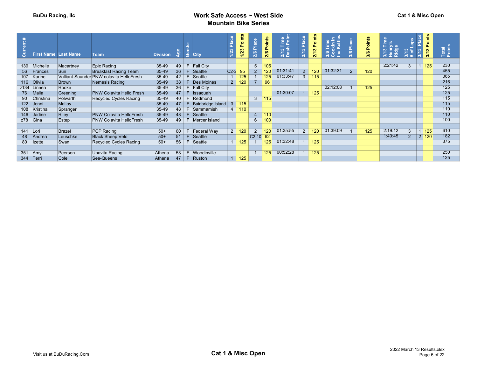|           | <b>First Name Last Name</b> |                 | <b>Team</b>                              | <b>Division</b> | న్ |    | ္လွ်ဳိ City       | Place<br>$1/23$ | Points<br>1/23 | 2/6 Place      | Points<br>2/6 | Time<br>L <sup>Doint</sup><br>្ល ÷្ល<br>ង ចំ | lace<br>$\infty$<br>Σ. | Points<br>2/13 | <b>Cettle</b><br>홀 |             | Points<br>3/6 | $\sim$<br><u> 온 동</u> | aps<br>್ಲಿ ಕ<br>$\frac{1}{2}$ | Place<br><b>CO</b><br>$\frac{1}{2}$ | oints<br>Δ.<br>3/13 | Total<br>Points |
|-----------|-----------------------------|-----------------|------------------------------------------|-----------------|----|----|-------------------|-----------------|----------------|----------------|---------------|----------------------------------------------|------------------------|----------------|--------------------|-------------|---------------|-----------------------|-------------------------------|-------------------------------------|---------------------|-----------------|
|           |                             |                 |                                          |                 |    |    |                   |                 |                |                |               |                                              |                        |                |                    |             |               |                       |                               |                                     |                     |                 |
|           | 139 Michelle                | Macartney       | Epic Racing                              | 35-49           | 49 | F  | <b>Fall City</b>  |                 |                | 5              | 105           |                                              |                        |                |                    |             |               | 2:21:42               | $\overline{3}$                |                                     | $\boxed{1}$ 125     | 230             |
|           | 56 Frances                  | Sun             | <b>Breakfast Racing Team</b>             | $35 - 49$       | 36 | F. | Seattle           | $C2-2$          | 95             | $\overline{2}$ |               | 01:31:41                                     | 2 <sup>7</sup>         | 120            | 01:32:31           | $2^{\circ}$ | 120           |                       |                               |                                     |                     | 455             |
|           | 107 Karine                  |                 | Valliant-Saunder PNW colavita HelloFresh | 35-49           | 42 | F. | Seattle           |                 | 125            |                | 125           | 01:33:47                                     | 3 <sup>1</sup>         | 115            |                    |             |               |                       |                               |                                     |                     | 365             |
|           | 116 Olivia                  | <b>Brown</b>    | Nemesis Racing                           | $35 - 49$       | 38 |    | F Des Moines      | 2               | 120            |                | 96            |                                              |                        |                |                    |             |               |                       |                               |                                     |                     | 216             |
|           | z134 Linnea                 | Rooke           |                                          | 35-49           | 36 | F  | <b>Fall City</b>  |                 |                |                |               |                                              |                        |                | 02:12:08           |             | 125           |                       |                               |                                     |                     | 125             |
|           | 76 Malia                    | Greening        | <b>PNW Colavita Hello Fresh</b>          | $35 - 49$       | 47 | F. | <b>Issaquah</b>   |                 |                |                |               | 01:30:07                                     |                        | 125            |                    |             |               |                       |                               |                                     |                     | 125             |
| 90        | Christina                   | <b>Polwarth</b> | <b>Recycled Cycles Racing</b>            | 35-49           | 40 | F. | Redmond           |                 |                | 3              | 115           |                                              |                        |                |                    |             |               |                       |                               |                                     |                     | 115             |
|           | 122 Jenni                   | Malloy          |                                          | $35-49$         | 47 |    | Bainbridge Island |                 | 115            |                |               |                                              |                        |                |                    |             |               |                       |                               |                                     |                     | 115             |
|           | 108 Kristina                | Spranger        |                                          | 35-49           | 48 |    | F Sammamish       | $\overline{4}$  | 110            |                |               |                                              |                        |                |                    |             |               |                       |                               |                                     |                     | 110             |
|           | 146 Jadine                  | Riley           | <b>PNW Colavita HelloFresh</b>           | $35 - 49$       | 48 |    | F Seattle         |                 |                | 4              | $ 110\rangle$ |                                              |                        |                |                    |             |               |                       |                               |                                     |                     | 110             |
| z78 Gina  |                             | Estep           | <b>PNW Colavita HelloFresh</b>           | $35-49$         | 49 |    | F Mercer Island   |                 |                | 6              | 100           |                                              |                        |                |                    |             |               |                       |                               |                                     |                     | 100             |
|           |                             |                 |                                          |                 |    |    |                   |                 |                |                |               |                                              |                        |                |                    |             |               |                       |                               |                                     |                     |                 |
| 141 Lori  |                             | <b>Brazel</b>   | <b>PCP Racing</b>                        | $50+$           | 60 | F. | Federal Way       | 2 <sup>1</sup>  | 120            | $\overline{2}$ | 120           | 01:35:55                                     | 2 <sup>1</sup>         | 120            | 01:39:09           |             | 125           | 2:19:12               | $\overline{3}$                | $\overline{1}$                      | 125                 | 610             |
|           | 48 Andrea                   | Leuschke        | <b>Black Sheep Velo</b>                  | $50+$           | 51 | F. | Seattle           |                 |                | $C2-10$        | 62            |                                              |                        |                |                    |             |               | 1:40:45               | $\overline{2}$                |                                     |                     | 182             |
|           | 80 Izette                   | Swan            | <b>Recycled Cycles Racing</b>            | $50+$           | 56 | F  | Seattle           |                 | 125            |                | 125           | 01:32:48                                     |                        | 125            |                    |             |               |                       |                               |                                     |                     | 375             |
|           |                             |                 |                                          |                 |    |    |                   |                 |                |                |               |                                              |                        |                |                    |             |               |                       |                               |                                     |                     |                 |
|           |                             | Peerson         | Unavita Racing                           | Athena          | 53 |    | F Woodinville     |                 |                |                | 125           | 00:52:28                                     |                        | 125            |                    |             |               |                       |                               |                                     |                     | 250             |
| 351       | Amy                         |                 |                                          |                 |    |    |                   |                 |                |                |               |                                              |                        |                |                    |             |               |                       |                               |                                     |                     | 125             |
| 344 Terri |                             | Cole            | See-Queens                               | Athena          | 47 |    | F Ruston          |                 | 125            |                |               |                                              |                        |                |                    |             |               |                       |                               |                                     |                     |                 |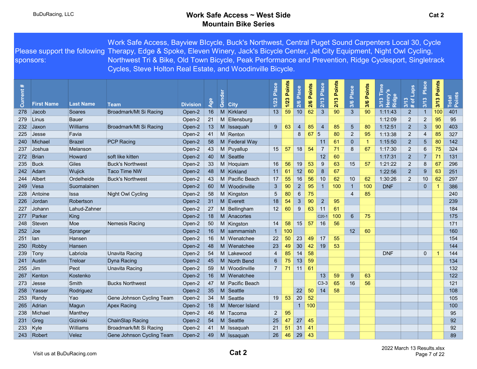Please support the following Therapy, Edge & Spoke, Eleven Winery, Jack's Bicycle Center, Jet City Equipment, Night Owl Cycling, sponsors: Work Safe Access, Bayview BIcycle, Buck's Northwest, Central Puget Sound Carpenters Local 30, Cycle Northwest Tri & Bike, Old Town Bicycle, Peak Performance and Prevention, Ridge Cyclesport, Singletrack Cycles, Steve Holton Real Estate, and Woodinville Bicycle.

| Current # |                   |                  |                           |                 |          | Gender |                 | Place          | 1/23 Points | Place          | Points | Place          | Points | 3/6 Place       | <b>Points</b> |                     | $3/13$<br>$\#$ of Laps | Place           | 3/13 Points | Total<br>Points |
|-----------|-------------------|------------------|---------------------------|-----------------|----------|--------|-----------------|----------------|-------------|----------------|--------|----------------|--------|-----------------|---------------|---------------------|------------------------|-----------------|-------------|-----------------|
|           | <b>First Name</b> | <b>Last Name</b> | <b>Team</b>               | <b>Division</b> | <b>Q</b> |        | <b>City</b>     | $1/23$         |             | 2/6            | 2/6    | 2/13           | 2/13   |                 | 3/6           | <b>Ridg</b><br>3/13 |                        | 3/13            |             |                 |
| 278       | Jacob             | Soares           | Broadmark/Mt Si Racing    | Open-2          | 16       |        | M Kirkland      | 13             | 59          | 10             | 62     | $\mathbf{3}$   | 90     | $\mathbf{3}$    | 90            | 1:11:43             | $\overline{2}$         | $\overline{1}$  | 100         | 401             |
| 279       | Linus             | <b>Bauer</b>     |                           | Open-2          | 21       |        | M Ellensburg    |                |             |                |        |                |        |                 |               | 1:12:09             | $\overline{2}$         | $\overline{2}$  | 95          | 95              |
| 232       | Jaxon             | Williams         | Broadmark/Mt Si Racing    | Open-2          | 13       |        | M Issaquah      | $9^{\circ}$    | 63          | $\overline{4}$ | 85     | $\overline{4}$ | 85     | $5\overline{)}$ | 80            | 1:12:51             | $\overline{2}$         | 3               | 90          | 403             |
| 225       | Jesse             | Favia            |                           | Open-2          | 41       |        | M Renton        |                |             | 8              | 67     | 5              | 80     | $\overline{2}$  | 95            | 1:13:38             | $\overline{2}$         | 4               | 85          | 327             |
| 240       | Michael           | <b>Brazel</b>    | <b>PCP Racing</b>         | Open-2          | 58       |        | M Federal Way   |                |             |                |        | 11             | 61     | $\mathbf 0$     | -1            | 1:15:50             | $\overline{a}$         | $5\phantom{.0}$ | 80          | 142             |
| 237       | Joshua            | Melanson         |                           | Open-2          | 43       |        | M Puyallup      | 15             | 57          | 18             | 54     | $\overline{7}$ | 71     | 8               | 67            | 1:17:30             | $\overline{2}$         | $\,6$           | 75          | 324             |
| 272       | Brian             | Howard           | soft like kitten          | Open-2          | 40       |        | M Seattle       |                |             |                |        | 12             | 60     |                 |               | 1:17:31             | $\overline{2}$         | $\overline{7}$  | 71          | 131             |
| 235       | <b>Buck</b>       | Giles            | <b>Buck's Northwest</b>   | Open-2          | 33       |        | M Hoquiam       | 16             | 56          | 19             | 53     | 9              | 63     | 15              | 57            | 1:21:22             | $\overline{2}$         | 8               | 67          | 296             |
| 242       | Adam              | Wujick           | <b>Taco Time NW</b>       | Open-2          | 48       |        | M Kirkland      | 11             | 61          | 12             | 60     | 8              | 67     |                 |               | 1:22:56             | $\overline{2}$         | 9               | 63          | 251             |
| 244       | Albert            | Ordelheide       | <b>Buck's Northwest</b>   | Open-2          | 43       |        | M Pacific Beach | 17             | 55          | 16             | 56     | 10             | 62     | 10              | 62            | 1:30:26             | $\overline{2}$         | 10              | 62          | 297             |
| 249       | Vesa              | Suomalainen      |                           | Open-2          | 60       |        | M Woodinville   | $\mathbf{3}$   | 90          | $\overline{2}$ | 95     | $\mathbf 1$    | 100    | $\overline{1}$  | 100           | <b>DNF</b>          |                        | $\mathbf{0}$    |             | 386             |
| 228       | Antoine           | Issa             | Night Owl Cycling         | Open-2          | 58       |        | M Kingston      | 5              | 80          | 6              | 75     |                |        | $\overline{4}$  | 85            |                     |                        |                 |             | 240             |
| 226       | Jordan            | Robertson        |                           | Open-2          | 31       |        | M Everett       | 18             | 54          | 3              | 90     | $\overline{2}$ | 95     |                 |               |                     |                        |                 |             | 239             |
| 227       | Johann            | Lahud-Zahner     |                           | Open-2          | 27       |        | M Bellingham    | 12             | 60          | 9              | 63     | 11             | 61     |                 |               |                     |                        |                 |             | 184             |
| 277       | Parker            | King             |                           | Open-2          | 18       |        | M Anacortes     |                |             |                |        | $C20-1$        | 100    | $\,6\,$         | 75            |                     |                        |                 |             | 175             |
| 248       | Steven            | Moe              | Nemesis Racing            | Open-2          | 50       |        | M Kingston      | 14             | 58          | 15             | 57     | 16             | 56     |                 |               |                     |                        |                 |             | 171             |
| 252       | $\vert$ Joe       | Spranger         |                           | Open-2          | 16       |        | M sammamish     | $\overline{1}$ | 100         |                |        |                |        | 12              | 60            |                     |                        |                 |             | 160             |
| 251       | ∣lan              | Hansen           |                           | Open-2          | 16       |        | M Wenatchee     | 22             | 50          | 23             | 49     | 17             | 55     |                 |               |                     |                        |                 |             | 154             |
| 250       | Robby             | Hansen           |                           | Open-2          | 48       |        | M Wenatchee     | 23             | 49          | 30             | 42     | 19             | 53     |                 |               |                     |                        |                 |             | 144             |
| 239       | Tony              | Labriola         | Unavita Racing            | Open-2          | 54       |        | M Lakewood      | $\overline{4}$ | 85          | 14             | 58     |                |        |                 |               | <b>DNF</b>          |                        | $\mathbf{0}$    |             | 144             |
| 241       | Austin            | Treloar          | Dyna Racing               | Open-2          | 45       |        | M North Bend    | $6^{\circ}$    | 75          | 13             | 59     |                |        |                 |               |                     |                        |                 |             | 134             |
| 255       | Jim               | Peot             | Unavita Racing            | Open-2          | 59       |        | M Woodinville   | $\overline{7}$ | 71          | 11             | 61     |                |        |                 |               |                     |                        |                 |             | 132             |
| 267       | Kenton            | Kostenko         |                           | Open-2          | 16       |        | M Wenatchee     |                |             |                |        | 13             | 59     | 9               | 63            |                     |                        |                 |             | 122             |
| 273       | Jesse             | Smith            | <b>Bucks Northwest</b>    | Open-2          | 47       |        | M Pacific Beach |                |             |                |        | $ C3-3 $       | 65     | 16              | 56            |                     |                        |                 |             | 121             |
| 258       | Yasser            | Rodriguez        |                           | Open-2          | 35       |        | M Seattle       |                |             | 22             | 50     | 14             | 58     |                 |               |                     |                        |                 |             | 108             |
| 253       | Randy             | Yao              | Gene Johnson Cycling Team | Open-2          | 34       |        | M Seattle       | 19             | 53          | 20             | 52     |                |        |                 |               |                     |                        |                 |             | 105             |
| 265       | Adrian            | Magun            | <b>Apex Racing</b>        | Open-2          | 18       |        | M Mercer Island |                |             | $\mathbf{1}$   | 100    |                |        |                 |               |                     |                        |                 |             | 100             |
| 238       | Michael           | Manthey          |                           | Open-2          | 46       |        | M Tacoma        | $\overline{2}$ | 95          |                |        |                |        |                 |               |                     |                        |                 |             | 95              |
| 231       | Greg              | Gizinski         | ChainSlap Racing          | Open-2          | 54       |        | M Seattle       | 25             | 47          | 27             | 45     |                |        |                 |               |                     |                        |                 |             | 92              |
| 233       | Kyle              | Williams         | Broadmark/Mt Si Racing    | Open-2          | 41       |        | M Issaquah      | 21             | 51          | 31             | 41     |                |        |                 |               |                     |                        |                 |             | 92              |
| 243       | Robert            | Velez            | Gene Johnson Cycling Team | Open-2          | 49       |        | M Issaquah      | 26             | 46          | 29             | 43     |                |        |                 |               |                     |                        |                 |             | 89              |
|           |                   |                  |                           |                 |          |        |                 |                |             |                |        |                |        |                 |               |                     |                        |                 |             |                 |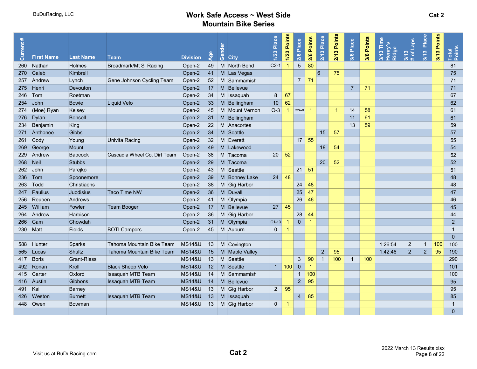| #<br>Current a | <b>First Name</b> | <b>Last Name</b>   | <b>Team</b>                  | <b>Division</b>   | $\overline{S}$  | nde<br>ලී | <b>City</b>    | Place<br>1/23 | 1/23 Points | 2/6 Place       | 2/6 Points   | Place<br>2/13  | 3 Points<br>21 | 3/6 Place      | 3/6 Points | 3/13 Time<br>Henry's<br>Ridge | $\frac{3/13}{\text{\# of Laps}}$ | 3/13 Place     | 3/13 Points | Total<br>Points |
|----------------|-------------------|--------------------|------------------------------|-------------------|-----------------|-----------|----------------|---------------|-------------|-----------------|--------------|----------------|----------------|----------------|------------|-------------------------------|----------------------------------|----------------|-------------|-----------------|
| 260            | Nathan            | <b>Holmes</b>      | Broadmark/Mt Si Racing       | Open-2            | 49              |           | M North Bend   | $C2-1$        |             | $\overline{5}$  | 80           |                |                |                |            |                               |                                  |                |             | 81              |
| 270            | Caleb             | Kimbrell           |                              | Open-2            | 41              |           | M Las Vegas    |               |             |                 |              | 6              | 75             |                |            |                               |                                  |                |             | 75              |
| 257            | Andrew            | Lynch              | Gene Johnson Cycling Team    | Open-2            | 52              |           | M Sammamish    |               |             | $\overline{7}$  | 71           |                |                |                |            |                               |                                  |                |             | 71              |
| 275            | Henri             | Devouton           |                              | Open-2            | 17 <sup>2</sup> |           | M Bellevue     |               |             |                 |              |                |                | $\overline{7}$ | 71         |                               |                                  |                |             | 71              |
| 246            | Tom               | Roetman            |                              | Open-2            | 34              |           | M Issaquah     | 8             | 67          |                 |              |                |                |                |            |                               |                                  |                |             | 67              |
| 254            | John              | <b>Bowie</b>       | Liquid Velo                  | Open-2            | 33              |           | M Bellingham   | 10            | 62          |                 |              |                |                |                |            |                               |                                  |                |             | 62              |
| 274            | (Moe) Ryan        | Kelsey             |                              | Open-2            | 45              |           | M Mount Vernon | $O-3$         |             | $C2A-8$         | -1           |                |                | 14             | 58         |                               |                                  |                |             | 61              |
|                | 276 Dylan         | <b>Bonsell</b>     |                              | Open-2            | 31              |           | M Bellingham   |               |             |                 |              |                |                | 11             | 61         |                               |                                  |                |             | 61              |
| 234            | Benjamin          | King               |                              | Open-2            | 22              |           | M Anacortes    |               |             |                 |              |                |                | 13             | 59         |                               |                                  |                |             | 59              |
| 271            | Anthonee          | <b>Gibbs</b>       |                              | Open-2            | 34              |           | M Seattle      |               |             |                 |              | 15             | 57             |                |            |                               |                                  |                |             | 57              |
| 261            | Cody              | Young              | Univita Racing               | Open-2            | 32              |           | M Everett      |               |             | 17 <sup>2</sup> | 55           |                |                |                |            |                               |                                  |                |             | 55              |
| 269            | George            | <b>Mount</b>       |                              | Open-2            | 49              |           | M Lakewood     |               |             |                 |              | 18             | 54             |                |            |                               |                                  |                |             | 54              |
| 229            | Andrew            | <b>Babcock</b>     | Cascadia Wheel Co. Dirt Team | Open-2            | 38              |           | M Tacoma       | 20            | 52          |                 |              |                |                |                |            |                               |                                  |                |             | 52              |
| 268            | $\vert$ Neil      | <b>Stubbs</b>      |                              | Open-2            | 29              |           | M Tacoma       |               |             |                 |              | 20             | 52             |                |            |                               |                                  |                |             | 52              |
| 262            | John              | Parejko            |                              | Open-2            | 43              |           | M Seattle      |               |             | 21              | 51           |                |                |                |            |                               |                                  |                |             | 51              |
| 236            | Tom               | Spoonemore         |                              | Open-2            | 39              |           | M Bonney Lake  | 24            | 48          |                 |              |                |                |                |            |                               |                                  |                |             | 48              |
| 263            | Todd              | Christiaens        |                              | Open-2            | 38              |           | M Gig Harbor   |               |             | 24              | 48           |                |                |                |            |                               |                                  |                |             | 48              |
| 247            | Paulius           | Juodisius          | <b>Taco Time NW</b>          | Open-2            | 36              |           | M Duvall       |               |             | 25              | 47           |                |                |                |            |                               |                                  |                |             | 47              |
| 256            | Reuben            | Andrews            |                              | Open-2            | 41              |           | M Olympia      |               |             | 26              | 46           |                |                |                |            |                               |                                  |                |             | 46              |
| 245            | William           | <b>Fowler</b>      | Team Booger                  | Open-2            | 17              |           | M Bellevue     | 27            | 45          |                 |              |                |                |                |            |                               |                                  |                |             | 45              |
| 264            | Andrew            | Harbison           |                              | Open-2            | 36              |           | M Gig Harbor   |               |             | 28              | 44           |                |                |                |            |                               |                                  |                |             | 44              |
| 266            | Cam               | Chowdah            |                              | Open-2            | 31              |           | M Olympia      | $C1-13$       |             | $\mathbf 0$     | $\mathbf 1$  |                |                |                |            |                               |                                  |                |             | 2               |
|                | 230 Matt          | <b>Fields</b>      | <b>BOTI Campers</b>          | Open-2            | 45              |           | M Auburn       | $\mathbf 0$   |             |                 |              |                |                |                |            |                               |                                  |                |             | $\overline{1}$  |
|                |                   |                    |                              |                   |                 |           |                |               |             |                 |              |                |                |                |            |                               |                                  |                |             | $\overline{0}$  |
| 588            | Hunter            | Sparks             | Tahoma Mountain Bike Team    | <b>MS14&amp;U</b> | 13              |           | M Covington    |               |             |                 |              |                |                |                |            | 1:26:54                       | $\overline{2}$                   | $\mathbf{1}$   | 100         | 100             |
| 565            | Lucas             | Shultz             | Tahoma Mountain Bike Team    | <b>MS14&amp;U</b> | 15              |           | M Maple Valley |               |             |                 |              | $\overline{2}$ | 95             |                |            | 1:42:46                       | $\overline{2}$                   | 2 <sup>2</sup> | 95          | 190             |
| 417            | Boris             | <b>Grant-Riess</b> |                              | <b>MS14&amp;U</b> | 13              |           | M Seattle      |               |             | $\mathbf{3}$    | 90           | $\overline{1}$ | 100            | $\mathbf{1}$   | 100        |                               |                                  |                |             | 290             |
| 492            | Ronan             | Kroll              | <b>Black Sheep Velo</b>      | <b>MS14&amp;U</b> | 12              |           | M Seattle      | 1             | 100         | $\mathbf 0$     | $\mathbf{1}$ |                |                |                |            |                               |                                  |                |             | 101             |
| 415            | Carter            | Oxford             | Issaquah MTB Team            | <b>MS14&amp;U</b> | 14              |           | M Sammamish    |               |             | $\overline{1}$  | 100          |                |                |                |            |                               |                                  |                |             | 100             |
| 416            | Austin            | Gibbons            | <b>Issaquah MTB Team</b>     | <b>MS14&amp;U</b> | 14              |           | M Bellevue     |               |             | $\sqrt{2}$      | 95           |                |                |                |            |                               |                                  |                |             | 95              |
| 491            | Kai               | Barney             |                              | <b>MS14&amp;U</b> | 13              |           | M Gig Harbor   | $2^{\circ}$   | 95          |                 |              |                |                |                |            |                               |                                  |                |             | 95              |
| 426            | Weston            | <b>Burnett</b>     | Issaquah MTB Team            | <b>MS14&amp;U</b> | 13              |           | M Issaquah     |               |             | $\overline{4}$  | 85           |                |                |                |            |                               |                                  |                |             | 85              |
| 448            | <b>Owen</b>       | Bowman             |                              | <b>MS14&amp;U</b> | 13              |           | M Gig Harbor   | $\mathbf 0$   | -1          |                 |              |                |                |                |            |                               |                                  |                |             | $\overline{1}$  |
|                |                   |                    |                              |                   |                 |           |                |               |             |                 |              |                |                |                |            |                               |                                  |                |             | $\overline{0}$  |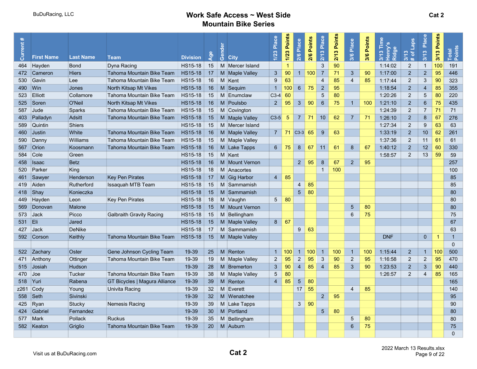| Current | <b>First Name</b> | <b>Last Name</b> | <b>Team</b>                          | <b>Division</b> | $\bullet$<br>$\overline{g}$ | Gende<br><b>City</b> | Place<br>1/23   | 1/23 Points    | 2/6 Place       | Points<br>2/6 | Place<br>2/13   | Points<br>2/13 | Place<br>3/6    | 3/6 Points | 3/13 Tim<br>Ridge<br>운 | Laps<br>$\overline{\sigma}$<br>3/13<br>$\mathbf{a}$ | Place<br>3/13   | Points<br>3/13 | Total<br>Point: |
|---------|-------------------|------------------|--------------------------------------|-----------------|-----------------------------|----------------------|-----------------|----------------|-----------------|---------------|-----------------|----------------|-----------------|------------|------------------------|-----------------------------------------------------|-----------------|----------------|-----------------|
| 464     | Hayden            | <b>Bond</b>      | Dyna Racing                          | HS15-18         | 15                          | M Mercer Island      |                 | -1             |                 |               | $\mathbf{3}$    | 90             |                 |            | 1:14:02                | $\overline{2}$                                      | $\overline{1}$  | 100            | 191             |
| 472     | Cameron           | <b>Hiers</b>     | Tahoma Mountain Bike Team            | HS15-18         | 17                          | M Maple Valley       | $\mathbf{3}$    | 90             | $\mathbf{1}$    | 100           | $\overline{7}$  | 71             | $\mathbf{3}$    | 90         | 1:17:00                | $\overline{2}$                                      | $\overline{2}$  | 95             | 446             |
| 530     | Gavin             | Lee              | Tahoma Mountain Bike Team            | <b>HS15-18</b>  | 16                          | M Kent               | 9               | 63             |                 |               | 4               | 85             | $\overline{4}$  | 85         | 1:17:44                | $\overline{2}$                                      | 3               | 90             | 323             |
| 490     | Win               | Jones            | North Kitsap Mt Vikes                | <b>HS15-18</b>  | 16                          | M Sequim             | $\overline{1}$  | 100            | $6\phantom{.}6$ | 75            | $\sqrt{2}$      | 95             |                 |            | 1:18:54                | $\overline{2}$                                      | $\overline{4}$  | 85             | 355             |
| 523     | Elliott           | Collamore        | Tahoma Mountain Bike Team            | HS15-18         | 15                          | M Enumclaw           | $C3-4$          | 60             |                 |               | $5\phantom{.0}$ | 80             |                 |            | 1:20:26                | $\overline{2}$                                      | 5               | 80             | 220             |
| 525     | Soren             | O'Neil           | North Kitsap Mt Vikes                | <b>HS15-18</b>  | 16                          | M Poulsbo            | $2^{\circ}$     | 95             | $\mathbf{3}$    | 90            | $6\phantom{1}6$ | 75             | $\mathbf{1}$    | 100        | 1:21:10                | $\overline{2}$                                      | $6\phantom{1}6$ | 75             | 435             |
| 587     | Jude              | Sparks           | Tahoma Mountain Bike Team            | HS15-18         | 15                          | M Covington          |                 |                |                 |               |                 |                |                 |            | 1:24:39                | $\overline{2}$                                      | 7               | 71             | 71              |
| 403     | Palladyn          | Adsitt           | Tahoma Mountain Bike Team            | <b>HS15-18</b>  | 15                          | M Maple Valley       | $C3-5$          | 5              | $\overline{7}$  | 71            | 10              | 62             | $\overline{7}$  | 71         | 1:26:10                | $\overline{2}$                                      | 8               | 67             | 276             |
| 589     | Quintin           | Shiers           |                                      | <b>HS15-18</b>  | 15                          | M Mercer Island      |                 |                |                 |               |                 |                |                 |            | 1:27:34                | $\overline{2}$                                      | 9               | 63             | 63              |
| 460     | Justin            | White            | Tahoma Mountain Bike Team            | <b>HS15-18</b>  | 16                          | M   Maple Valley     | $\overline{7}$  | 71 $ $ C3-3 65 |                 |               | 9               | 63             |                 |            | 1:33:19                | $\overline{2}$                                      | 10              | 62             | 261             |
| 590     | Danny             | Williams         | Tahoma Mountain Bike Team            | <b>HS15-18</b>  | 15                          | M Maple Valley       |                 |                |                 |               |                 |                |                 |            | 1:37:36                | $\overline{2}$                                      | 11              | 61             | 61              |
| 567     | <b>Orion</b>      | Koosmann         | Tahoma Mountain Bike Team            | <b>HS15-18</b>  | 16                          | M Lake Tapps         | $6^{\circ}$     | 75             | 8               | 67            | 11              | 61             | $\,8\,$         | 67         | 1:40:12                | $\overline{2}$                                      | 12              | 60             | 330             |
| 584     | Cole              | Green            |                                      | <b>HS15-18</b>  | 15                          | M Kent               |                 |                |                 |               |                 |                |                 |            | 1:58:57                | 2                                                   | 13              | 59             | 59              |
| 458     | <b>Isaac</b>      | <b>Betz</b>      |                                      | <b>HS15-18</b>  | 16                          | M Mount Vernon       |                 |                | $2^{\circ}$     | 95            | 8               | 67             | $2^{\circ}$     | 95         |                        |                                                     |                 |                | 257             |
| 520     | Parker            | King             |                                      | HS15-18         | 18                          | M Anacortes          |                 |                |                 |               | $\mathbf{1}$    | 100            |                 |            |                        |                                                     |                 |                | 100             |
| 461     | Sawyer            | Henderson        | <b>Key Pen Pirates</b>               | <b>HS15-18</b>  | 17                          | M Gig Harbor         | $\overline{4}$  | 85             |                 |               |                 |                |                 |            |                        |                                                     |                 |                | 85              |
| 419     | Aiden             | Rutherford       | Issaquah MTB Team                    | <b>HS15-18</b>  | 15                          | M Sammamish          |                 |                | 4               | 85            |                 |                |                 |            |                        |                                                     |                 |                | 85              |
| 418     | $\vert$ Shay      | Konieczka        |                                      | <b>HS15-18</b>  | 15                          | M Sammamish          |                 |                | $\overline{5}$  | 80            |                 |                |                 |            |                        |                                                     |                 |                | 80              |
| 449     | Hayden            | Leon             | <b>Key Pen Pirates</b>               | <b>HS15-18</b>  | 18                          | M Vaughn             | $5\overline{)}$ | 80             |                 |               |                 |                |                 |            |                        |                                                     |                 |                | 80              |
| 569     | Donovan           | Malone           |                                      | <b>HS15-18</b>  | 15                          | M   Mount Vernon     |                 |                |                 |               |                 |                | $5\phantom{1}$  | 80         |                        |                                                     |                 |                | 80              |
| 573     | <b>Jack</b>       | Picco            | <b>Galbraith Gravity Racing</b>      | HS15-18         | 15                          | M Bellingham         |                 |                |                 |               |                 |                | $6\,$           | 75         |                        |                                                     |                 |                | 75              |
| 531     | IEli.             | Jared            |                                      | <b>HS15-18</b>  | 15                          | M Maple Valley       | 8               | 67             |                 |               |                 |                |                 |            |                        |                                                     |                 |                | 67              |
| 427     | ∣Jack             | DeNike           |                                      | <b>HS15-18</b>  | 17                          | M Sammamish          |                 |                | 9               | 63            |                 |                |                 |            |                        |                                                     |                 |                | 63              |
|         | 592 Corson        | Keithly          | Tahoma Mountain Bike Team            | HS15-18         | 15                          | M Maple Valley       |                 |                |                 |               |                 |                |                 |            | <b>DNF</b>             |                                                     | $\overline{0}$  | 1              | $\overline{1}$  |
|         |                   |                  |                                      |                 |                             |                      |                 |                |                 |               |                 |                |                 |            |                        |                                                     |                 |                | $\Omega$        |
|         | 522 Zachary       | Oster            | Gene Johnson Cycling Team            | 19-39           | 25                          | M Renton             | $\overline{1}$  | $100 -$        | $\overline{1}$  | 100           | $\mathbf{1}$    | 100            | $\overline{1}$  | 100        | 1:15:44                | $\overline{2}$                                      | $\overline{1}$  | 100            | 500             |
|         | 471 Anthony       | Ottinger         | Tahoma Mountain Bike Team            | 19-39           | 19                          | M Maple Valley       | $\overline{2}$  | 95             | $\overline{2}$  | 95            | 3               | 90             | 2               | 95         | 1:16:58                | 2                                                   | $\overline{2}$  | 95             | 470             |
| 515     | <b>Josiah</b>     | Hudson           |                                      | 19-39           | 28                          | M Bremerton          | $\mathbf{3}$    | 90             | $\overline{4}$  | 85            | $\overline{4}$  | 85             | $\mathbf{3}$    | 90         | 1:23:53                | $\overline{2}$                                      | 3               | 90             | 440             |
| 470     | Joe               | Tucker           | Tahoma Mountain Bike Team            | 19-39           | 38                          | M Maple Valley       | $5\overline{)}$ | 80             |                 |               |                 |                |                 |            | 1:26:57                | $\overline{2}$                                      | $\overline{4}$  | 85             | 165             |
| 518     | $\mathsf{Y}$ uri  | Rabena           | <b>GT Bicycles   Magura Alliance</b> | 19-39           | 39                          | M Renton             | $\overline{4}$  | 85             | $5\overline{5}$ | 80            |                 |                |                 |            |                        |                                                     |                 |                | 165             |
|         | $z261$ Cody       | Young            | Univita Racing                       | 19-39           | 32                          | M Everett            |                 |                | 17              | 55            |                 |                | $\overline{4}$  | 85         |                        |                                                     |                 |                | 140             |
| 558     | $\mathsf{Set}$    | Sivinski         |                                      | 19-39           | 32 <sup>2</sup>             | M Wenatchee          |                 |                |                 |               | $\overline{2}$  | 95             |                 |            |                        |                                                     |                 |                | 95              |
| 425     | Ryan              | Stucky           | Nemesis Racing                       | 19-39           | 39                          | M Lake Tapps         |                 |                | $\mathbf{3}$    | 90            |                 |                |                 |            |                        |                                                     |                 |                | 90              |
| 424     | Gabriel           | Fernandez        |                                      | 19-39           | 30                          | M Portland           |                 |                |                 |               | $\overline{5}$  | 80             |                 |            |                        |                                                     |                 |                | 80              |
| 577     | Mark              | <b>Pollack</b>   | <b>Ruckus</b>                        | 19-39           | 35                          | M Bellingham         |                 |                |                 |               |                 |                | 5               | 80         |                        |                                                     |                 |                | 80              |
| 582     | Keaton            | Griglio          | Tahoma Mountain Bike Team            | 19-39           | 20                          | M Auburn             |                 |                |                 |               |                 |                | $6\phantom{1}6$ | 75         |                        |                                                     |                 |                | 75              |
|         |                   |                  |                                      |                 |                             |                      |                 |                |                 |               |                 |                |                 |            |                        |                                                     |                 |                | $\Omega$        |
|         |                   |                  |                                      |                 |                             |                      |                 |                |                 |               |                 |                |                 |            |                        |                                                     |                 |                |                 |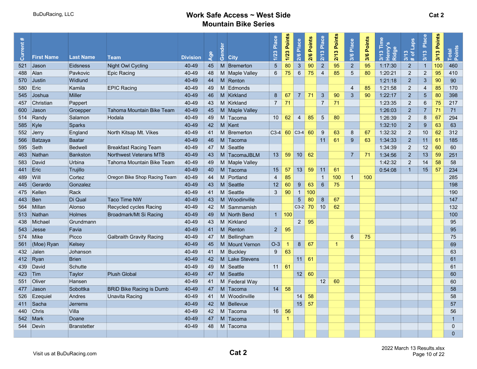| $\ast$<br>Current: | <b>First Name</b> | <b>Last Name</b>   | <b>Team</b>                     | <b>Division</b> | Age | Gender | <b>City</b>    | Place<br>$\overline{1/23}$ | 1/23 Points | 2/6 Place              | Points<br>2/6 | Place<br>2/13   | Points<br>2/13 | 3/6 Place       | 3/6 Points | 3/13 Time<br>Henry's<br>Ridge | # of Laps<br>3/13 | Place<br>3/13   | Points<br>3/13 | Total<br>Points |
|--------------------|-------------------|--------------------|---------------------------------|-----------------|-----|--------|----------------|----------------------------|-------------|------------------------|---------------|-----------------|----------------|-----------------|------------|-------------------------------|-------------------|-----------------|----------------|-----------------|
| 521                | <b>Jason</b>      | Eidsness           | Night Owl Cycling               | 40-49           | 45  |        | M Bremerton    | $5\overline{)}$            | 80          | $\mathbf{3}$           | 90            | $\sqrt{2}$      | 95             | 2 <sup>2</sup>  | 95         | 1:17:30                       | $\overline{2}$    | $\overline{1}$  | 100            | 460             |
| 488                | <b>Alan</b>       | Pavkovic           | Epic Racing                     | 40-49           | 48  |        | M Maple Valley | $6\phantom{1}$             | 75          | $6\phantom{1}6$        | 75            | $\overline{4}$  | 85             | $5\phantom{.0}$ | 80         | 1:20:21                       | $\overline{2}$    | $\overline{2}$  | 95             | 410             |
| 570                | <b>Justin</b>     | Widlund            |                                 | 40-49           | 44  |        | M Renton       |                            |             |                        |               |                 |                |                 |            | 1:21:18                       | $\overline{2}$    | 3               | 90             | 90              |
| 580                | Eric              | Kamila             | <b>EPIC Racing</b>              | 40-49           | 49  |        | M Edmonds      |                            |             |                        |               |                 |                | $\overline{4}$  | 85         | 1:21:58                       | $\overline{2}$    | $\overline{4}$  | 85             | 170             |
| 545                | Joshua            | <b>Miller</b>      |                                 | 40-49           | 46  |        | M Kirkland     | 8                          | 67          | $\overline{7}$         | 71            | $\mathbf{3}$    | 90             | $\mathbf{3}$    | 90         | 1:22:17                       | $\overline{2}$    | $5\phantom{.0}$ | 80             | 398             |
| 457                | ∣Christian        | Pappert            |                                 | 40-49           | 43  |        | M Kirkland     | $\overline{7}$             | 71          |                        |               | $\overline{7}$  | 71             |                 |            | 1:23:35                       | $\overline{2}$    | 6               | 75             | 217             |
| 600                | Jason             | Groepper           | Tahoma Mountain Bike Team       | 40-49           | 45  |        | M Maple Valley |                            |             |                        |               |                 |                |                 |            | 1:26:03                       | $\overline{2}$    | $\overline{7}$  | 71             | 71              |
|                    | 514   Randy       | Salamon            | Hodala                          | 40-49           | 49  |        | M Tacoma       | 10                         | 62          | $\overline{4}$         | 85            | $5\phantom{.0}$ | 80             |                 |            | 1:26:39                       | $\overline{2}$    | 8               | 67             | 294             |
| 585                | Kyle              | Sparks             |                                 | 40-49           | 42  |        | M Kent         |                            |             |                        |               |                 |                |                 |            | 1:32:10                       | $\overline{2}$    | 9               | 63             | 63              |
| 552                | Jerry             | England            | North Kitsap Mt. Vikes          | 40-49           | 41  |        | M Bremerton    | $C3-4$                     |             | $60$ C <sub>3</sub> -4 | 60            | 9               | 63             | 8               | 67         | 1:32:32                       | $\overline{2}$    | 10              | 62             | 312             |
| 566                | Batzaya           | Baatar             |                                 | 40-49           | 46  |        | M Tacoma       |                            |             |                        |               | 11              | 61             | 9               | 63         | 1:34:33                       | $\overline{2}$    | 11              | 61             | 185             |
| 595                | Seth              | <b>Bedwell</b>     | <b>Breakfast Racing Team</b>    | 40-49           | 47  |        | M Seattle      |                            |             |                        |               |                 |                |                 |            | 1:34:39                       | $\overline{2}$    | 12              | 60             | 60              |
| 463                | <b>Nathan</b>     | <b>Bankston</b>    | <b>Northwest Veterans MTB</b>   | 40-49           | 43  |        | M TacomaJBLM   | 13                         | 59          | 10 <sup>°</sup>        | 62            |                 |                | $\overline{7}$  | 71         | 1:34:56                       | $\overline{2}$    | 13              | 59             | 251             |
| 583                | David             | Urbina             | Tahoma Mountain Bike Team       | 40-49           | 49  |        | M Maple Valley |                            |             |                        |               |                 |                |                 |            | 1:42:32                       | $\overline{2}$    | 14              | 58             | 58              |
| 441                | Eric              | Trujillo           |                                 | 40-49           | 40  |        | M Tacoma       | 15                         | 57          | 13                     | 59            | 11              | 61             |                 |            | 0:54:08                       | $\overline{1}$    | 15              | 57             | 234             |
| 489                | Will              | Cortez             | Oregon Bike Shop Racing Team    | 40-49           | 44  |        | M Portland     | $\overline{4}$             | 85          |                        |               | $\mathbf{1}$    | 100            | $\mathbf{1}$    | 100        |                               |                   |                 |                | 285             |
| 445.               | Gerardo           | Gonzalez           |                                 | 40-49           | 43  |        | M Seattle      | 12                         | 60          | 9                      | 63            | $6\phantom{1}$  | 75             |                 |            |                               |                   |                 |                | 198             |
| 475                | ∣Kellen           | Rack               |                                 | 40-49           | 41  |        | M Seattle      | 3                          | 90          | $\overline{1}$         | 100           |                 |                |                 |            |                               |                   |                 |                | 190             |
| 443                | Ben               | Di Qual            | <b>Taco Time NW</b>             | 40-49           | 43  |        | M Woodinville  |                            |             | 5                      | 80            | 8               | 67             |                 |            |                               |                   |                 |                | 147             |
| 564                | Millan            | Alonso             | Recycled cycles Racing          | 40-49           | 42  |        | M Sammamish    |                            |             | $C3-2$                 | 70            | 10              | 62             |                 |            |                               |                   |                 |                | 132             |
| 513                | Nathan            | <b>Holmes</b>      | Broadmark/Mt Si Racing          | 40-49           | 49  |        | M North Bend   | $\mathbf{1}$               | 100         |                        |               |                 |                |                 |            |                               |                   |                 |                | 100             |
| 438                | Michael           | Grundmann          |                                 | 40-49           | 43  |        | M Kirkland     |                            |             | $2^{\circ}$            | 95            |                 |                |                 |            |                               |                   |                 |                | 95              |
| 543                | Jesse             | Favia              |                                 | 40-49           | 41  |        | M Renton       | $2^{\circ}$                | 95          |                        |               |                 |                |                 |            |                               |                   |                 |                | 95              |
|                    | 574 Mike          | Picco              | <b>Galbraith Gravity Racing</b> | 40-49           | 47  |        | M Bellingham   |                            |             |                        |               |                 |                | $6\phantom{1}6$ | 75         |                               |                   |                 |                | 75              |
| 561                | (Moe) Ryan        | Kelsey             |                                 | 40-49           | 45  |        | M Mount Vernon | $O-3$                      | -1          | $8\phantom{1}$         | 67            |                 |                |                 |            |                               |                   |                 |                | 69              |
| 432                | Jalen             | Johanson           |                                 | 40-49           | 41  |        | M Buckley      | 9                          | 63          |                        |               |                 |                |                 |            |                               |                   |                 |                | 63              |
|                    | 412 $ $ Ryan      | <b>Brien</b>       |                                 | 40-49           | 42  |        | M Lake Stevens |                            |             | 11                     | 61            |                 |                |                 |            |                               |                   |                 |                | 61              |
| 439                | David             | Schutte            |                                 | 40-49           | 49  |        | M Seattle      | 11 <sup>1</sup>            | 61          |                        |               |                 |                |                 |            |                               |                   |                 |                | 61              |
| 423                | Tim               | Taylor             | <b>Plush Global</b>             | 40-49           | 47  |        | M Seattle      |                            |             | 12 <sup>°</sup>        | 60            |                 |                |                 |            |                               |                   |                 |                | 60              |
| 551                | Oliver            | Hansen             |                                 | 40-49           | 41  |        | M Federal Way  |                            |             |                        |               | 12              | 60             |                 |            |                               |                   |                 |                | 60              |
| 477                | $\vert$ Jason     | Sobottka           | <b>BRID Bike Racing is Dumb</b> | 40-49           | 47  |        | M Tacoma       | 14                         | 58          |                        |               |                 |                |                 |            |                               |                   |                 |                | 58              |
| 526                | Ezequiel          | Andres             | Unavita Racing                  | 40-49           | 41  |        | M Woodinville  |                            |             | 14                     | 58            |                 |                |                 |            |                               |                   |                 |                | 58              |
|                    | 411 Sacha         | Jerrems            |                                 | 40-49           | 42  |        | M Bellevue     |                            |             | 15 <sup>2</sup>        | 57            |                 |                |                 |            |                               |                   |                 |                | 57              |
| 440                | Chris             | Villa              |                                 | 40-49           | 42  |        | M Tacoma       | 16                         | 56          |                        |               |                 |                |                 |            |                               |                   |                 |                | 56              |
| 542                | Mark              | Doane              |                                 | 40-49           | 47  |        | M Tacoma       |                            | -1          |                        |               |                 |                |                 |            |                               |                   |                 |                | $\overline{1}$  |
| 544                | ∣Devin            | <b>Branstetter</b> |                                 | 40-49           | 48  |        | M Tacoma       |                            |             |                        |               |                 |                |                 |            |                               |                   |                 |                | $\Omega$        |
|                    |                   |                    |                                 |                 |     |        |                |                            |             |                        |               |                 |                |                 |            |                               |                   |                 |                | $\Omega$        |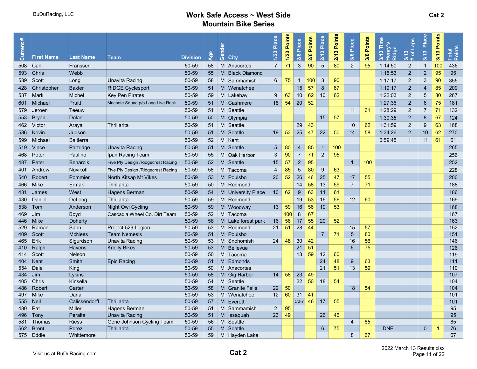| $\mathfrak{Z}$<br>$\overline{7}$<br>71<br>90<br>$5\phantom{.0}$<br>$\overline{2}$<br>95<br>Carl<br>M Anacortes<br>80<br>1:14:50<br>$\overline{2}$<br>100<br>436<br>508<br>50-59<br>58<br>$\mathbf{1}$<br>Franssen<br>$\overline{2}$<br>1:15:53<br>$\overline{2}$<br>95<br>95<br> Chris<br>Webb<br>50-59<br>55<br>M Black Diamond<br>593<br>$\overline{2}$<br>90<br><b>Unavita Racing</b><br>50-59<br>58<br>M Sammamish<br>$6\overline{6}$<br>75<br>$\overline{1}$<br>100<br>3<br>1:17:17<br>$\mathbf{3}$<br>355<br>539<br>Scott<br>Long<br>90<br>$\bf 8$<br>15<br>$\sqrt{2}$<br>85<br><b>RIDGE Cyclesport</b><br>50-59<br>M Wenatchee<br>57<br>67<br>1:19:17<br>$\overline{4}$<br>209<br>Christopher<br><b>Baxter</b><br>51<br>428<br>63<br>10<br>$\overline{2}$<br>80<br><b>Key Pen Pirates</b><br>50-59<br>59<br>M Lakebay<br>9<br>10<br>62<br>62<br>5<br>267<br>537<br><b>Mark</b><br>Michel<br>1:22:03<br>18<br>20<br>52<br>$\overline{2}$<br>$\,6\,$<br>75<br>Pruitt<br>54<br>181<br>Michael<br>Machete Squad p/b Long Live Rock<br>50-59<br>51<br>M Cashmere<br>1:27:36<br>601<br>50-59<br>M Seattle<br>61<br>1:28:29<br>$\overline{2}$<br>$\overline{7}$<br>71<br>132<br>Teeuw<br>51<br>11<br>579<br><b>Jeroen</b><br>$\overline{2}$<br>50-59<br>M Olympia<br>15<br>57<br>1:30:35<br>8<br>67<br>124<br>Bryan<br>Dolan<br>50<br>553<br>$\overline{2}$<br>50-59<br>M Seattle<br>29<br>43<br>10<br>62<br>9<br>63<br>462 Victor<br>Thrillarita<br>51<br>168<br>Araya<br>1:31:59<br>25<br>58<br>53<br>47<br>22<br>$\overline{2}$<br>10<br>62<br>Judson<br>50-59<br>51<br>M Seattle<br>19<br>50<br>14<br>1:34:26<br>270<br>536<br>Kevin<br>52<br>M Kent<br>61<br>61<br><b>Baltierra</b><br>50-59<br>0:59:45<br>$\overline{1}$<br>11<br>599<br>Michael<br>50-59<br>M Seattle<br>5 <sup>5</sup><br>80<br>85<br>265<br>Partridge<br><b>Unavita Racing</b><br>51<br>$\overline{4}$<br>$\mathbf{1}$<br>100<br>519<br>$ $ Vince<br>$\mathbf{3}$<br>90<br>$\overline{7}$<br>$\overline{c}$<br>256<br>Peter<br>Paulino<br>50-59<br>55<br>M Oak Harbor<br>71<br>95<br>468<br>Ipan Racing Team<br>$\overline{2}$<br>M Seattle<br>$\mathbf{1}$<br>252<br>Peter<br>Five Ply Design / Ridgecrest Racing<br>50-59<br>52 <sub>2</sub><br>15<br>57<br>95<br>100<br>487<br><b>Benarcik</b><br>5<br>Novikoff<br>Five Ply Design / Ridgecrest Racing<br>50-59<br>M Tacoma<br>85<br>80<br>9<br>228<br>401<br>Andrew<br>58<br>$\overline{4}$<br>63<br>52<br>26<br>25<br>17<br>55<br>200<br><b>North Kitsap Mt Vikes</b><br>M Poulsbo<br>20<br>46<br>47<br>Robert<br>Pommier<br>50-59<br>53<br>540<br>58<br>$\overline{7}$<br>71<br>Thrillarita<br>M Redmond<br>14<br>13<br>59<br>188<br>466<br><b>Mike</b><br>Ermak<br>50-59<br>50<br>9<br>West<br>Hagens Berman<br>50-59<br>10<br>62<br>63<br>11<br>186<br>54<br>M University Place<br>61<br>431<br><b>James</b><br>M Redmond<br>Thrillarita<br>50-59<br>59<br>19<br>53<br>16<br>12 <sup>2</sup><br>60<br>169<br>430<br>Daniel<br>DeLong<br>56<br>16<br>56<br>19<br>50-59<br>M Woodway<br>13<br>59<br>53<br>168<br>Anderson<br><b>Night Owl Cycling</b><br>59<br>538<br>$\mathsf{Tom}$<br>52<br>8<br>167<br>469<br>Boyd<br>Cascadia Wheel Co. Dirt Team<br>50-59<br>M Tacoma<br>$\overline{1}$<br>100<br>67<br> Jim<br>50-59<br>58<br>16<br>56<br>17<br>55<br>20<br>52<br>163<br>Mike<br>Doherty<br>M Lake forest park<br>446<br>28<br>M Redmond<br>21<br>51<br>Sarin<br>Project 529 Legion<br>50-59<br>53<br>44<br>15<br>57<br>152<br>529<br>Raman<br>$\overline{5}$<br>80<br><b>Team Nemesis</b><br>50-59<br>51<br>M Poulsbo<br>$\overline{7}$<br>$\sqrt{\text{Scott}}$<br><b>McNees</b><br>71<br>151<br>409<br>48<br>$30\,$<br>16<br>56<br>465<br>Erik<br><b>Unavita Racing</b><br>50-59<br>53<br>M Snohomish<br>24<br>42<br>146<br>Sigurdson<br>75<br>126<br>50-59<br>53<br>M Bellevue<br>21<br>51<br>6<br>410 Ralph<br><b>Knolly Bikes</b><br><b>Havens</b><br>13<br>59<br>12<br>50-59<br>50<br>M Tacoma<br>60<br>119<br>414<br>Scott<br>Nelson<br>$\boldsymbol{9}$<br>Smith<br><b>Epic Racing</b><br>50-59<br>51<br>M Edmonds<br>24<br>48<br>63<br>111<br>404<br>Kent<br>21<br>13<br>59<br>Dale<br>King<br>50-59<br>50<br>M Anacortes<br>51<br>554<br>110<br>58<br>23<br>49<br>107<br>50-59<br>58<br>M Gig Harbor<br>14<br>434<br>$ $ Jim<br>Lykins<br>50-59<br>M Seattle<br>22<br>50<br>18<br>54<br>104<br>Kinsella<br>54<br>405<br><b>Chris</b><br>M Granite Falls<br>50<br>18<br>54<br>104<br>Carter<br>58<br>22<br>486<br>Robert<br>50-59<br>12<br>60<br>31<br>497<br>Mike<br>50-59<br>53<br>M Wenatchee<br>41<br>101<br>Dana<br>46<br>Neil<br>Calissendorff<br>Thrillarita<br>50-59<br>M Everett<br>17<br>101<br>555<br>57<br>$C2-7$<br>55<br><b>Miller</b><br>M Sammamish<br>$2^{\circ}$<br>95<br>95<br>Pat<br>Hagens Berman<br>50-59<br>51<br>480<br>23<br>Peralta<br><b>Unavita Racing</b><br>50-59<br>51<br>M Issaquah<br>49<br>26<br>46<br>95<br>496<br>Tony<br>M Seattle<br>Thomas<br>Gene Johnson Cycling Team<br>50-59<br>56<br>85<br>85<br>581<br><b>Riess</b><br>4<br>Brent<br><b>Thrillarita</b><br>50-59<br>55<br>M Seattle<br>6<br>75<br><b>DNF</b><br>$\mathbf{0}$<br>76<br>562<br>Perez<br>1<br>67<br>575 Eddie<br>50-59<br>59<br>8<br>67<br>M Hayden Lake<br>Whittemore | $\ast$<br>Current; | <b>First Name</b> | <b>Last Name</b> | Team | <b>Division</b> | Age | Gender | <b>City</b> | Place<br>1/23 | 1/23 Points | 2/6 Place | <b>Points</b><br>2/6 | Place<br>2/13 | Points<br>$\bullet$<br>2/1 | Place<br>3/6 | Points<br>3/6 | 3/13 Tim<br>Henry's<br>Ridge | Laps<br>3/13<br># of | Place<br>3/13 | Points<br>3/13 | Total<br>Points |
|---------------------------------------------------------------------------------------------------------------------------------------------------------------------------------------------------------------------------------------------------------------------------------------------------------------------------------------------------------------------------------------------------------------------------------------------------------------------------------------------------------------------------------------------------------------------------------------------------------------------------------------------------------------------------------------------------------------------------------------------------------------------------------------------------------------------------------------------------------------------------------------------------------------------------------------------------------------------------------------------------------------------------------------------------------------------------------------------------------------------------------------------------------------------------------------------------------------------------------------------------------------------------------------------------------------------------------------------------------------------------------------------------------------------------------------------------------------------------------------------------------------------------------------------------------------------------------------------------------------------------------------------------------------------------------------------------------------------------------------------------------------------------------------------------------------------------------------------------------------------------------------------------------------------------------------------------------------------------------------------------------------------------------------------------------------------------------------------------------------------------------------------------------------------------------------------------------------------------------------------------------------------------------------------------------------------------------------------------------------------------------------------------------------------------------------------------------------------------------------------------------------------------------------------------------------------------------------------------------------------------------------------------------------------------------------------------------------------------------------------------------------------------------------------------------------------------------------------------------------------------------------------------------------------------------------------------------------------------------------------------------------------------------------------------------------------------------------------------------------------------------------------------------------------------------------------------------------------------------------------------------------------------------------------------------------------------------------------------------------------------------------------------------------------------------------------------------------------------------------------------------------------------------------------------------------------------------------------------------------------------------------------------------------------------------------------------------------------------------------------------------------------------------------------------------------------------------------------------------------------------------------------------------------------------------------------------------------------------------------------------------------------------------------------------------------------------------------------------------------------------------------------------------------------------------------------------------------------------------------------------------------------------------------------------------------------------------------------------------------------------------------------------------------------------------------------------------------------------------------------------------------------------------------------------------------------------------------------------------------------------------------------------------------------------------------------------------------------------------------------------------------------------------------------------------------------------------------------------------------------------------------------------------------------------------------------------------------------------------------------------------------------------------------------------------------------------------------------------------------------------------------------------------------------------------------------------------------------------------|--------------------|-------------------|------------------|------|-----------------|-----|--------|-------------|---------------|-------------|-----------|----------------------|---------------|----------------------------|--------------|---------------|------------------------------|----------------------|---------------|----------------|-----------------|
|                                                                                                                                                                                                                                                                                                                                                                                                                                                                                                                                                                                                                                                                                                                                                                                                                                                                                                                                                                                                                                                                                                                                                                                                                                                                                                                                                                                                                                                                                                                                                                                                                                                                                                                                                                                                                                                                                                                                                                                                                                                                                                                                                                                                                                                                                                                                                                                                                                                                                                                                                                                                                                                                                                                                                                                                                                                                                                                                                                                                                                                                                                                                                                                                                                                                                                                                                                                                                                                                                                                                                                                                                                                                                                                                                                                                                                                                                                                                                                                                                                                                                                                                                                                                                                                                                                                                                                                                                                                                                                                                                                                                                                                                                                                                                                                                                                                                                                                                                                                                                                                                                                                                                                                                                                 |                    |                   |                  |      |                 |     |        |             |               |             |           |                      |               |                            |              |               |                              |                      |               |                |                 |
|                                                                                                                                                                                                                                                                                                                                                                                                                                                                                                                                                                                                                                                                                                                                                                                                                                                                                                                                                                                                                                                                                                                                                                                                                                                                                                                                                                                                                                                                                                                                                                                                                                                                                                                                                                                                                                                                                                                                                                                                                                                                                                                                                                                                                                                                                                                                                                                                                                                                                                                                                                                                                                                                                                                                                                                                                                                                                                                                                                                                                                                                                                                                                                                                                                                                                                                                                                                                                                                                                                                                                                                                                                                                                                                                                                                                                                                                                                                                                                                                                                                                                                                                                                                                                                                                                                                                                                                                                                                                                                                                                                                                                                                                                                                                                                                                                                                                                                                                                                                                                                                                                                                                                                                                                                 |                    |                   |                  |      |                 |     |        |             |               |             |           |                      |               |                            |              |               |                              |                      |               |                |                 |
|                                                                                                                                                                                                                                                                                                                                                                                                                                                                                                                                                                                                                                                                                                                                                                                                                                                                                                                                                                                                                                                                                                                                                                                                                                                                                                                                                                                                                                                                                                                                                                                                                                                                                                                                                                                                                                                                                                                                                                                                                                                                                                                                                                                                                                                                                                                                                                                                                                                                                                                                                                                                                                                                                                                                                                                                                                                                                                                                                                                                                                                                                                                                                                                                                                                                                                                                                                                                                                                                                                                                                                                                                                                                                                                                                                                                                                                                                                                                                                                                                                                                                                                                                                                                                                                                                                                                                                                                                                                                                                                                                                                                                                                                                                                                                                                                                                                                                                                                                                                                                                                                                                                                                                                                                                 |                    |                   |                  |      |                 |     |        |             |               |             |           |                      |               |                            |              |               |                              |                      |               |                |                 |
|                                                                                                                                                                                                                                                                                                                                                                                                                                                                                                                                                                                                                                                                                                                                                                                                                                                                                                                                                                                                                                                                                                                                                                                                                                                                                                                                                                                                                                                                                                                                                                                                                                                                                                                                                                                                                                                                                                                                                                                                                                                                                                                                                                                                                                                                                                                                                                                                                                                                                                                                                                                                                                                                                                                                                                                                                                                                                                                                                                                                                                                                                                                                                                                                                                                                                                                                                                                                                                                                                                                                                                                                                                                                                                                                                                                                                                                                                                                                                                                                                                                                                                                                                                                                                                                                                                                                                                                                                                                                                                                                                                                                                                                                                                                                                                                                                                                                                                                                                                                                                                                                                                                                                                                                                                 |                    |                   |                  |      |                 |     |        |             |               |             |           |                      |               |                            |              |               |                              |                      |               |                |                 |
|                                                                                                                                                                                                                                                                                                                                                                                                                                                                                                                                                                                                                                                                                                                                                                                                                                                                                                                                                                                                                                                                                                                                                                                                                                                                                                                                                                                                                                                                                                                                                                                                                                                                                                                                                                                                                                                                                                                                                                                                                                                                                                                                                                                                                                                                                                                                                                                                                                                                                                                                                                                                                                                                                                                                                                                                                                                                                                                                                                                                                                                                                                                                                                                                                                                                                                                                                                                                                                                                                                                                                                                                                                                                                                                                                                                                                                                                                                                                                                                                                                                                                                                                                                                                                                                                                                                                                                                                                                                                                                                                                                                                                                                                                                                                                                                                                                                                                                                                                                                                                                                                                                                                                                                                                                 |                    |                   |                  |      |                 |     |        |             |               |             |           |                      |               |                            |              |               |                              |                      |               |                |                 |
|                                                                                                                                                                                                                                                                                                                                                                                                                                                                                                                                                                                                                                                                                                                                                                                                                                                                                                                                                                                                                                                                                                                                                                                                                                                                                                                                                                                                                                                                                                                                                                                                                                                                                                                                                                                                                                                                                                                                                                                                                                                                                                                                                                                                                                                                                                                                                                                                                                                                                                                                                                                                                                                                                                                                                                                                                                                                                                                                                                                                                                                                                                                                                                                                                                                                                                                                                                                                                                                                                                                                                                                                                                                                                                                                                                                                                                                                                                                                                                                                                                                                                                                                                                                                                                                                                                                                                                                                                                                                                                                                                                                                                                                                                                                                                                                                                                                                                                                                                                                                                                                                                                                                                                                                                                 |                    |                   |                  |      |                 |     |        |             |               |             |           |                      |               |                            |              |               |                              |                      |               |                |                 |
|                                                                                                                                                                                                                                                                                                                                                                                                                                                                                                                                                                                                                                                                                                                                                                                                                                                                                                                                                                                                                                                                                                                                                                                                                                                                                                                                                                                                                                                                                                                                                                                                                                                                                                                                                                                                                                                                                                                                                                                                                                                                                                                                                                                                                                                                                                                                                                                                                                                                                                                                                                                                                                                                                                                                                                                                                                                                                                                                                                                                                                                                                                                                                                                                                                                                                                                                                                                                                                                                                                                                                                                                                                                                                                                                                                                                                                                                                                                                                                                                                                                                                                                                                                                                                                                                                                                                                                                                                                                                                                                                                                                                                                                                                                                                                                                                                                                                                                                                                                                                                                                                                                                                                                                                                                 |                    |                   |                  |      |                 |     |        |             |               |             |           |                      |               |                            |              |               |                              |                      |               |                |                 |
|                                                                                                                                                                                                                                                                                                                                                                                                                                                                                                                                                                                                                                                                                                                                                                                                                                                                                                                                                                                                                                                                                                                                                                                                                                                                                                                                                                                                                                                                                                                                                                                                                                                                                                                                                                                                                                                                                                                                                                                                                                                                                                                                                                                                                                                                                                                                                                                                                                                                                                                                                                                                                                                                                                                                                                                                                                                                                                                                                                                                                                                                                                                                                                                                                                                                                                                                                                                                                                                                                                                                                                                                                                                                                                                                                                                                                                                                                                                                                                                                                                                                                                                                                                                                                                                                                                                                                                                                                                                                                                                                                                                                                                                                                                                                                                                                                                                                                                                                                                                                                                                                                                                                                                                                                                 |                    |                   |                  |      |                 |     |        |             |               |             |           |                      |               |                            |              |               |                              |                      |               |                |                 |
|                                                                                                                                                                                                                                                                                                                                                                                                                                                                                                                                                                                                                                                                                                                                                                                                                                                                                                                                                                                                                                                                                                                                                                                                                                                                                                                                                                                                                                                                                                                                                                                                                                                                                                                                                                                                                                                                                                                                                                                                                                                                                                                                                                                                                                                                                                                                                                                                                                                                                                                                                                                                                                                                                                                                                                                                                                                                                                                                                                                                                                                                                                                                                                                                                                                                                                                                                                                                                                                                                                                                                                                                                                                                                                                                                                                                                                                                                                                                                                                                                                                                                                                                                                                                                                                                                                                                                                                                                                                                                                                                                                                                                                                                                                                                                                                                                                                                                                                                                                                                                                                                                                                                                                                                                                 |                    |                   |                  |      |                 |     |        |             |               |             |           |                      |               |                            |              |               |                              |                      |               |                |                 |
|                                                                                                                                                                                                                                                                                                                                                                                                                                                                                                                                                                                                                                                                                                                                                                                                                                                                                                                                                                                                                                                                                                                                                                                                                                                                                                                                                                                                                                                                                                                                                                                                                                                                                                                                                                                                                                                                                                                                                                                                                                                                                                                                                                                                                                                                                                                                                                                                                                                                                                                                                                                                                                                                                                                                                                                                                                                                                                                                                                                                                                                                                                                                                                                                                                                                                                                                                                                                                                                                                                                                                                                                                                                                                                                                                                                                                                                                                                                                                                                                                                                                                                                                                                                                                                                                                                                                                                                                                                                                                                                                                                                                                                                                                                                                                                                                                                                                                                                                                                                                                                                                                                                                                                                                                                 |                    |                   |                  |      |                 |     |        |             |               |             |           |                      |               |                            |              |               |                              |                      |               |                |                 |
|                                                                                                                                                                                                                                                                                                                                                                                                                                                                                                                                                                                                                                                                                                                                                                                                                                                                                                                                                                                                                                                                                                                                                                                                                                                                                                                                                                                                                                                                                                                                                                                                                                                                                                                                                                                                                                                                                                                                                                                                                                                                                                                                                                                                                                                                                                                                                                                                                                                                                                                                                                                                                                                                                                                                                                                                                                                                                                                                                                                                                                                                                                                                                                                                                                                                                                                                                                                                                                                                                                                                                                                                                                                                                                                                                                                                                                                                                                                                                                                                                                                                                                                                                                                                                                                                                                                                                                                                                                                                                                                                                                                                                                                                                                                                                                                                                                                                                                                                                                                                                                                                                                                                                                                                                                 |                    |                   |                  |      |                 |     |        |             |               |             |           |                      |               |                            |              |               |                              |                      |               |                |                 |
|                                                                                                                                                                                                                                                                                                                                                                                                                                                                                                                                                                                                                                                                                                                                                                                                                                                                                                                                                                                                                                                                                                                                                                                                                                                                                                                                                                                                                                                                                                                                                                                                                                                                                                                                                                                                                                                                                                                                                                                                                                                                                                                                                                                                                                                                                                                                                                                                                                                                                                                                                                                                                                                                                                                                                                                                                                                                                                                                                                                                                                                                                                                                                                                                                                                                                                                                                                                                                                                                                                                                                                                                                                                                                                                                                                                                                                                                                                                                                                                                                                                                                                                                                                                                                                                                                                                                                                                                                                                                                                                                                                                                                                                                                                                                                                                                                                                                                                                                                                                                                                                                                                                                                                                                                                 |                    |                   |                  |      |                 |     |        |             |               |             |           |                      |               |                            |              |               |                              |                      |               |                |                 |
|                                                                                                                                                                                                                                                                                                                                                                                                                                                                                                                                                                                                                                                                                                                                                                                                                                                                                                                                                                                                                                                                                                                                                                                                                                                                                                                                                                                                                                                                                                                                                                                                                                                                                                                                                                                                                                                                                                                                                                                                                                                                                                                                                                                                                                                                                                                                                                                                                                                                                                                                                                                                                                                                                                                                                                                                                                                                                                                                                                                                                                                                                                                                                                                                                                                                                                                                                                                                                                                                                                                                                                                                                                                                                                                                                                                                                                                                                                                                                                                                                                                                                                                                                                                                                                                                                                                                                                                                                                                                                                                                                                                                                                                                                                                                                                                                                                                                                                                                                                                                                                                                                                                                                                                                                                 |                    |                   |                  |      |                 |     |        |             |               |             |           |                      |               |                            |              |               |                              |                      |               |                |                 |
|                                                                                                                                                                                                                                                                                                                                                                                                                                                                                                                                                                                                                                                                                                                                                                                                                                                                                                                                                                                                                                                                                                                                                                                                                                                                                                                                                                                                                                                                                                                                                                                                                                                                                                                                                                                                                                                                                                                                                                                                                                                                                                                                                                                                                                                                                                                                                                                                                                                                                                                                                                                                                                                                                                                                                                                                                                                                                                                                                                                                                                                                                                                                                                                                                                                                                                                                                                                                                                                                                                                                                                                                                                                                                                                                                                                                                                                                                                                                                                                                                                                                                                                                                                                                                                                                                                                                                                                                                                                                                                                                                                                                                                                                                                                                                                                                                                                                                                                                                                                                                                                                                                                                                                                                                                 |                    |                   |                  |      |                 |     |        |             |               |             |           |                      |               |                            |              |               |                              |                      |               |                |                 |
|                                                                                                                                                                                                                                                                                                                                                                                                                                                                                                                                                                                                                                                                                                                                                                                                                                                                                                                                                                                                                                                                                                                                                                                                                                                                                                                                                                                                                                                                                                                                                                                                                                                                                                                                                                                                                                                                                                                                                                                                                                                                                                                                                                                                                                                                                                                                                                                                                                                                                                                                                                                                                                                                                                                                                                                                                                                                                                                                                                                                                                                                                                                                                                                                                                                                                                                                                                                                                                                                                                                                                                                                                                                                                                                                                                                                                                                                                                                                                                                                                                                                                                                                                                                                                                                                                                                                                                                                                                                                                                                                                                                                                                                                                                                                                                                                                                                                                                                                                                                                                                                                                                                                                                                                                                 |                    |                   |                  |      |                 |     |        |             |               |             |           |                      |               |                            |              |               |                              |                      |               |                |                 |
|                                                                                                                                                                                                                                                                                                                                                                                                                                                                                                                                                                                                                                                                                                                                                                                                                                                                                                                                                                                                                                                                                                                                                                                                                                                                                                                                                                                                                                                                                                                                                                                                                                                                                                                                                                                                                                                                                                                                                                                                                                                                                                                                                                                                                                                                                                                                                                                                                                                                                                                                                                                                                                                                                                                                                                                                                                                                                                                                                                                                                                                                                                                                                                                                                                                                                                                                                                                                                                                                                                                                                                                                                                                                                                                                                                                                                                                                                                                                                                                                                                                                                                                                                                                                                                                                                                                                                                                                                                                                                                                                                                                                                                                                                                                                                                                                                                                                                                                                                                                                                                                                                                                                                                                                                                 |                    |                   |                  |      |                 |     |        |             |               |             |           |                      |               |                            |              |               |                              |                      |               |                |                 |
|                                                                                                                                                                                                                                                                                                                                                                                                                                                                                                                                                                                                                                                                                                                                                                                                                                                                                                                                                                                                                                                                                                                                                                                                                                                                                                                                                                                                                                                                                                                                                                                                                                                                                                                                                                                                                                                                                                                                                                                                                                                                                                                                                                                                                                                                                                                                                                                                                                                                                                                                                                                                                                                                                                                                                                                                                                                                                                                                                                                                                                                                                                                                                                                                                                                                                                                                                                                                                                                                                                                                                                                                                                                                                                                                                                                                                                                                                                                                                                                                                                                                                                                                                                                                                                                                                                                                                                                                                                                                                                                                                                                                                                                                                                                                                                                                                                                                                                                                                                                                                                                                                                                                                                                                                                 |                    |                   |                  |      |                 |     |        |             |               |             |           |                      |               |                            |              |               |                              |                      |               |                |                 |
|                                                                                                                                                                                                                                                                                                                                                                                                                                                                                                                                                                                                                                                                                                                                                                                                                                                                                                                                                                                                                                                                                                                                                                                                                                                                                                                                                                                                                                                                                                                                                                                                                                                                                                                                                                                                                                                                                                                                                                                                                                                                                                                                                                                                                                                                                                                                                                                                                                                                                                                                                                                                                                                                                                                                                                                                                                                                                                                                                                                                                                                                                                                                                                                                                                                                                                                                                                                                                                                                                                                                                                                                                                                                                                                                                                                                                                                                                                                                                                                                                                                                                                                                                                                                                                                                                                                                                                                                                                                                                                                                                                                                                                                                                                                                                                                                                                                                                                                                                                                                                                                                                                                                                                                                                                 |                    |                   |                  |      |                 |     |        |             |               |             |           |                      |               |                            |              |               |                              |                      |               |                |                 |
|                                                                                                                                                                                                                                                                                                                                                                                                                                                                                                                                                                                                                                                                                                                                                                                                                                                                                                                                                                                                                                                                                                                                                                                                                                                                                                                                                                                                                                                                                                                                                                                                                                                                                                                                                                                                                                                                                                                                                                                                                                                                                                                                                                                                                                                                                                                                                                                                                                                                                                                                                                                                                                                                                                                                                                                                                                                                                                                                                                                                                                                                                                                                                                                                                                                                                                                                                                                                                                                                                                                                                                                                                                                                                                                                                                                                                                                                                                                                                                                                                                                                                                                                                                                                                                                                                                                                                                                                                                                                                                                                                                                                                                                                                                                                                                                                                                                                                                                                                                                                                                                                                                                                                                                                                                 |                    |                   |                  |      |                 |     |        |             |               |             |           |                      |               |                            |              |               |                              |                      |               |                |                 |
|                                                                                                                                                                                                                                                                                                                                                                                                                                                                                                                                                                                                                                                                                                                                                                                                                                                                                                                                                                                                                                                                                                                                                                                                                                                                                                                                                                                                                                                                                                                                                                                                                                                                                                                                                                                                                                                                                                                                                                                                                                                                                                                                                                                                                                                                                                                                                                                                                                                                                                                                                                                                                                                                                                                                                                                                                                                                                                                                                                                                                                                                                                                                                                                                                                                                                                                                                                                                                                                                                                                                                                                                                                                                                                                                                                                                                                                                                                                                                                                                                                                                                                                                                                                                                                                                                                                                                                                                                                                                                                                                                                                                                                                                                                                                                                                                                                                                                                                                                                                                                                                                                                                                                                                                                                 |                    |                   |                  |      |                 |     |        |             |               |             |           |                      |               |                            |              |               |                              |                      |               |                |                 |
|                                                                                                                                                                                                                                                                                                                                                                                                                                                                                                                                                                                                                                                                                                                                                                                                                                                                                                                                                                                                                                                                                                                                                                                                                                                                                                                                                                                                                                                                                                                                                                                                                                                                                                                                                                                                                                                                                                                                                                                                                                                                                                                                                                                                                                                                                                                                                                                                                                                                                                                                                                                                                                                                                                                                                                                                                                                                                                                                                                                                                                                                                                                                                                                                                                                                                                                                                                                                                                                                                                                                                                                                                                                                                                                                                                                                                                                                                                                                                                                                                                                                                                                                                                                                                                                                                                                                                                                                                                                                                                                                                                                                                                                                                                                                                                                                                                                                                                                                                                                                                                                                                                                                                                                                                                 |                    |                   |                  |      |                 |     |        |             |               |             |           |                      |               |                            |              |               |                              |                      |               |                |                 |
|                                                                                                                                                                                                                                                                                                                                                                                                                                                                                                                                                                                                                                                                                                                                                                                                                                                                                                                                                                                                                                                                                                                                                                                                                                                                                                                                                                                                                                                                                                                                                                                                                                                                                                                                                                                                                                                                                                                                                                                                                                                                                                                                                                                                                                                                                                                                                                                                                                                                                                                                                                                                                                                                                                                                                                                                                                                                                                                                                                                                                                                                                                                                                                                                                                                                                                                                                                                                                                                                                                                                                                                                                                                                                                                                                                                                                                                                                                                                                                                                                                                                                                                                                                                                                                                                                                                                                                                                                                                                                                                                                                                                                                                                                                                                                                                                                                                                                                                                                                                                                                                                                                                                                                                                                                 |                    |                   |                  |      |                 |     |        |             |               |             |           |                      |               |                            |              |               |                              |                      |               |                |                 |
|                                                                                                                                                                                                                                                                                                                                                                                                                                                                                                                                                                                                                                                                                                                                                                                                                                                                                                                                                                                                                                                                                                                                                                                                                                                                                                                                                                                                                                                                                                                                                                                                                                                                                                                                                                                                                                                                                                                                                                                                                                                                                                                                                                                                                                                                                                                                                                                                                                                                                                                                                                                                                                                                                                                                                                                                                                                                                                                                                                                                                                                                                                                                                                                                                                                                                                                                                                                                                                                                                                                                                                                                                                                                                                                                                                                                                                                                                                                                                                                                                                                                                                                                                                                                                                                                                                                                                                                                                                                                                                                                                                                                                                                                                                                                                                                                                                                                                                                                                                                                                                                                                                                                                                                                                                 |                    |                   |                  |      |                 |     |        |             |               |             |           |                      |               |                            |              |               |                              |                      |               |                |                 |
|                                                                                                                                                                                                                                                                                                                                                                                                                                                                                                                                                                                                                                                                                                                                                                                                                                                                                                                                                                                                                                                                                                                                                                                                                                                                                                                                                                                                                                                                                                                                                                                                                                                                                                                                                                                                                                                                                                                                                                                                                                                                                                                                                                                                                                                                                                                                                                                                                                                                                                                                                                                                                                                                                                                                                                                                                                                                                                                                                                                                                                                                                                                                                                                                                                                                                                                                                                                                                                                                                                                                                                                                                                                                                                                                                                                                                                                                                                                                                                                                                                                                                                                                                                                                                                                                                                                                                                                                                                                                                                                                                                                                                                                                                                                                                                                                                                                                                                                                                                                                                                                                                                                                                                                                                                 |                    |                   |                  |      |                 |     |        |             |               |             |           |                      |               |                            |              |               |                              |                      |               |                |                 |
|                                                                                                                                                                                                                                                                                                                                                                                                                                                                                                                                                                                                                                                                                                                                                                                                                                                                                                                                                                                                                                                                                                                                                                                                                                                                                                                                                                                                                                                                                                                                                                                                                                                                                                                                                                                                                                                                                                                                                                                                                                                                                                                                                                                                                                                                                                                                                                                                                                                                                                                                                                                                                                                                                                                                                                                                                                                                                                                                                                                                                                                                                                                                                                                                                                                                                                                                                                                                                                                                                                                                                                                                                                                                                                                                                                                                                                                                                                                                                                                                                                                                                                                                                                                                                                                                                                                                                                                                                                                                                                                                                                                                                                                                                                                                                                                                                                                                                                                                                                                                                                                                                                                                                                                                                                 |                    |                   |                  |      |                 |     |        |             |               |             |           |                      |               |                            |              |               |                              |                      |               |                |                 |
|                                                                                                                                                                                                                                                                                                                                                                                                                                                                                                                                                                                                                                                                                                                                                                                                                                                                                                                                                                                                                                                                                                                                                                                                                                                                                                                                                                                                                                                                                                                                                                                                                                                                                                                                                                                                                                                                                                                                                                                                                                                                                                                                                                                                                                                                                                                                                                                                                                                                                                                                                                                                                                                                                                                                                                                                                                                                                                                                                                                                                                                                                                                                                                                                                                                                                                                                                                                                                                                                                                                                                                                                                                                                                                                                                                                                                                                                                                                                                                                                                                                                                                                                                                                                                                                                                                                                                                                                                                                                                                                                                                                                                                                                                                                                                                                                                                                                                                                                                                                                                                                                                                                                                                                                                                 |                    |                   |                  |      |                 |     |        |             |               |             |           |                      |               |                            |              |               |                              |                      |               |                |                 |
|                                                                                                                                                                                                                                                                                                                                                                                                                                                                                                                                                                                                                                                                                                                                                                                                                                                                                                                                                                                                                                                                                                                                                                                                                                                                                                                                                                                                                                                                                                                                                                                                                                                                                                                                                                                                                                                                                                                                                                                                                                                                                                                                                                                                                                                                                                                                                                                                                                                                                                                                                                                                                                                                                                                                                                                                                                                                                                                                                                                                                                                                                                                                                                                                                                                                                                                                                                                                                                                                                                                                                                                                                                                                                                                                                                                                                                                                                                                                                                                                                                                                                                                                                                                                                                                                                                                                                                                                                                                                                                                                                                                                                                                                                                                                                                                                                                                                                                                                                                                                                                                                                                                                                                                                                                 |                    |                   |                  |      |                 |     |        |             |               |             |           |                      |               |                            |              |               |                              |                      |               |                |                 |
|                                                                                                                                                                                                                                                                                                                                                                                                                                                                                                                                                                                                                                                                                                                                                                                                                                                                                                                                                                                                                                                                                                                                                                                                                                                                                                                                                                                                                                                                                                                                                                                                                                                                                                                                                                                                                                                                                                                                                                                                                                                                                                                                                                                                                                                                                                                                                                                                                                                                                                                                                                                                                                                                                                                                                                                                                                                                                                                                                                                                                                                                                                                                                                                                                                                                                                                                                                                                                                                                                                                                                                                                                                                                                                                                                                                                                                                                                                                                                                                                                                                                                                                                                                                                                                                                                                                                                                                                                                                                                                                                                                                                                                                                                                                                                                                                                                                                                                                                                                                                                                                                                                                                                                                                                                 |                    |                   |                  |      |                 |     |        |             |               |             |           |                      |               |                            |              |               |                              |                      |               |                |                 |
|                                                                                                                                                                                                                                                                                                                                                                                                                                                                                                                                                                                                                                                                                                                                                                                                                                                                                                                                                                                                                                                                                                                                                                                                                                                                                                                                                                                                                                                                                                                                                                                                                                                                                                                                                                                                                                                                                                                                                                                                                                                                                                                                                                                                                                                                                                                                                                                                                                                                                                                                                                                                                                                                                                                                                                                                                                                                                                                                                                                                                                                                                                                                                                                                                                                                                                                                                                                                                                                                                                                                                                                                                                                                                                                                                                                                                                                                                                                                                                                                                                                                                                                                                                                                                                                                                                                                                                                                                                                                                                                                                                                                                                                                                                                                                                                                                                                                                                                                                                                                                                                                                                                                                                                                                                 |                    |                   |                  |      |                 |     |        |             |               |             |           |                      |               |                            |              |               |                              |                      |               |                |                 |
|                                                                                                                                                                                                                                                                                                                                                                                                                                                                                                                                                                                                                                                                                                                                                                                                                                                                                                                                                                                                                                                                                                                                                                                                                                                                                                                                                                                                                                                                                                                                                                                                                                                                                                                                                                                                                                                                                                                                                                                                                                                                                                                                                                                                                                                                                                                                                                                                                                                                                                                                                                                                                                                                                                                                                                                                                                                                                                                                                                                                                                                                                                                                                                                                                                                                                                                                                                                                                                                                                                                                                                                                                                                                                                                                                                                                                                                                                                                                                                                                                                                                                                                                                                                                                                                                                                                                                                                                                                                                                                                                                                                                                                                                                                                                                                                                                                                                                                                                                                                                                                                                                                                                                                                                                                 |                    |                   |                  |      |                 |     |        |             |               |             |           |                      |               |                            |              |               |                              |                      |               |                |                 |
|                                                                                                                                                                                                                                                                                                                                                                                                                                                                                                                                                                                                                                                                                                                                                                                                                                                                                                                                                                                                                                                                                                                                                                                                                                                                                                                                                                                                                                                                                                                                                                                                                                                                                                                                                                                                                                                                                                                                                                                                                                                                                                                                                                                                                                                                                                                                                                                                                                                                                                                                                                                                                                                                                                                                                                                                                                                                                                                                                                                                                                                                                                                                                                                                                                                                                                                                                                                                                                                                                                                                                                                                                                                                                                                                                                                                                                                                                                                                                                                                                                                                                                                                                                                                                                                                                                                                                                                                                                                                                                                                                                                                                                                                                                                                                                                                                                                                                                                                                                                                                                                                                                                                                                                                                                 |                    |                   |                  |      |                 |     |        |             |               |             |           |                      |               |                            |              |               |                              |                      |               |                |                 |
|                                                                                                                                                                                                                                                                                                                                                                                                                                                                                                                                                                                                                                                                                                                                                                                                                                                                                                                                                                                                                                                                                                                                                                                                                                                                                                                                                                                                                                                                                                                                                                                                                                                                                                                                                                                                                                                                                                                                                                                                                                                                                                                                                                                                                                                                                                                                                                                                                                                                                                                                                                                                                                                                                                                                                                                                                                                                                                                                                                                                                                                                                                                                                                                                                                                                                                                                                                                                                                                                                                                                                                                                                                                                                                                                                                                                                                                                                                                                                                                                                                                                                                                                                                                                                                                                                                                                                                                                                                                                                                                                                                                                                                                                                                                                                                                                                                                                                                                                                                                                                                                                                                                                                                                                                                 |                    |                   |                  |      |                 |     |        |             |               |             |           |                      |               |                            |              |               |                              |                      |               |                |                 |
|                                                                                                                                                                                                                                                                                                                                                                                                                                                                                                                                                                                                                                                                                                                                                                                                                                                                                                                                                                                                                                                                                                                                                                                                                                                                                                                                                                                                                                                                                                                                                                                                                                                                                                                                                                                                                                                                                                                                                                                                                                                                                                                                                                                                                                                                                                                                                                                                                                                                                                                                                                                                                                                                                                                                                                                                                                                                                                                                                                                                                                                                                                                                                                                                                                                                                                                                                                                                                                                                                                                                                                                                                                                                                                                                                                                                                                                                                                                                                                                                                                                                                                                                                                                                                                                                                                                                                                                                                                                                                                                                                                                                                                                                                                                                                                                                                                                                                                                                                                                                                                                                                                                                                                                                                                 |                    |                   |                  |      |                 |     |        |             |               |             |           |                      |               |                            |              |               |                              |                      |               |                |                 |
|                                                                                                                                                                                                                                                                                                                                                                                                                                                                                                                                                                                                                                                                                                                                                                                                                                                                                                                                                                                                                                                                                                                                                                                                                                                                                                                                                                                                                                                                                                                                                                                                                                                                                                                                                                                                                                                                                                                                                                                                                                                                                                                                                                                                                                                                                                                                                                                                                                                                                                                                                                                                                                                                                                                                                                                                                                                                                                                                                                                                                                                                                                                                                                                                                                                                                                                                                                                                                                                                                                                                                                                                                                                                                                                                                                                                                                                                                                                                                                                                                                                                                                                                                                                                                                                                                                                                                                                                                                                                                                                                                                                                                                                                                                                                                                                                                                                                                                                                                                                                                                                                                                                                                                                                                                 |                    |                   |                  |      |                 |     |        |             |               |             |           |                      |               |                            |              |               |                              |                      |               |                |                 |
|                                                                                                                                                                                                                                                                                                                                                                                                                                                                                                                                                                                                                                                                                                                                                                                                                                                                                                                                                                                                                                                                                                                                                                                                                                                                                                                                                                                                                                                                                                                                                                                                                                                                                                                                                                                                                                                                                                                                                                                                                                                                                                                                                                                                                                                                                                                                                                                                                                                                                                                                                                                                                                                                                                                                                                                                                                                                                                                                                                                                                                                                                                                                                                                                                                                                                                                                                                                                                                                                                                                                                                                                                                                                                                                                                                                                                                                                                                                                                                                                                                                                                                                                                                                                                                                                                                                                                                                                                                                                                                                                                                                                                                                                                                                                                                                                                                                                                                                                                                                                                                                                                                                                                                                                                                 |                    |                   |                  |      |                 |     |        |             |               |             |           |                      |               |                            |              |               |                              |                      |               |                |                 |
|                                                                                                                                                                                                                                                                                                                                                                                                                                                                                                                                                                                                                                                                                                                                                                                                                                                                                                                                                                                                                                                                                                                                                                                                                                                                                                                                                                                                                                                                                                                                                                                                                                                                                                                                                                                                                                                                                                                                                                                                                                                                                                                                                                                                                                                                                                                                                                                                                                                                                                                                                                                                                                                                                                                                                                                                                                                                                                                                                                                                                                                                                                                                                                                                                                                                                                                                                                                                                                                                                                                                                                                                                                                                                                                                                                                                                                                                                                                                                                                                                                                                                                                                                                                                                                                                                                                                                                                                                                                                                                                                                                                                                                                                                                                                                                                                                                                                                                                                                                                                                                                                                                                                                                                                                                 |                    |                   |                  |      |                 |     |        |             |               |             |           |                      |               |                            |              |               |                              |                      |               |                |                 |
|                                                                                                                                                                                                                                                                                                                                                                                                                                                                                                                                                                                                                                                                                                                                                                                                                                                                                                                                                                                                                                                                                                                                                                                                                                                                                                                                                                                                                                                                                                                                                                                                                                                                                                                                                                                                                                                                                                                                                                                                                                                                                                                                                                                                                                                                                                                                                                                                                                                                                                                                                                                                                                                                                                                                                                                                                                                                                                                                                                                                                                                                                                                                                                                                                                                                                                                                                                                                                                                                                                                                                                                                                                                                                                                                                                                                                                                                                                                                                                                                                                                                                                                                                                                                                                                                                                                                                                                                                                                                                                                                                                                                                                                                                                                                                                                                                                                                                                                                                                                                                                                                                                                                                                                                                                 |                    |                   |                  |      |                 |     |        |             |               |             |           |                      |               |                            |              |               |                              |                      |               |                |                 |
|                                                                                                                                                                                                                                                                                                                                                                                                                                                                                                                                                                                                                                                                                                                                                                                                                                                                                                                                                                                                                                                                                                                                                                                                                                                                                                                                                                                                                                                                                                                                                                                                                                                                                                                                                                                                                                                                                                                                                                                                                                                                                                                                                                                                                                                                                                                                                                                                                                                                                                                                                                                                                                                                                                                                                                                                                                                                                                                                                                                                                                                                                                                                                                                                                                                                                                                                                                                                                                                                                                                                                                                                                                                                                                                                                                                                                                                                                                                                                                                                                                                                                                                                                                                                                                                                                                                                                                                                                                                                                                                                                                                                                                                                                                                                                                                                                                                                                                                                                                                                                                                                                                                                                                                                                                 |                    |                   |                  |      |                 |     |        |             |               |             |           |                      |               |                            |              |               |                              |                      |               |                |                 |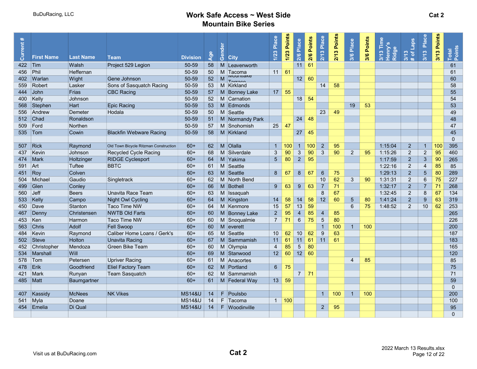| Current #       | <b>First Name</b> | <b>Last Name</b> | Team                                  | <b>Division</b>   | $\overline{Q}$ | Gender                                                                                                     | <b>City</b>                    | Place<br>1/23   | 1/23 Points | 2/6 Place       | 2/6 Points | Place<br>2/13  | 3 Points<br>21 | 3/6 Place       | 3/6 Points | 3/13 Tim<br>Henry's<br>Ridge | # of Laps<br>3/13 | Place<br>3/13  | 3/13 Points | Total<br>Points |
|-----------------|-------------------|------------------|---------------------------------------|-------------------|----------------|------------------------------------------------------------------------------------------------------------|--------------------------------|-----------------|-------------|-----------------|------------|----------------|----------------|-----------------|------------|------------------------------|-------------------|----------------|-------------|-----------------|
| 422 $\vert$ Tim |                   | Walsh            | Project 529 Legion                    | 50-59             | 58             |                                                                                                            | M Leavenworth                  |                 |             | 11              | 61         |                |                |                 |            |                              |                   |                |             | 61              |
| 456             | Phil              | <b>Heffernan</b> |                                       | 50-59             | 50             |                                                                                                            | M Tacoma                       | $11 \ 61$       |             |                 |            |                |                |                 |            |                              |                   |                |             | 61              |
|                 | 402 Warlan        | Wight            | Gene Johnson                          | 50-59             | 52             | $\mathsf{M}% _{T}=\mathsf{M}_{T}\!\left( a,b\right) ,\ \mathsf{M}_{T}=\mathsf{M}_{T}\!\left( a,b\right) ,$ | <b>IVIUUIIIIanc</b><br>Tarroco |                 |             | 12              | 60         |                |                |                 |            |                              |                   |                |             | 60              |
| 559             | Robert            | Lasker           | Sons of Sasquatch Racing              | 50-59             | 53             |                                                                                                            | M Kirkland                     |                 |             |                 |            | 14             | 58             |                 |            |                              |                   |                |             | 58              |
| 444             | John              | Frias            | CBC Racing                            | 50-59             | 57             |                                                                                                            | M Bonney Lake                  | 17 <sup>1</sup> | 55          |                 |            |                |                |                 |            |                              |                   |                |             | 55              |
| 400             | Kelly             | Johnson          |                                       | 50-59             | 52             |                                                                                                            | M Carnation                    |                 |             | 18              | 54         |                |                |                 |            |                              |                   |                |             | 54              |
| 568             | Stephen           | Hart             | <b>Epic Racing</b>                    | 50-59             | 53             |                                                                                                            | M Edmonds                      |                 |             |                 |            |                |                | 19              | 53         |                              |                   |                |             | 53              |
|                 | 556 Andrew        | Demeter          | Hodala                                | 50-59             | 50             |                                                                                                            | M Seattle                      |                 |             |                 |            | 23             | 49             |                 |            |                              |                   |                |             | 49              |
|                 | 512 Chad          | Ronaldson        |                                       | 50-59             | 51             |                                                                                                            | M Normandy Park                |                 |             | 24              | 48         |                |                |                 |            |                              |                   |                |             | 48              |
| 509             | Ford              | Northen          |                                       | 50-59             | 57             |                                                                                                            | M Snohomish                    | $25 \mid 47$    |             |                 |            |                |                |                 |            |                              |                   |                |             | 47              |
| 535 Tom         |                   | Cowin            | <b>Blackfin Webware Racing</b>        | 50-59             | 58             |                                                                                                            | M Kirkland                     |                 |             | 27              | 45         |                |                |                 |            |                              |                   |                |             | 45              |
|                 |                   |                  |                                       |                   |                |                                                                                                            |                                |                 |             |                 |            |                |                |                 |            |                              |                   |                |             | $\mathbf{0}$    |
| 507 Rick        |                   | Raymond          | Old Town Bicycle Ritzman Construction | $60+$             | 62             |                                                                                                            | M Olalla                       | $\mathbf{1}$    | 100         | $\overline{1}$  | 100        | $\overline{2}$ | 95             |                 |            | 1:15:04                      | $\overline{2}$    | $\overline{1}$ | 100         | 395             |
| 437             | Kevin             | Johnson          | <b>Recycled Cycle Racing</b>          | $60+$             | 68             |                                                                                                            | M Silverdale                   | 3               | 90          | $\mathbf{3}$    | 90         | $\mathbf{3}$   | 90             | $\overline{2}$  | 95         | 1:15:26                      | $\overline{2}$    | $\overline{2}$ | 95          | 460             |
| 474   Mark      |                   | Holtzinger       | <b>RIDGE Cyclesport</b>               | $60+$             | 64             |                                                                                                            | M Yakima                       | 5 <sup>5</sup>  | 80          | $\overline{2}$  | 95         |                |                |                 |            | 1:17:59                      | $\overline{2}$    | $\sqrt{3}$     | 90          | 265             |
| 591             | Art               | Tuftee           | <b>BBTC</b>                           | $60+$             | 61             |                                                                                                            | M Seattle                      |                 |             |                 |            |                |                |                 |            | 1:22:16                      | $\overline{2}$    | $\overline{4}$ | 85          | 85              |
| 451 Roy         |                   | Colven           |                                       | $60+$             | 63             |                                                                                                            | M Seattle                      | 8               | 67          | $\bf 8$         | 67         | $6\phantom{.}$ | 75             |                 |            | 1:29:13                      | $\overline{2}$    | $\overline{5}$ | 80          | 289             |
| 504             | Michael           | Gaudio           | Singletrack                           | $60+$             | 62             |                                                                                                            | M North Bend                   |                 |             |                 |            | 10             | 62             | 3               | 90         | 1:31:31                      | 2                 | 6              | 75          | 227             |
| 499             | $\Box$ Glen       | Conley           |                                       | $60+$             | 66             |                                                                                                            | M Bothell                      | 9               | 63          | 9               | 63         | $\overline{7}$ | 71             |                 |            | 1:32:17                      | $\overline{2}$    | $\overline{7}$ | 71          | 268             |
| 560             | $\mathsf{J}$ eff  | <b>Beers</b>     | Unavita Race Team                     | $60+$             | 63             |                                                                                                            | M Issaquah                     |                 |             |                 |            | 8              | 67             |                 |            | 1:32:45                      | $\overline{2}$    | 8              | 67          | 134             |
| 533 Kelly       |                   | Campo            | Night Owl Cycling                     | $60+$             | 64             |                                                                                                            | M Kingston                     | 14              | 58          | 14              | 58         | 12             | 60             | $5\phantom{.0}$ | 80         | 1:41:24                      | $\overline{2}$    | 9              | 63          | 319             |
| 450             | Dave              | Stanton          | Taco Time NW                          | $60+$             | 64             |                                                                                                            | M Kenmore                      | 15              | 57          | 13              | 59         |                |                | 6               | 75         | 1:48:52                      | $\overline{2}$    | 10             | 62          | 253             |
| 467             | Denny             | Christensen      | <b>NWTB Old Farts</b>                 | $60+$             | 60             |                                                                                                            | M Bonney Lake                  | $\overline{2}$  | 95          | $\overline{4}$  | 85         | $\overline{4}$ | 85             |                 |            |                              |                   |                |             | 265             |
| 453             | Ken               | Harmon           | Taco Time NW                          | $60+$             | 60             |                                                                                                            | M Snoqualmie                   | $\overline{7}$  | 71          | $\,6\,$         | 75         | $\overline{5}$ | 80             |                 |            |                              |                   |                |             | 226             |
| 563             | Chris             | <b>Adolf</b>     | <b>Fell Swoop</b>                     | $60+$             | 60             |                                                                                                            | $M$ everett                    |                 |             |                 |            | $\mathbf{1}$   | 100            | $\overline{1}$  | 100        |                              |                   |                |             | 200             |
| 484             | Kevin             | Raymond          | Caliber Home Loans / Gerk's           | $60+$             | 65             |                                                                                                            | M Seattle                      | 10              | 62          | 10 <sup>1</sup> | 62         | $9\,$          | 63             |                 |            |                              |                   |                |             | 187             |
|                 | 502 Steve         | <b>Holton</b>    | <b>Unavita Racing</b>                 | $60+$             | 67             |                                                                                                            | M Sammamish                    | 11              | 61          | 11              | 61         | 11             | 61             |                 |            |                              |                   |                |             | 183             |
| 452             | Christopher       | Mendoza          | Green Bike Team                       | $60+$             | 60             |                                                                                                            | M Olympia                      | 4               | 85          | $\overline{5}$  | 80         |                |                |                 |            |                              |                   |                |             | 165             |
| 534             | Marshall          | Will             |                                       | $60+$             | 69             |                                                                                                            | M Stanwood                     | 12              | 60          | 12              | 60         |                |                |                 |            |                              |                   |                |             | 120             |
| 578             | Tom               | Petersen         | Upriver Racing                        | $60+$             | 61             |                                                                                                            | M Anacortes                    |                 |             |                 |            |                |                | $\overline{4}$  | 85         |                              |                   |                |             | 85              |
| 478 Erik        |                   | Goodfriend       | <b>Eliel Factory Team</b>             | $60+$             | 62             |                                                                                                            | M Portland                     | 6 <sup>1</sup>  | 75          |                 |            |                |                |                 |            |                              |                   |                |             | 75              |
| 421 Mark        |                   | Runyan           | Team Sasquatch                        | $60+$             | 62             |                                                                                                            | M Sammamish                    |                 |             | $\overline{7}$  | 71         |                |                |                 |            |                              |                   |                |             | 71              |
| 485   Matt      |                   | Baumgartner      |                                       | $60+$             | 61             |                                                                                                            | M Federal Way                  | 13              | 59          |                 |            |                |                |                 |            |                              |                   |                |             | 59              |
|                 |                   |                  |                                       |                   |                |                                                                                                            |                                |                 |             |                 |            |                |                |                 |            |                              |                   |                |             | $\mathbf{0}$    |
| 407             | Kassidy           | <b>McNees</b>    | <b>NK Vikes</b>                       | <b>MS14&amp;U</b> | 14             |                                                                                                            | $F$ Poulsbo                    |                 |             |                 |            | $\mathbf{1}$   | 100            | $\overline{1}$  | 100        |                              |                   |                |             | 200             |
| 541 Myla        |                   | Doane            |                                       | <b>MS14&amp;U</b> | 14             |                                                                                                            | F Tacoma                       |                 | 1   100     |                 |            |                |                |                 |            |                              |                   |                |             | 100             |
| 454             | Emelia            | Di Qual          |                                       | <b>MS14&amp;U</b> | 14             |                                                                                                            | F Woodinville                  |                 |             |                 |            | $\overline{2}$ | 95             |                 |            |                              |                   |                |             | 95              |
|                 |                   |                  |                                       |                   |                |                                                                                                            |                                |                 |             |                 |            |                |                |                 |            |                              |                   |                |             | $\Omega$        |
|                 |                   |                  |                                       |                   |                |                                                                                                            |                                |                 |             |                 |            |                |                |                 |            |                              |                   |                |             |                 |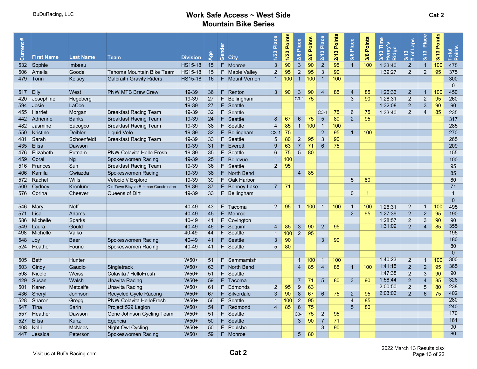| ∗<br>Current: | <b>First Name</b> | <b>Last Name</b> |                                       |                                   | $\bullet$<br><b>DO</b> | Gender | <b>City</b>     | Place<br>1/23   | 1/23 Points | 2/6 Place       | Points<br>2/6 | Place<br>2/13   | Points<br>$\bullet$<br>2/1 | Place<br>3/6    | Points<br>3/6  | Ě<br>Henry's<br>Ridge<br>3/13 | Laps<br>3/13<br>$\overline{\sigma}$ | Place<br>3/13  | Points<br>3/13 | Total<br>Points |
|---------------|-------------------|------------------|---------------------------------------|-----------------------------------|------------------------|--------|-----------------|-----------------|-------------|-----------------|---------------|-----------------|----------------------------|-----------------|----------------|-------------------------------|-------------------------------------|----------------|----------------|-----------------|
|               | Sophie            | Imbeau           | Team                                  | <b>Division</b><br><b>HS15-18</b> | 15                     |        | F Monroe        | $\mathbf{3}$    | 90          | $\mathbf{3}$    | 90            | $\sqrt{2}$      | 95                         | $\overline{1}$  | 100            | 1:33:40                       | $\ast$<br>$\overline{2}$            | $\overline{1}$ | 100            | 475             |
| 532<br>506    | Amelia            | Goode            | Tahoma Mountain Bike Team             | <b>HS15-18</b>                    |                        |        | F Maple Valley  | $\overline{2}$  | 95          | $\overline{2}$  | 95            | $\mathfrak{Z}$  | 90                         |                 |                | 1:39:27                       | $\overline{2}$                      | $\overline{2}$ | 95             | 375             |
| 479           | Torin             | Kelsey           | <b>Galbraith Gravity Riders</b>       | <b>HS15-18</b>                    | 15<br>16               |        | F Mount Vernon  | $\overline{1}$  | 100         | $\overline{1}$  | 100           | $\overline{1}$  | 100                        |                 |                |                               |                                     |                |                | 300             |
|               |                   |                  |                                       |                                   |                        |        |                 |                 |             |                 |               |                 |                            |                 |                |                               |                                     |                |                | $\mathbf{0}$    |
| 517 Elly      |                   | West             | <b>PNW MTB Brew Crew</b>              | 19-39                             | 36                     |        | $F$ Renton      | $\mathbf{3}$    | 90          | $\mathbf{3}$    | 90            | $\overline{4}$  | 85                         | $\overline{4}$  | 85             | 1:26:36                       | $\overline{2}$                      | $\overline{1}$ | 100            | 450             |
| 420           | Josephine         | Hegeberg         |                                       | 19-39                             | 27                     |        | F Bellingham    |                 |             | $C3-1$          | 75            |                 |                            | 3               | 90             | 1:28:31                       | $\overline{2}$                      | $\overline{2}$ | 95             | 260             |
| 594           | Josie             | LaCoe            |                                       | 19-39                             | 27                     |        | F Seattle       |                 |             |                 |               |                 |                            |                 |                | 1:32:08                       | $\overline{2}$                      | $\mathbf{3}$   | 90             | 90              |
| 455           | Harriet           | Morgan           | <b>Breakfast Racing Team</b>          | 19-39                             | 32                     |        | F Seattle       |                 |             |                 |               | $C3-1$          | 75                         | 6               | 75             | 1:33:40                       | $\overline{c}$                      | 4              | 85             | 235             |
| 442           | Adrienne          | <b>Banks</b>     | <b>Breakfast Racing Team</b>          | 19-39                             | 24                     |        | $F$ Seattle     | 8               | 67          | $6\phantom{1}6$ | 75            | $5\phantom{.0}$ | 80                         | $\overline{2}$  | 95             |                               |                                     |                |                | 317             |
| 482           | <b>Jasmine</b>    | Eucogco          | <b>Breakfast Racing Team</b>          | 19-39                             | 38                     |        | F Seattle       | $\overline{4}$  | 85          | $\overline{1}$  | 100           | $\overline{1}$  | 100                        |                 |                |                               |                                     |                |                | 285             |
| 550           | Kristine          | <b>Deibler</b>   | <b>Liquid Velo</b>                    | 19-39                             | 32                     |        | F Bellingham    | $C3-1$          | 75          |                 |               | $\overline{2}$  | 95                         | $\mathbf{1}$    | 100            |                               |                                     |                |                | 270             |
| 481           | Sarah             | Schoenfeldt      | <b>Breakfast Racing Team</b>          | 19-39                             | 33                     |        | F Seattle       | $5\phantom{.0}$ | 80          | $\overline{2}$  | 95            | $\mathbf{3}$    | 90                         |                 |                |                               |                                     |                |                | 265             |
| 435           | Elisa             | Dawson           |                                       | 19-39                             | 31                     |        | $F$ Everett     | 9               | 63          | $\overline{7}$  | 71            | $\,6\,$         | 75                         |                 |                |                               |                                     |                |                | 209             |
| 476           | Elizabeth         | Putnam           | <b>PNW Colavita Hello Fresh</b>       | 19-39                             | 35                     |        | F Seattle       | $6\overline{6}$ | 75          | 5               | 80            |                 |                            |                 |                |                               |                                     |                |                | 155             |
| 459           | Coral             | Ng               | Spokeswomen Racing                    | 19-39                             | 25                     |        | F Bellevue      | $\overline{1}$  | 100         |                 |               |                 |                            |                 |                |                               |                                     |                |                | 100             |
| 516           | Frances           | Sun              | <b>Breakfast Racing Team</b>          | 19-39                             | 36                     |        | F Seattle       | $2^{\circ}$     | 95          |                 |               |                 |                            |                 |                |                               |                                     |                |                | 95              |
| 406           | Kamila            | Gwiazda          | Spokeswomen Racing                    | 19-39                             | 38                     |        | F North Bend    |                 |             | $\overline{4}$  | 85            |                 |                            |                 |                |                               |                                     |                |                | 85              |
| 572           | Rachel            | <b>Wills</b>     | Velocio // Exploro                    | 19-39                             | 39                     |        | F Oak Harbor    |                 |             |                 |               |                 |                            | 5               | 80             |                               |                                     |                |                | 80              |
| 500           | Cydney            | Kronlund         | Old Town Bicycle Ritzman Construction | 19-39                             | 37                     |        | $F$ Bonney Lake | $7^{\circ}$     | 71          |                 |               |                 |                            |                 |                |                               |                                     |                |                | 71              |
|               | 576 Corina        | Cheever          | Queens of Dirt                        | 19-39                             | 33                     |        | $F$ Bellingham  |                 |             |                 |               |                 |                            | $\mathbf{0}$    | $\overline{1}$ |                               |                                     |                |                | $\overline{1}$  |
|               |                   |                  |                                       |                                   |                        |        |                 |                 |             |                 |               |                 |                            |                 |                |                               |                                     |                |                | $\mathbf{0}$    |
| 546           | Mary              | <b>Neff</b>      |                                       | 40-49                             | 43                     |        | F Tacoma        | 2               | 95          | $\overline{1}$  | 100           | $\overline{1}$  | 100                        | $\mathbf{1}$    | 100            | 1:26:31                       | $\overline{2}$                      | $\overline{1}$ | 100            | 495             |
|               | $571$ Lisa        | Adams            |                                       | 40-49                             | 45                     |        | F Monroe        |                 |             |                 |               |                 |                            | $\overline{2}$  | 95             | 1:27:39                       | $\overline{2}$                      | $\overline{2}$ | 95             | 190             |
| 586           | Michelle          | Sparks           |                                       | 40-49                             | 41                     |        | $F$ Covington   |                 |             |                 |               |                 |                            |                 |                | 1:28:57                       | 2                                   | 3              | 90             | 90              |
| 549           | Laura             | Gould            |                                       | 40-49                             | 46                     |        | $F$ Sequim      | $\overline{4}$  | 85          | 3               | 90            | $\overline{2}$  | 95                         |                 |                | 1:31:09                       | 2                                   | $\overline{4}$ | 85             | 355             |
| 498           | Michelle          | Valko            |                                       | 40-49                             | 44                     |        | F Seattle       | $\mathbf{1}$    | 100         | $\overline{2}$  | 95            |                 |                            |                 |                |                               |                                     |                |                | 195             |
| 548           | Jov               | <b>Baer</b>      | Spokeswomen Racing                    | 40-49                             | 41                     |        | $F$ Seattle     | 3               | 90          |                 |               | 3               | 90                         |                 |                |                               |                                     |                |                | 180             |
| 524           | Heather           | Fourie           | Spokeswomen Racing                    | 40-49                             | 41                     |        | F Seattle       | $5\overline{)}$ | 80          |                 |               |                 |                            |                 |                |                               |                                     |                |                | 80              |
|               |                   |                  |                                       |                                   |                        |        |                 |                 |             |                 |               |                 |                            |                 |                |                               |                                     |                |                | $\overline{0}$  |
| 505           | Beth              | Hunter           |                                       | $W50+$                            | 51                     |        | F Sammamish     |                 |             | $\blacklozenge$ | 100           | $\overline{1}$  | 100                        |                 |                | 1:40:23                       | $\overline{2}$                      | $\overline{1}$ | 100            | 300             |
| 503           | Cindy             | Gaudio           | Singletrack                           | $W50+$                            | 63                     |        | F North Bend    |                 |             | $\overline{4}$  | 85            | $\overline{4}$  | 85                         | $\overline{1}$  | 100            | 1:41:15                       | $\overline{2}$                      | $\overline{2}$ | 95             | 365             |
| 598           | <b>Nicole</b>     | Weiss            | Colavita / HelloFresh                 | $W50+$                            | 51                     |        | $F$ Seattle     |                 |             |                 |               |                 |                            |                 |                | 1:47:38                       | $\overline{2}$                      | 3              | 90             | 90              |
| 429           | Susan             | Walsh            | Unavita Racing                        | $W50+$                            | 59                     |        | $F$ Tacoma      |                 |             | $\overline{7}$  | -71           | $5\overline{)}$ | 80                         | 3               | 90             | 1:58:44                       | $\overline{2}$                      | $\overline{4}$ | 85             | 326             |
| 501           | Karen             | Metcalfe         | Unavita Racing                        | $W50+$                            | 61                     |        | $F$ Edmonds     | $\overline{2}$  | 95          | $9\,$           | 63            |                 |                            |                 |                | 2:00:50                       | $\overline{2}$                      | 5              | 80             | 238             |
| 436           | Sheryl            | Johnson          | Recycled Cycle Racong                 | $W50+$                            | 67                     |        | F Silverdale    | 3               | 90          | 8               | 67            | $6\phantom{1}$  | 75                         | $\overline{2}$  | 95             | 2:03:06                       | 2                                   | 6              | 75             | 402             |
| 528           | Sharon            | Gregg            | <b>PNW Colavita HelloFresh</b>        | $W50+$                            | 56                     |        | F Seattle       | $\overline{1}$  | 100         | $\overline{2}$  | 95            |                 |                            | $\overline{4}$  | 85             |                               |                                     |                |                | 280             |
| 547           | ⊺Tina             | Sarin            | Project 529 Legion                    | $W50+$                            | 54                     |        | $F$ Redmond     | $\overline{4}$  | 85          | $6\phantom{1}6$ | 75            |                 |                            | $5\phantom{.0}$ | 80             |                               |                                     |                |                | 240             |
| 557           | Heather           | Dawson           | Gene Johnson Cycling Team             | $W50+$                            | 51                     |        | F Seattle       |                 |             | $C3-1$          | 75            | $\overline{c}$  | 95                         |                 |                |                               |                                     |                |                | 170             |
| 527           | <b>Ellsa</b>      | Kunz             | Egencia                               | $W50+$                            | 50                     |        | $F$ Seattle     |                 |             | 3               | 90            | $\overline{7}$  | 71                         |                 |                |                               |                                     |                |                | 161             |
| 408           | Kelli             | <b>McNees</b>    | <b>Night Owl Cycling</b>              | W50+                              | 50                     |        | F Poulsbo       |                 |             |                 |               | 3               | 90                         |                 |                |                               |                                     |                |                | 90              |
|               | 447 Jessica       | Peterson         | Spokeswomen Racing                    | $W50+$                            | 59                     |        | F Monroe        |                 |             | 5 <sub>5</sub>  | 80            |                 |                            |                 |                |                               |                                     |                |                | 80              |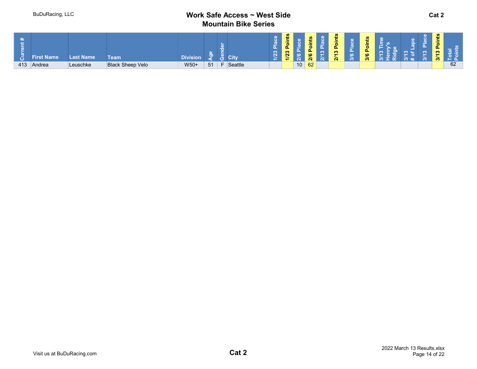| ÷ | <b>First Name</b> | <b>Last Name</b> | Team                    | <b>Division</b> |    |    | <b>City</b> | ∼<br>23 | <b>SC</b><br>- 30<br><b>L</b><br>23 |         |  | .ш<br><b>CO</b><br>$\sim$ | <b>SG</b><br>-<br>$\sim$<br>. .<br>$\circ$ | - - |  | ഇ<br>$\sim$<br>0<br>$\mathbf{a}$<br>ຶ<br>$\sim$ |    |  |
|---|-------------------|------------------|-------------------------|-----------------|----|----|-------------|---------|-------------------------------------|---------|--|---------------------------|--------------------------------------------|-----|--|-------------------------------------------------|----|--|
|   | 413 Andrea        | Leuschke         | <b>Black Sheep Velo</b> | W50+            | 51 | Ε. | Seattle     |         |                                     | $10$ 62 |  |                           |                                            |     |  |                                                 | 62 |  |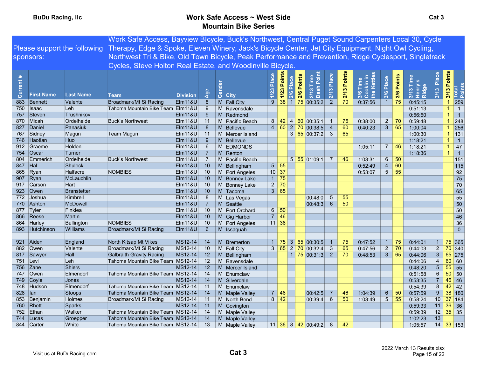|            |                   |                              | Work Safe Access, Bayview Blcycle, Buck's Northwest, Central Puget Sound Carpenters Local 30, Cycle    |                    |                 |         |                 |                 |                             |           |                                                          |                 |             |                                                              |                 |             |                           |                                       |                      |                 |
|------------|-------------------|------------------------------|--------------------------------------------------------------------------------------------------------|--------------------|-----------------|---------|-----------------|-----------------|-----------------------------|-----------|----------------------------------------------------------|-----------------|-------------|--------------------------------------------------------------|-----------------|-------------|---------------------------|---------------------------------------|----------------------|-----------------|
|            |                   | Please support the following | Therapy, Edge & Spoke, Eleven Winery, Jack's Bicycle Center, Jet City Equipment, Night Owl Cycling,    |                    |                 |         |                 |                 |                             |           |                                                          |                 |             |                                                              |                 |             |                           |                                       |                      |                 |
|            | sponsors:         |                              | Northwest Tri & Bike, Old Town Bicycle, Peak Performance and Prevention, Ridge Cyclesport, Singletrack |                    |                 |         |                 |                 |                             |           |                                                          |                 |             |                                                              |                 |             |                           |                                       |                      |                 |
|            |                   |                              |                                                                                                        |                    |                 |         |                 |                 |                             |           |                                                          |                 |             |                                                              |                 |             |                           |                                       |                      |                 |
|            |                   |                              | Cycles, Steve Holton Real Estate, and Woodinville Bicycle                                              |                    |                 |         |                 |                 |                             |           |                                                          |                 |             |                                                              |                 |             |                           |                                       |                      |                 |
| rent<br>ទី | <b>First Name</b> | <b>Last Name</b>             | <b>Team</b>                                                                                            | <b>Division</b>    | <b>Age</b>      | $\circ$ | <b>City</b>     | Place<br>1/23   | Points<br>1/2               | 2/6 Place | Points<br>$\circ$<br>$\Delta$<br>$2/13$ T<br>Dash<br>2/6 | 2/13 Place      | 2/13 Points | ookin ir<br>ne Kettle<br>3/6 Time<br>Cookin ir<br>the Kettle | Place<br>3/6    | 3/6 Points  | 3/13 Ti<br>Henry<br>Ridge | Place<br>$\boldsymbol{\infty}$<br>3/1 | 3/13 Points          | Total<br>Points |
| 883        | Bennett           | Valente                      | Broadmark/Mt Si Racing                                                                                 | <b>Elm11&amp;U</b> | 8               |         | M Fall City     | 9 <sup>°</sup>  |                             |           | 38 1 75 00:35:2                                          | $\overline{2}$  | 70          | 0:37:56                                                      | $\overline{1}$  | 75          | 0:45:15                   |                                       | $\mathbf{1}$         | 259             |
|            | 750 Isaac         | Leh                          | Tahoma Mountain Bike Team Elm11&U                                                                      |                    | 9               |         | M Ravensdale    |                 |                             |           |                                                          |                 |             |                                                              |                 |             | 0:51:13                   |                                       |                      | $\overline{1}$  |
|            | 757 Steven        | Trushnikov                   |                                                                                                        | Elm11&U            | -9              |         | M Redmond       |                 |                             |           |                                                          |                 |             |                                                              |                 |             | 0:56:50                   |                                       | 1                    | $\overline{1}$  |
|            | 870 Micah         | Ordelheide                   | <b>Buck's Northwest</b>                                                                                | Elm11&U            | 11              |         | M Pacific Beach | 8               |                             |           | $142$ 4 60 00:35:1                                       | $\overline{1}$  | 75          | 0:38:00                                                      | $\overline{2}$  | 70          | 0:59:48                   |                                       | $\mathbf{1}$         | 248             |
| 827        | Daniel            | Panasiuk                     |                                                                                                        | <b>Elm11&amp;U</b> | 8               | M       | Bellevue        |                 |                             |           | 4 60 2 70 00:38:5                                        | $\overline{4}$  | 60          | 0:40:23                                                      | 3 <sup>1</sup>  | 65          | 1:00:04                   |                                       | $\blacktriangleleft$ | 256             |
|            | 767 Sidney        | Magun                        | Team Magun                                                                                             | $E$ Im11&U         | 11              |         | M Mercer Island |                 |                             |           | 3 65 00:37:2 3                                           |                 | 65          |                                                              |                 |             | 1:00:30                   |                                       | $\mathbf{1}$         | 131             |
|            | 746 Haotian       | Huo                          |                                                                                                        | <b>Elm11&amp;U</b> | 9               | M       | Bellevue        |                 |                             |           |                                                          |                 |             |                                                              |                 |             | 1:18:21                   |                                       | $\mathbf{1}$         | $\vert$ 1       |
|            | 912 Graeme        | Holden                       |                                                                                                        | Elm11&U            | $6\phantom{.}6$ |         | M EDMONDS       |                 |                             |           |                                                          |                 |             | 1:05:11                                                      |                 | $7 \mid 46$ | 1:18:21                   |                                       | -1                   | 47              |
|            | 754 Oscar         | Turner                       |                                                                                                        | Elm11&U            | $\overline{7}$  |         | $M$ Renton      |                 |                             |           |                                                          |                 |             |                                                              |                 |             | 1:18:36                   |                                       | $\mathbf{1}$         | $\overline{1}$  |
| 804        | Emmerich          | Ordelheide                   | <b>Buck's Northwest</b>                                                                                | Elm11&U            | $\overline{7}$  |         | M Pacific Beach |                 |                             |           | $5 \,   \, 55 \,   \, 01:09:1 \,   \,$                   | $\overline{7}$  | 46          | 1:03:31                                                      | 6               | -50         |                           |                                       |                      | 151             |
|            | 847 Hal           | <b>Shulock</b>               |                                                                                                        | <b>Elm11&amp;U</b> | 10              |         | M Bellingham    |                 | $5 \vert 55$                |           |                                                          |                 |             | 0:52:49                                                      | $\overline{4}$  | 60          |                           |                                       |                      | 115             |
|            | 865 Ryan          | Halfacre                     | NOMBIES                                                                                                | Elm11&U            | 10              |         | M Port Angeles  |                 | $10 \vert 37$               |           |                                                          |                 |             | 0:53:07                                                      | $\sqrt{5}$      | 55          |                           |                                       |                      | 92              |
|            | 907 Ryan          | McLauchlin                   |                                                                                                        | <b>Elm11&amp;U</b> | 10              |         | M Bonney Lake   | 1               | 75                          |           |                                                          |                 |             |                                                              |                 |             |                           |                                       |                      | 75              |
|            | 917 Carson        | Hart                         |                                                                                                        | $E$ Im11&U         | 10              |         | M Bonney Lake   | $2^{\circ}$     | 70                          |           |                                                          |                 |             |                                                              |                 |             |                           |                                       |                      | 70              |
|            | 923 Owen          | <b>Branstetter</b>           |                                                                                                        | <b>Elm11&amp;U</b> | 10              |         | M Tacoma        |                 | 3   65                      |           |                                                          |                 |             |                                                              |                 |             |                           |                                       |                      | 65              |
|            | 772 Joshua        | Kimbrell                     |                                                                                                        | Elm11&U            | $8\phantom{1}$  |         | M Las Vegas     |                 |                             |           | 00:48:0                                                  | $\sqrt{5}$      | 55          |                                                              |                 |             |                           |                                       |                      | 55              |
|            | 770 Ashton        | <b>McDowell</b>              |                                                                                                        | Elm11&U            | $\overline{7}$  |         | M Seattle       |                 |                             |           | 00:48:3                                                  | $6\phantom{1}6$ | 50          |                                                              |                 |             |                           |                                       |                      | 50              |
|            | 877 Tyler         | Finklea                      |                                                                                                        | $E$ Im11&U         | 10              |         | M Port Orchard  | $6\overline{6}$ | 50                          |           |                                                          |                 |             |                                                              |                 |             |                           |                                       |                      | 50              |
|            | 866 Reese         | <b>Martin</b>                |                                                                                                        | <b>Elm11&amp;U</b> | 10              |         | M Gig Harbor    | 7 <sup>1</sup>  | 46                          |           |                                                          |                 |             |                                                              |                 |             |                           |                                       |                      | 46              |
|            | 864 Harley        | <b>Bullington</b>            | <b>NOMBIES</b>                                                                                         | Elm11&U            | 10              |         | M Port Angeles  |                 | $11 \overline{\smash{)}36}$ |           |                                                          |                 |             |                                                              |                 |             |                           |                                       |                      | 36              |
|            | 893 Hutchinson    | Williams                     | Broadmark/Mt Si Racing                                                                                 | Elm11&U            | $6\phantom{1}6$ |         | M Issaquah      |                 |                             |           |                                                          |                 |             |                                                              |                 |             |                           |                                       |                      | $\overline{0}$  |
|            |                   |                              |                                                                                                        |                    |                 |         |                 |                 |                             |           |                                                          |                 |             |                                                              |                 |             |                           |                                       |                      |                 |
|            | 921 Aiden         | England                      | North Kitsap Mt Vikes                                                                                  | MS12-14            | 14              |         | M Bremerton     | $\overline{1}$  |                             |           | 75 3 65 00:30:5                                          |                 | 75          | 0:47:52                                                      | $\mathbf{1}$    | 75          | 0:44:01                   | $\overline{1}$                        |                      | 75 365          |
|            | 882 Owen          | Valente                      | Broadmark/Mt Si Racing                                                                                 | MS12-14            | 10              |         | M Fall City     |                 |                             |           | $3 \t 65 \t 2 \t 70 \t 00:32:4$                          | $\mathbf{3}$    | 65          | 0:47:56                                                      | $2^{\circ}$     | 70          | 0:44:03                   | $2^{\circ}$                           |                      | 70 340          |
|            | 817 Sawyer        | Hall                         | <b>Galbraith Gravity Racing</b>                                                                        | MS12-14            | 12              | M       | Bellingham      |                 |                             |           | $1 \overline{75} \overline{00:31:3}$ 2                   |                 | 70          | 0:48:53                                                      | $\mathbf{3}$    | 65          | 0:44:06                   | $\mathbf{3}$                          | $65$ 275             |                 |
|            | 751 Levi          | Leh                          | Tahoma Mountain Bike Team MS12-14                                                                      |                    | 12              | M       | Ravensdale      |                 |                             |           |                                                          |                 |             |                                                              |                 |             | 0:44:06                   | $\overline{4}$                        | 60                   | 60              |
|            | 756 Zane          | <b>Shiers</b>                |                                                                                                        | MS12-14            | 12              |         | M Mercer Island |                 |                             |           |                                                          |                 |             |                                                              |                 |             | 0:48:20                   | $\sqrt{5}$                            | 55                   | 55              |
|            | 747 Owen          | Elmendorf                    | Tahoma Mountain Bike Team MS12-14                                                                      |                    | 14              |         | M Enumclaw      |                 |                             |           |                                                          |                 |             |                                                              |                 |             | 0:51:58                   | $\,6\,$                               | 50                   | 50              |
|            | 749 Coyle         | Jones                        |                                                                                                        | MS12-14            | 14              |         | M Silverdale    |                 |                             |           |                                                          |                 |             |                                                              |                 |             | 0:53:35                   | $7^{\circ}$                           | 46                   | 46              |
|            | 748 Hudson        | Elmendorf                    | Tahoma Mountain Bike Team   MS12-14                                                                    |                    | 11              |         | M Enumclaw      |                 |                             |           |                                                          |                 |             |                                                              |                 |             | 0:54:39                   | 8                                     | 42                   | 42              |
| 828 lan    |                   | <b>Stoops</b>                | Tahoma Mountain Bike Team MS12-14                                                                      |                    | 14              |         | M Maple Valley  | $\overline{7}$  | 46                          |           | 00:42:5                                                  | $\overline{7}$  | 46          | 1:04:39                                                      | $6\phantom{1}6$ | 50          | 0:57:59                   | $9$                                   | 38                   | 180             |
|            | 853 Benjamin      | Holmes                       | Broadmark/Mt Si Racing                                                                                 | MS12-14            | 11              |         | M North Bend    |                 | $8 \mid 42$                 |           | 00:39:4                                                  | $6\phantom{1}$  | 50          | 1:03:49                                                      | 5 <sup>5</sup>  | 55          | 0:58:24                   |                                       | 10 37 184            |                 |
|            | 760 $ R$ hett     | <b>Sparks</b>                |                                                                                                        | MS12-14            | 11              |         | M Covington     |                 |                             |           |                                                          |                 |             |                                                              |                 |             | 0:59:33                   | 11                                    | 36                   | 36              |
|            | 752 Ethan         | Walker                       | Tahoma Mountain Bike Team MS12-14                                                                      |                    | 14              |         | M Maple Valley  |                 |                             |           |                                                          |                 |             |                                                              |                 |             | 0:59:39                   |                                       | $12 \mid 35 \mid 35$ |                 |
|            | 744 Lucas         | Groepper                     | Tahoma Mountain Bike Team MS12-14                                                                      |                    | 14              |         | M Maple Valley  |                 |                             |           |                                                          |                 |             |                                                              |                 |             | 1:02:23                   | 13                                    |                      |                 |
|            | 844 Carter        | White                        | Tahoma Mountain Bike Team   MS12-14                                                                    |                    | 13              |         | M Maple Valley  |                 |                             |           | 11 36 8 42 00:49:2                                       | 8               | 42          |                                                              |                 |             | 1:05:57                   | 14                                    |                      | 33 153          |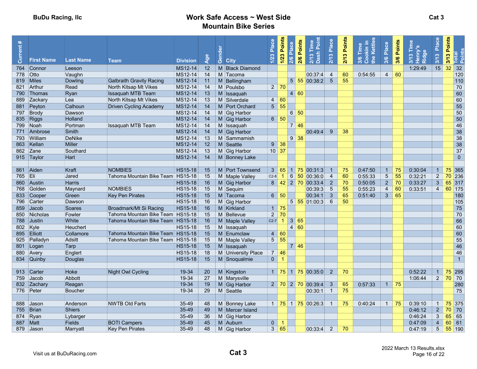| $\ast$<br>rent | <b>First Name</b> | <b>Last Name</b> | <b>Team</b>                         | <b>Division</b> | Age | $\omega$<br>Gend<br><b>City</b> | Place<br>1/23  | Points<br>Place<br>1/23<br>2/6 | Points<br>2/6        | $\mathbf{a}$<br>$2/13$ T<br>Dash                            | 2/13 Place      | 2/13 Points | okin in<br>Kettles<br>Time<br>$rac{1}{2}$<br>3/6 | Place<br>3/6    | Points<br>3/6     | Ridge<br>$\boldsymbol{\omega}$<br>$\frac{2}{3}$ | Place<br>3/13  | 3/13 Points | Total<br>Points |
|----------------|-------------------|------------------|-------------------------------------|-----------------|-----|---------------------------------|----------------|--------------------------------|----------------------|-------------------------------------------------------------|-----------------|-------------|--------------------------------------------------|-----------------|-------------------|-------------------------------------------------|----------------|-------------|-----------------|
|                | 764 Connor        | Leeson           |                                     | MS12-14         | 12  | M Black Diamond                 |                |                                |                      |                                                             |                 |             |                                                  |                 |                   | 1:29:49                                         | 15             | 32          | 32              |
| 778 Otto       |                   | Vaughn           |                                     | MS12-14         | 14  | M Tacoma                        |                |                                |                      | 00:37:4                                                     | -4              | 60          | 0:54:55                                          | $\overline{4}$  | 60                |                                                 |                |             | 120             |
|                | 819 Miles         | Dowling          | <b>Galbraith Gravity Racing</b>     | MS12-14         | 11  | M Bellingham                    |                |                                |                      | 5 55 00:38:2                                                | $5\overline{5}$ | 55          |                                                  |                 |                   |                                                 |                |             | 110             |
|                | 821 Arthur        | Read             | North Kitsap Mt Vikes               | MS12-14         | 14  | M Poulsbo                       |                | $2 \mid 70$                    |                      |                                                             |                 |             |                                                  |                 |                   |                                                 |                |             | 70              |
|                | 790 Thomas        | Ryan             | <b>Issaquah MTB Team</b>            | MS12-14         | 13  | M Issaguah                      |                |                                | 4 60                 |                                                             |                 |             |                                                  |                 |                   |                                                 |                |             | 60              |
|                | 889 Zackary       | Lea              | North Kitsap Mt Vikes               | MS12-14         | 13  | M Silverdale                    | $\overline{4}$ | 60                             |                      |                                                             |                 |             |                                                  |                 |                   |                                                 |                |             | 60              |
|                | 881 Peyton        | Calhoun          | <b>Driven Cycling Academy</b>       | MS12-14         | 14  | M Port Orchard                  | 5 <sup>5</sup> | 55                             |                      |                                                             |                 |             |                                                  |                 |                   |                                                 |                |             | 55              |
|                | 797 Brody         | Dawson           |                                     | MS12-14         | 14  | M Gig Harbor                    |                |                                | $6 \overline{50}$    |                                                             |                 |             |                                                  |                 |                   |                                                 |                |             | 50              |
|                | 835 Riggs         | Holland          |                                     | MS12-14         | 14  | M Gig Harbor                    |                | $6 \mid 50$                    |                      |                                                             |                 |             |                                                  |                 |                   |                                                 |                |             | 50              |
|                | 799 Noah          | Portman          | <b>Issaquah MTB Team</b>            | MS12-14         | 14  | M Issaquah                      |                |                                | 7 46                 |                                                             |                 |             |                                                  |                 |                   |                                                 |                |             | 46              |
|                | 771 Ambrose       | Smith            |                                     | MS12-14         | 14  | M Gig Harbor                    |                |                                |                      | 00:49:4                                                     | 9               | 38          |                                                  |                 |                   |                                                 |                |             | 38              |
|                | 793 William       | <b>DeNike</b>    |                                     | MS12-14         | 13  | M Sammamish                     |                |                                | $9 \mid 38$          |                                                             |                 |             |                                                  |                 |                   |                                                 |                |             | 38              |
|                | 863 Kellan        | <b>Miller</b>    |                                     | MS12-14         | 12  | $M$ Seattle                     | 9 <sup>°</sup> | 38                             |                      |                                                             |                 |             |                                                  |                 |                   |                                                 |                |             | 38              |
|                | 862 Zane          | Southard         |                                     | MS12-14         | 13  | M Gig Harbor                    | $10 \vert 37$  |                                |                      |                                                             |                 |             |                                                  |                 |                   |                                                 |                |             | 37              |
|                | 915 Taylor        | Hart             |                                     | MS12-14         | 14  | M Bonney Lake                   |                |                                |                      |                                                             |                 |             |                                                  |                 |                   |                                                 |                |             | $\overline{0}$  |
|                |                   |                  |                                     |                 |     |                                 |                |                                |                      |                                                             |                 |             |                                                  |                 |                   |                                                 |                |             |                 |
|                | 861 Aiden         | Kraft            | <b>NOMBIES</b>                      | <b>HS15-18</b>  | 15  | M Port Townsend                 | $\mathbf{3}$   |                                |                      | $65 \mid 1 \mid 75 \mid 00:31:3$                            |                 | 75          | 0:47:50                                          | $\mathbf{1}$    | -75               | 0:30:04                                         | $\mathbf{1}$   |             | 75 365          |
| 765 Eli        |                   | Jared            | Tahoma Mountain Bike Team HS15-18   |                 | 15  | M Maple Valley                  | $C2-8$         | $\vert$ 1                      | $6 \overline{50}$    | 00:36:0                                                     | $\overline{4}$  | 60          | 0:55:33                                          | $5\phantom{.0}$ | 55                | 0:32:21                                         | $2^{\circ}$    |             | 70 236          |
|                | 860 Austin        | <b>Harris</b>    |                                     | <b>HS15-18</b>  | 16  | M Gig Harbor                    |                |                                |                      | $8 \,   \, 42 \,   \, 2 \,   \, 70 \,   \, 00:33:4 \,   \,$ | $\overline{2}$  | 70          | 0:50:05                                          | 2 <sup>7</sup>  | 70                | 0:33:27                                         | 3 <sup>7</sup> |             | $65$ 317        |
| 768            | Golden            | Maynard          | <b>NOMBIES</b>                      | <b>HS15-18</b>  | 15  | M Sequim                        |                |                                |                      | 00:39:3                                                     | 5               | 55          | 0:55:23                                          | $\overline{4}$  | 60                | 0:33:51                                         | $\overline{4}$ |             | 60 175          |
|                | 833 Cooper        | Green            | <b>Key Pen Pirates</b>              | <b>HS15-18</b>  | 15  | M Tacoma                        |                | $6 \mid 50$                    |                      | 00:34:1                                                     | $\mathbf{3}$    | 65          | 0:51:40                                          | $\mathbf{3}$    | 65                |                                                 |                |             | 180             |
|                | 796 Carter        | Dawson           |                                     | <b>HS15-18</b>  | 16  | M Gig Harbor                    |                |                                |                      | $5 \overline{55} \overline{01:00:3}$                        | 6               | 50          |                                                  |                 |                   |                                                 |                |             | 105             |
|                | 859 Jacob         | <b>Soares</b>    | Broadmark/Mt Si Racing              | <b>HS15-18</b>  | 16  | M Kirkland                      | $1 \vert 75$   |                                |                      |                                                             |                 |             |                                                  |                 |                   |                                                 |                |             | 75              |
|                | 850 Nicholas      | Fowler           | Tahoma Mountain Bike Team HS15-18   |                 | 15  | M Bellevue                      |                | $2 \mid 70$                    |                      |                                                             |                 |             |                                                  |                 |                   |                                                 |                |             | 70              |
|                | 788 Justin        | White            | Tahoma Mountain Bike Team   HS15-18 |                 | 16  | M Maple Valley                  | $C2-7$ 1       |                                | 3 65                 |                                                             |                 |             |                                                  |                 |                   |                                                 |                |             | 66              |
| 802 Kyle       |                   | Heuchert         |                                     | <b>HS15-18</b>  | 15  | M Issaquah                      |                |                                | 4 <sup>1</sup><br>60 |                                                             |                 |             |                                                  |                 |                   |                                                 |                |             | 60              |
|                | 895 Elliott       | Collamore        | Tahoma Mountain Bike Team HS15-18   |                 | 15  | M Enumclaw                      | $\overline{4}$ | 60                             |                      |                                                             |                 |             |                                                  |                 |                   |                                                 |                |             | 60              |
|                | 925 Palladyn      | Adsitt           | Tahoma Mountain Bike Team HS15-18   |                 | 15  | M Maple Valley                  |                | $5 \vert 55$                   |                      |                                                             |                 |             |                                                  |                 |                   |                                                 |                |             | 55              |
|                | 801 Logan         | Tarp             |                                     | <b>HS15-18</b>  | 15  | M Issaquah                      |                |                                | 7 46                 |                                                             |                 |             |                                                  |                 |                   |                                                 |                |             | 46              |
|                | 880 Avery         | Englert          |                                     | <b>HS15-18</b>  | 18  | M University Place              | $\overline{7}$ | 46                             |                      |                                                             |                 |             |                                                  |                 |                   |                                                 |                |             | 46              |
|                | 834 Quinby        | Douglas          |                                     | <b>HS15-18</b>  | 15  | M Snoqualmie                    | $\mathbf{0}$   | $\overline{1}$                 |                      |                                                             |                 |             |                                                  |                 |                   |                                                 |                |             | $\overline{1}$  |
|                |                   |                  |                                     |                 |     |                                 |                |                                |                      |                                                             |                 |             |                                                  |                 |                   |                                                 |                |             |                 |
|                | 913 Carter        | <b>Hoke</b>      | Night Owl Cycling                   | 19-34           | 20  | M Kingston                      |                |                                |                      | $1 \mid 75 \mid 1 \mid 75 \mid 00:35:0$                     | $\overline{2}$  | 70          |                                                  |                 |                   | 0:52:22                                         | $\mathbf{1}$   | 75          | 295             |
|                | 759 Jacob         | Abbott           |                                     | 19-34           | 27  | M Marysville                    |                |                                |                      |                                                             |                 |             |                                                  |                 |                   | 1:06:44                                         | $\overline{2}$ | 70          | 70              |
|                | 832 Zachary       | Reagan           |                                     | 19-34           | 19  | M Gig Harbor                    |                |                                |                      | $2 \mid 70 \mid 2 \mid 70 \mid 00:39:4$                     | $\mathbf{3}$    | 65          | 0:57:33                                          |                 | $1 \overline{75}$ |                                                 |                |             | 280             |
|                | 776 Peter         | <b>Boucher</b>   |                                     | 19-34           | 29  | M Seattle                       |                |                                |                      | 00:30:1                                                     | $\overline{1}$  | 75          |                                                  |                 |                   |                                                 |                |             | 75              |
|                |                   |                  |                                     |                 |     |                                 |                |                                |                      |                                                             |                 |             |                                                  |                 |                   |                                                 |                |             |                 |
|                | 888 Jason         | Anderson         | <b>NWTB Old Farts</b>               | 35-49           | 48  | M Bonney Lake                   |                |                                |                      | 1 75 1 75 00:26:3                                           |                 | 75          | 0:40:24                                          |                 | $1 \mid 75$       | 0:39:10                                         | 1              |             | 75 375          |
|                | 755 Brian         | <b>Shiers</b>    |                                     | 35-49           | 49  | M Mercer Island                 |                |                                |                      |                                                             |                 |             |                                                  |                 |                   | 0:46:12                                         | 2 <sup>1</sup> | 70          | 70              |
|                | 874 Ryan          | Lybarger         |                                     | 35-49           | 36  | M Gig Harbor                    |                |                                |                      |                                                             |                 |             |                                                  |                 |                   | 0:46:24                                         | $\mathbf{3}$   | 65          | 65              |
| 887 Matt       |                   | <b>Fields</b>    | <b>BOTI Campers</b>                 | 35-49           | 45  | M Auburn                        | $\mathbf{0}$   |                                |                      |                                                             |                 |             |                                                  |                 |                   | 0:47:09                                         | $\overline{4}$ | 60          | 61              |
|                | 879 Jason         | Marryatt         | <b>Key Pen Pirates</b>              | 35-49           | 48  | M Gig Harbor                    | 3 <sup>1</sup> | 65                             |                      | 00:33:4                                                     | $\overline{2}$  | 70          |                                                  |                 |                   | 0:47:19                                         | 5 <sup>1</sup> |             | 55 190          |
|                |                   |                  |                                     |                 |     |                                 |                |                                |                      |                                                             |                 |             |                                                  |                 |                   |                                                 |                |             |                 |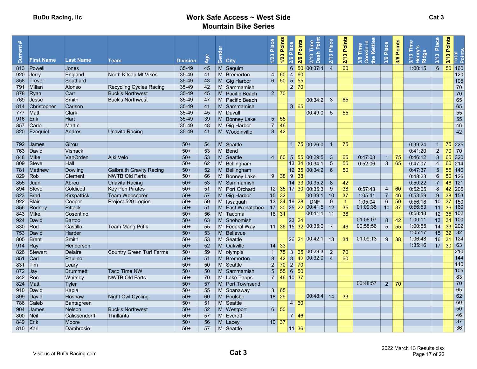| $\ast$<br>rent<br>ā | <b>First Name</b> | <b>Last Name</b>   | Team                            | <b>Division</b> | $\frac{96}{5}$ | ලී<br><b>City</b>        | Place<br>1/23      | Points<br>2/6 Place<br>$1/23$ |                   | Points<br>2/6 | $2/13$ T<br>Dash                     | Place<br>2/13                    | Points<br>$\bullet$<br>$\sum$ | kin in<br>Kettles<br>Time<br>$\frac{1}{2}$<br>3/6 | Place<br>3/6       | Points<br>3/6     | <b>Alue</b><br>Henry<br>Ridge<br>$\infty$<br>$\frac{5}{2}$ | Place<br>3/13   | 3/13 Points | Total<br>Points |
|---------------------|-------------------|--------------------|---------------------------------|-----------------|----------------|--------------------------|--------------------|-------------------------------|-------------------|---------------|--------------------------------------|----------------------------------|-------------------------------|---------------------------------------------------|--------------------|-------------------|------------------------------------------------------------|-----------------|-------------|-----------------|
|                     | 813 Powell        | Jones              |                                 | $35 - 49$       | 45             | M Sequim                 |                    |                               | $6\phantom{1}$    |               | 50 00:37:4                           | $\overline{4}$                   | 60                            |                                                   |                    |                   | 1:00:15                                                    | $6\phantom{a}$  | 50          | 160             |
|                     | 920 Jerry         | England            | North Kitsap Mt Vikes           | 35-49           | 41             | M Bremerton              | $\overline{4}$     | $\overline{4}$<br>60          |                   | 60            |                                      |                                  |                               |                                                   |                    |                   |                                                            |                 |             | 120             |
|                     | 858 Trevor        | Southard           |                                 | 35-49           | 43             | M Gig Harbor             |                    | $6 \mid 50$                   | $5 \overline{55}$ |               |                                      |                                  |                               |                                                   |                    |                   |                                                            |                 |             | 105             |
|                     | 791 Millan        | Alonso             | <b>Recycling Cycles Racing</b>  | 35-49           | 42             | M Sammamish              |                    |                               | 2 70              |               |                                      |                                  |                               |                                                   |                    |                   |                                                            |                 |             | 70              |
|                     | 878 Ryan          | Carr               | <b>Buck's Northwest</b>         | 35-49           | 45             | M Pacific Beach          |                    | $2 \mid 70$                   |                   |               |                                      |                                  |                               |                                                   |                    |                   |                                                            |                 |             | 70              |
| 769                 | $\vert$ Jesse     | Smith              | <b>Buck's Northwest</b>         | 35-49           | 47             | M Pacific Beach          |                    |                               |                   |               | 00:34:2                              | 3                                | 65                            |                                                   |                    |                   |                                                            |                 |             | 65              |
|                     | 814 Christopher   | Carlson            |                                 | 35-49           | 41             | M Sammamish              |                    |                               | 3 65              |               |                                      |                                  |                               |                                                   |                    |                   |                                                            |                 |             | 65              |
|                     | 777 Matt          | Clark              |                                 | 35-49           | 45             | M Duvall                 |                    |                               |                   |               | 00:49:0                              | $5\phantom{.0}$                  | 55                            |                                                   |                    |                   |                                                            |                 |             | 55              |
| 916 Erik            |                   | <b>Hart</b>        |                                 | $35 - 49$       | 39             | M Bonney Lake            | 5 <sub>5</sub>     | 55                            |                   |               |                                      |                                  |                               |                                                   |                    |                   |                                                            |                 |             | 55              |
|                     | 857 Carlo         | Martin             |                                 | 35-49           | 48             | M Gig Harbor             | $\overline{7}$     | 46                            |                   |               |                                      |                                  |                               |                                                   |                    |                   |                                                            |                 |             | 46              |
|                     | 820 Ezequiel      | <b>Andres</b>      | <b>Unavita Racing</b>           | 35-49           | 41             | M Woodinville            | 8 <sup>1</sup>     | 42                            |                   |               |                                      |                                  |                               |                                                   |                    |                   |                                                            |                 |             | 42              |
|                     |                   |                    |                                 |                 |                |                          |                    |                               |                   |               |                                      |                                  |                               |                                                   |                    |                   |                                                            |                 |             |                 |
|                     | 792 James         | Girou              |                                 | $50+$           | 54             | M Seattle                |                    |                               |                   |               | $1 \overline{75} \overline{00:26:0}$ |                                  | 75                            |                                                   |                    |                   | 0:39:24                                                    |                 |             | $75$ 225        |
|                     | 763 David         | Visnack            |                                 | $50+$           | 53             | M Bend                   |                    |                               |                   |               |                                      |                                  |                               |                                                   |                    |                   | 0:41:20                                                    | $\sqrt{2}$      | 70          | 70              |
|                     | 848 Mike          | VanOrden           | Alki Velo                       | $50+$           | 53             | M Seattle                | $\overline{4}$     |                               |                   |               | 60 5 55 00:29:5                      | 3                                | 65                            | 0:47:03                                           | $\mathbf{1}$       | 75                | 0:46:12                                                    | $\mathbf{3}$    | 65          | 320             |
|                     | 809 Steve         | Hall               |                                 | $50+$           | 62             | M Bellingham             |                    |                               |                   |               | 13 34 00:34:1                        | $5\phantom{.0}$                  | 55                            | 0:52:06                                           | 3                  | 65                | 0:47:07                                                    | $\overline{4}$  |             | 60 214          |
|                     | 781 Matthew       | <b>Dowling</b>     | <b>Galbraith Gravity Racing</b> | $50+$           | 52             | M Bellingham             |                    |                               |                   |               | 12 35 00:34:2                        | - 6                              | 50                            |                                                   |                    |                   | 0:47:37                                                    | $\sqrt{5}$      | 55          | 140             |
| 829 Rob             |                   | Clement            | <b>NWTB Old Farts</b>           | $50+$           | 66             | M Bonney Lake            |                    | $9 \ 38 \ 9 \ 38$             |                   |               |                                      |                                  |                               |                                                   |                    |                   | 0:48:23                                                    | $6\phantom{.}$  |             | $50$ 126        |
| 855                 | $ $ Juan          | Abreu              | Unavita Racing                  | $50+$           | 53             | M Sammamish              |                    |                               |                   |               | 14 33 00:35:2                        | - 8                              | 42                            |                                                   |                    |                   | 0:50:22                                                    | $\overline{7}$  | 46          | 121             |
| 894                 | Steve             | Coldicott          | Key Pen Pirates                 | $50+$           | 51             | M Port Orchard           |                    |                               |                   |               | 12 35 17 30 00:35:3                  | 9                                | 38                            | 0:57:43                                           | 4                  | 60                | 0:52:05                                                    | 8               | 42          | 205             |
| 823                 | Brad              | Kirkpatrick        | <b>Team Webscorer</b>           | $50+$           | 57             | M Gig Harbor             | 15                 | 32                            |                   |               | 00:39:1                              | 10                               | 37                            | 1:05:41                                           | $\overline{7}$     | 46                | 0:53:59                                                    | 9               |             | 38 153          |
| 922                 | Blair             | Cooper             | Project 529 Legion              | $50+$           | 59             | M Issaguah               | 13                 | $34$ 19 28                    |                   |               | <b>DNF</b>                           | $\mathbf{0}$                     | -1                            | 1:05:04                                           | $6\phantom{1}$     | 50                | 0:56:18                                                    | 10 <sup>1</sup> | 37          | 150             |
|                     | 856 Rodney        | <b>Pittack</b>     |                                 | $50+$           | 51             | M East Wenatchee         | 17                 |                               |                   |               | 30 25 22 00:41:5                     | 12                               | 35                            | 01:09:38                                          | $10 \overline{37}$ |                   | 0:56:53                                                    | 11 <sup>1</sup> | 36          | 160             |
|                     | 843 Mike          | Cosentino          |                                 | $50+$           | 56             | M Tacoma                 |                    | $16$ 31                       |                   |               | $\boxed{00:41:1 \boxed{11}}$         |                                  | 36                            |                                                   |                    |                   | 0:58:48                                                    | 12              | 35          | 102             |
|                     | 924 David         | <b>Bartoo</b>      |                                 | $50+$           | 63             | M Snohomish              |                    |                               | 23 24             |               |                                      |                                  |                               | 01:06:07                                          | $\overline{8}$     | $-42$             | 1:00:11                                                    | 13              |             | 34 100          |
| 830                 | Rod               | Castillo           | <b>Team Mang Putik</b>          | $50+$           | 55             | M Federal Way            |                    |                               |                   |               | 11 36 15 32 00:35:0                  | 7                                | 46                            | 00:58:56                                          | $\overline{5}$     | 55                | 1:00:55<br>1:05:17                                         | 14              | 33          | 202<br>32       |
| 753                 | <b>David</b>      | Harder             |                                 | $50+$           | 53             | M Bellevue               |                    |                               |                   |               | 26 21 00:42:1 13                     |                                  |                               | 01:09:13                                          |                    |                   | 1:06:48                                                    | 15 <sub>1</sub> | 32          | $31$ 124        |
| 805                 | Brent             | <b>Smith</b>       |                                 | $50+$           | 53             | M Seattle                |                    |                               |                   |               |                                      |                                  | 34                            |                                                   | 9                  | -38               | 1:35:16                                                    | 16              |             | 63              |
| 914 Ray             |                   | Henderson          |                                 | $50+$           | 52             | M Oakville               | 14<br>$\mathbf{1}$ | 33                            |                   | 3 65          | 00:29:3                              |                                  |                               |                                                   |                    |                   |                                                            | 17              | 30          | 210             |
| 851 Carl            | 826 Stewart       | Delaire<br>Paulino | <b>Country Green Turf Farms</b> | $50+$<br>$50+$  | 59<br>51       | M olympia<br>M Bremerton | 8                  | 75<br>42                      |                   |               | 8 42 00:32:0                         | $\overline{2}$<br>$\overline{4}$ | 70<br>60                      |                                                   |                    |                   |                                                            |                 |             | 144             |
| 831 Tim             |                   | Leary              |                                 | $50+$           | 50             | M Seattle                | $2^{\circ}$        | 70 2 70                       |                   |               |                                      |                                  |                               |                                                   |                    |                   |                                                            |                 |             | 140             |
| $872$ Jay           |                   | <b>Brummett</b>    | <b>Taco Time NW</b>             | $50+$           | 50             | M Sammamish              | 5 <sup>5</sup>     | 55                            | $6 \overline{50}$ |               |                                      |                                  |                               |                                                   |                    |                   |                                                            |                 |             | 105             |
| 842 Ron             |                   | Whitney            | <b>NWTB Old Farts</b>           | $50+$           | 70             | M Lake Tapps             | $\overline{7}$     | 46 10 37                      |                   |               |                                      |                                  |                               |                                                   |                    |                   |                                                            |                 |             | 83              |
|                     | 824 Matt          | Tyler              |                                 | $50+$           | 57             | M Port Townsend          |                    |                               |                   |               |                                      |                                  |                               | 00:48:57                                          |                    | $2 \overline{70}$ |                                                            |                 |             | 70              |
|                     | 910 David         | Kapla              |                                 | $50+$           | 55             | M Spanaway               | 3                  | -65                           |                   |               |                                      |                                  |                               |                                                   |                    |                   |                                                            |                 |             | 65              |
| 899                 | David             | Hoshaw             | <b>Night Owl Cycling</b>        | $50+$           | 60             | M Poulsbo                |                    | $18$ 29                       |                   |               | 00:48:4                              | 14                               | 33                            |                                                   |                    |                   |                                                            |                 |             | 62              |
| 786                 | Caleb             | Bantagreen         |                                 | $50+$           | 51             | Seattle<br>M             |                    |                               | 4 60              |               |                                      |                                  |                               |                                                   |                    |                   |                                                            |                 |             | 60              |
| 904                 | <b>James</b>      | <b>Nelson</b>      | <b>Buck's Northwest</b>         | $50+$           | 52             | M Westport               | 6 <sup>1</sup>     | 50                            |                   |               |                                      |                                  |                               |                                                   |                    |                   |                                                            |                 |             | 50              |
| 800 Neil            |                   | Calissendorff      | Thrillarita                     | $50+$           | 57             | M Everett                |                    |                               | $\overline{7}$    | -46           |                                      |                                  |                               |                                                   |                    |                   |                                                            |                 |             | 46              |
| 849 Erik            |                   | Moore              |                                 | $50+$           | 56             | $M$ Lacey                |                    | $10 \vert 37$                 |                   |               |                                      |                                  |                               |                                                   |                    |                   |                                                            |                 |             | 37              |
| 810 Karl            |                   | Dambrosio          |                                 | $50+$           | 57             | M Seattle                |                    |                               | 11 36             |               |                                      |                                  |                               |                                                   |                    |                   |                                                            |                 |             | 36              |
|                     |                   |                    |                                 |                 |                |                          |                    |                               |                   |               |                                      |                                  |                               |                                                   |                    |                   |                                                            |                 |             |                 |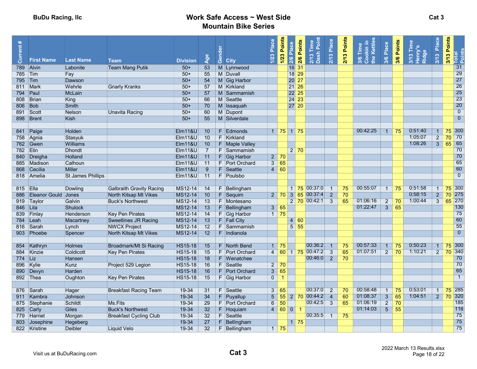| $\ast$<br>Current |                     |                          |                                 |                                  |                | $\overline{a}$<br>혼 |                               | Place          | Points            | 2/6 Points<br>2/6 Place    | 2/13 Time<br>Dash Poin | Place          | 2/13 Points | <b>xkin in</b><br>Kettles<br>3/6 Time<br>Cookin ir<br>the Kettle | Place                            | 3/6 Points      | 3/13 Time<br>Henry's<br>Ridge | Place               | 3/13 Points       | Total<br>Points      |
|-------------------|---------------------|--------------------------|---------------------------------|----------------------------------|----------------|---------------------|-------------------------------|----------------|-------------------|----------------------------|------------------------|----------------|-------------|------------------------------------------------------------------|----------------------------------|-----------------|-------------------------------|---------------------|-------------------|----------------------|
|                   | <b>First Name</b>   | <b>Last Name</b>         | Team                            | <b>Division</b>                  | Age            | ලී                  | <b>City</b>                   | 1/23           | 1/23              |                            |                        | $2/13$         |             |                                                                  | 3/6                              |                 |                               | 3/13                |                   |                      |
| 789 Alvin         |                     | Labonite                 | <b>Team Mang Putik</b>          | $50+$                            | 53             |                     | M Lynnwood                    |                |                   | $16\overline{31}$          |                        |                |             |                                                                  |                                  |                 |                               |                     |                   | 31                   |
| 785 Tim           |                     | Fay                      |                                 | $50+$                            | 55             |                     | M Duvall                      |                |                   | 18 29                      |                        |                |             |                                                                  |                                  |                 |                               |                     |                   | 29                   |
| 795   Tim         |                     | Dawson                   |                                 | $50+$                            | 54             |                     | M Gig Harbor                  |                |                   | 20 27                      |                        |                |             |                                                                  |                                  |                 |                               |                     |                   | 27                   |
|                   | 811 Mark            | Wehrle                   | <b>Gnarly Kranks</b>            | $50+$                            | 57             |                     | M Kirkland                    |                |                   | 21 26                      |                        |                |             |                                                                  |                                  |                 |                               |                     |                   | 26                   |
| 794 Paul          |                     | McLain                   |                                 | $50+$                            | 57             |                     | M Sammamish                   |                |                   | 22 25                      |                        |                |             |                                                                  |                                  |                 |                               |                     |                   | 25                   |
|                   | 808 Brian           | King                     |                                 | $50+$                            | 66             |                     | M Seattle                     |                |                   | 24 23                      |                        |                |             |                                                                  |                                  |                 |                               |                     |                   | 23                   |
| 806               | Bob                 | <b>Smith</b>             |                                 | $50+$                            | 70             |                     | M Issaguah                    |                |                   | 27 20                      |                        |                |             |                                                                  |                                  |                 |                               |                     |                   | 20                   |
|                   | 891 Scott           | Nelson                   | <b>Unavita Racing</b>           | $50+$                            | 60             |                     | M Dupont                      |                |                   |                            |                        |                |             |                                                                  |                                  |                 |                               |                     |                   | $\overline{0}$       |
|                   | 898 Brent           | Kish                     |                                 | $50+$                            | 55             |                     | M Silverdale                  |                |                   |                            |                        |                |             |                                                                  |                                  |                 |                               |                     |                   | $\overline{0}$       |
|                   |                     |                          |                                 |                                  |                |                     |                               |                |                   |                            |                        |                |             |                                                                  |                                  |                 |                               |                     |                   |                      |
|                   | 841 Paige           | Holden                   |                                 | <b>Elm11&amp;U</b>               | 10             | F.                  | Edmonds                       |                |                   | $1 \mid 75 \mid 1 \mid 75$ |                        |                |             | 00:42:25                                                         | $\overline{1}$                   | 75              | 0:51:40                       | $\mathbf{1}$        | 75                | 300                  |
|                   | 758 Agnia           | Stasyuk                  |                                 | EIm118U                          | 10             |                     | F Kirkland                    |                |                   |                            |                        |                |             |                                                                  |                                  |                 | 1:05:07                       | $\overline{2}$      | 70                | 70                   |
|                   | 762 Gwen            | <b>Williams</b>          |                                 | $E$ lm11&U                       | 10             |                     | F Maple Valley                |                |                   |                            |                        |                |             |                                                                  |                                  |                 | 1:08:26                       | $\overline{3}$      | 65                | 65                   |
| 782 Elin          |                     | <b>Dhondt</b>            |                                 | Elm11&U                          | $\overline{7}$ |                     | F Sammamish                   |                |                   | $2 \overline{70}$          |                        |                |             |                                                                  |                                  |                 |                               |                     |                   | 70                   |
|                   | 840 Dreigha         | <b>Holland</b>           |                                 | <b>Elm11&amp;U</b>               | 11             |                     | F Gig Harbor                  |                | $2 \mid 70$       |                            |                        |                |             |                                                                  |                                  |                 |                               |                     |                   | 70                   |
|                   | 885 Madison         | Calhoun                  |                                 | <b>Elm11&amp;U</b>               | 11             |                     | F Port Orchard                | $\overline{3}$ | 65                |                            |                        |                |             |                                                                  |                                  |                 |                               |                     |                   | 65                   |
|                   | 868 Cecilia         | <b>Miller</b>            |                                 | <b>Elm11&amp;U</b>               | 9              | F.                  | Seattle                       |                | $4 \overline{60}$ |                            |                        |                |             |                                                                  |                                  |                 |                               |                     |                   | 60                   |
|                   | 818 Amelia          | <b>St James Phillips</b> |                                 | EIM118U                          | 11             |                     | F Poulsbo                     |                |                   |                            |                        |                |             |                                                                  |                                  |                 |                               |                     |                   | $\overline{0}$       |
|                   |                     |                          |                                 |                                  |                |                     |                               |                |                   |                            |                        |                |             |                                                                  |                                  |                 |                               |                     |                   |                      |
| 815 Ella          |                     | Dowling                  | <b>Galbraith Gravity Racing</b> | MS12-14                          | 14             | F.                  | Bellingham                    |                |                   | $1 \overline{75}$          | 00:37:0                |                | 75          | 00:55:07                                                         | $\mathbf{1}$                     | 75              | 0:51:58                       | $\mathbf{1}$        | 75                | 300                  |
| 886               | Eleanor Gould Jones |                          | North Kitsap Mt Vikes           | MS12-14                          | 10             |                     | $F$ Sequim                    | $\overline{2}$ |                   | 70 3 65                    | 00:37:4                | $\overline{2}$ | 70          |                                                                  |                                  |                 | 0:58:15                       | $\overline{2}$      | 70                | 275                  |
|                   | 919 Taylor          | Galvin                   | <b>Buck's Northwest</b>         | MS12-14                          | 13             |                     | F Montesano                   |                |                   |                            | 2 70 00:42:1           | $\overline{3}$ | 65          | 01:06:16                                                         | $\overline{2}$                   | $\overline{70}$ | 1:00:44                       | $\overline{3}$      | 65                | 270                  |
| 846 Lila          |                     | <b>Shulock</b>           |                                 | MS12-14                          | 13             |                     | F Bellingham                  |                | 3   65            |                            |                        |                |             | 01:22:47                                                         | $\overline{3}$                   | 65              |                               |                     |                   | 130                  |
|                   | 839 Finlay          | Henderson                | <b>Key Pen Pirates</b>          | MS12-14                          | 14             |                     | F Gig Harbor                  |                | $1$ 75            |                            |                        |                |             |                                                                  |                                  |                 |                               |                     |                   | 75                   |
|                   | 784 Leah            | Macartney                | <b>Sweetlines JR Racing</b>     | MS12-14                          | 13             |                     | F Fall City                   |                |                   | 4 60                       |                        |                |             |                                                                  |                                  |                 |                               |                     |                   | 60                   |
|                   | 816 Sarah           | Lynch                    | <b>NWCX Project</b>             | MS12-14                          | 12             |                     | F Sammamish                   |                |                   | $5 \overline{55}$          |                        |                |             |                                                                  |                                  |                 |                               |                     |                   | 55<br>$\overline{0}$ |
|                   | 903 Phoebe          | Spencer                  | North Kitsap Mt Vikes           | MS12-14                          | 12             |                     | F Indianola                   |                |                   |                            |                        |                |             |                                                                  |                                  |                 |                               |                     |                   |                      |
|                   |                     |                          |                                 |                                  |                |                     |                               |                |                   |                            | 00:36:2                | $\overline{1}$ |             | 00:57:33                                                         |                                  |                 | 0:50:23                       |                     |                   | 300                  |
|                   | 854 Kathryn         | Holmes<br>Coldicott      | Broadmark/Mt Si Racing          | <b>HS15-18</b>                   | 15             |                     | F North Bend                  |                | $1 \mid 75$       |                            | 4 60 1 75 00:47:2      | $\overline{3}$ | 75<br>65    | 01:07:51                                                         | $\overline{1}$<br>$\overline{2}$ | 75<br>70        | 1:10:21                       | 1<br>$\overline{2}$ | 75<br>70 340      |                      |
| 774 Liz           | 884 Kinzie          | Hansen                   | Key Pen Pirates                 | <b>HS15-18</b><br><b>HS15-18</b> | 15<br>18       |                     | F Port Orchard<br>F Wenatchee |                |                   |                            | 00:46:0                | $\overline{2}$ | 70          |                                                                  |                                  |                 |                               |                     |                   | 70                   |
|                   | 896 Kylie           | Kunz                     | Project 529 Legion              | <b>HS15-18</b>                   | 16             |                     | F Seattle                     |                | $2 \mid 70$       |                            |                        |                |             |                                                                  |                                  |                 |                               |                     |                   | 70                   |
|                   | 890 Devyn           | Harden                   |                                 | <b>HS15-18</b>                   | 16             |                     | F Port Orchard                | 3              | 65                |                            |                        |                |             |                                                                  |                                  |                 |                               |                     |                   | 65                   |
|                   | 892 Thea            | Oughton                  | <b>Key Pen Pirates</b>          | <b>HS15-18</b>                   | 15             |                     | F Gig Harbor                  | $\mathbf{0}$   |                   |                            |                        |                |             |                                                                  |                                  |                 |                               |                     |                   | $\overline{1}$       |
|                   |                     |                          |                                 |                                  |                |                     |                               |                |                   |                            |                        |                |             |                                                                  |                                  |                 |                               |                     |                   |                      |
|                   | 876 Sarah           | Hager                    | <b>Breakfast Racing Team</b>    | 19-34                            | 31             |                     | F Seattle                     | $\overline{3}$ | 65                |                            | 00:37:0                | $\overline{2}$ | 70          | 00:58:48                                                         | $\overline{1}$                   | 75              | 0:53:01                       | $\mathbf{1}$        | 75                | 285                  |
| 911               | Kambra              | Johnson                  |                                 | 19-34                            | 34             | F.                  | Puyallup                      | $\overline{5}$ |                   |                            | 55 2 70 00:44:2        | $\overline{4}$ | 60          | 01:08:37                                                         | $\overline{3}$                   | 65              | 1:04:51                       |                     | $2 \overline{70}$ | 320                  |
|                   | 875 Stephanie       | Schildt                  | Ms.Fits                         | 19-34                            | 29             |                     | F Port Orchard                | 6              | 50                |                            | 00:42:5                | $\overline{3}$ | 65          | 01:06:19                                                         | $\overline{2}$                   | $\overline{70}$ |                               |                     |                   | 185                  |
|                   | 825 Carly           | <b>Giles</b>             | <b>Buck's Northwest</b>         | 19-34                            | 32             |                     | F Hoquiam                     | $\overline{4}$ | 60 0              |                            |                        |                |             | 01:14:03                                                         | $5\overline{)}$                  | 55              |                               |                     |                   | 116                  |
|                   | 779 Harriet         | Morgan                   | <b>Breakfast Cycling Club</b>   | 19-34                            | 32             |                     | F Seattle                     |                |                   |                            | 00:35:5                | $\mathbf{1}$   | 75          |                                                                  |                                  |                 |                               |                     |                   | 75                   |
| 803               | Josephine           | Hegeberg                 |                                 | 19-34                            | 27             | F.                  | Bellingham                    |                |                   | $1 \overline{75}$          |                        |                |             |                                                                  |                                  |                 |                               |                     |                   | 75                   |
|                   | 822 Kristine        | <b>Deibler</b>           | Liquid Velo                     | 19-34                            | 32             |                     | F Bellingham                  |                | $1 \mid 75$       |                            |                        |                |             |                                                                  |                                  |                 |                               |                     |                   | 75                   |
|                   |                     |                          |                                 |                                  |                |                     |                               |                |                   |                            |                        |                |             |                                                                  |                                  |                 |                               |                     |                   |                      |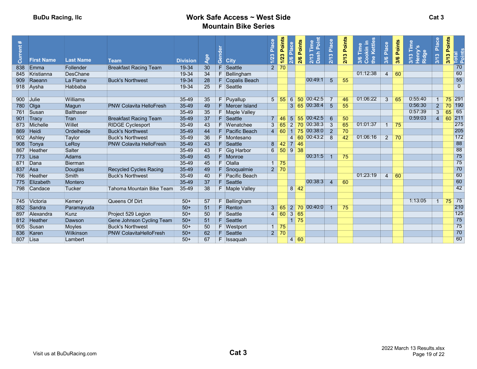| rent<br>ទី | <b>First Name</b> | <b>Last Name</b> | <b>Team</b>                    | <b>Division</b> | Age | රී<br><b>City</b> | Place<br>1/23  | Points<br>Place<br>1/23<br>2/6 | Points<br>2/6        | Ē,<br>$\Delta$<br>$\infty$<br>$\sum_{n=1}^{\infty}$ | 2/13 Place      | Points<br>2/13 | <b>Cettle</b><br>c.<br>Time<br>e.<br>3/6 | Place<br>3/6   | Points<br>3/6     | ēp<br>∾<br>$\frac{2}{3}$ | Place<br>$\infty$<br>$\frac{3}{12}$ | 3/13 Points | Total<br>Points |
|------------|-------------------|------------------|--------------------------------|-----------------|-----|-------------------|----------------|--------------------------------|----------------------|-----------------------------------------------------|-----------------|----------------|------------------------------------------|----------------|-------------------|--------------------------|-------------------------------------|-------------|-----------------|
| 838        | Emma              | Follender        | <b>Breakfast Racing Team</b>   | 19-34           | 30  | F<br>Seattle      | $\overline{2}$ | 70                             |                      |                                                     |                 |                |                                          |                |                   |                          |                                     |             | 70              |
| 845        | Kristianna        | <b>DesChane</b>  |                                | 19-34           | 34  | Bellingham        |                |                                |                      |                                                     |                 |                | 01:12:38                                 | $\overline{4}$ | 60                |                          |                                     |             | 60              |
| 909        | Raeann            | La Flame         | <b>Buck's Northwest</b>        | 19-34           | 28  | F Copalis Beach   |                |                                |                      | 00:49:1                                             | $5\overline{)}$ | 55             |                                          |                |                   |                          |                                     |             | 55              |
|            | 918 Aysha         | Habbaba          |                                | $19 - 34$       | 25  | F.<br>Seattle     |                |                                |                      |                                                     |                 |                |                                          |                |                   |                          |                                     |             | $\overline{0}$  |
|            |                   |                  |                                |                 |     |                   |                |                                |                      |                                                     |                 |                |                                          |                |                   |                          |                                     |             |                 |
|            | 900 Julie         | Williams         |                                | $35 - 49$       | 35  | $F$ Puyallup      | 5 <sup>5</sup> | 55                             | 6<br>50              | 00:42:5                                             |                 | 46             | 01:06:22                                 | $\overline{3}$ | 65                | 0:55:40                  |                                     | 75          | 291             |
|            | 780 Olga          | Magun            | <b>PNW Colavita HelloFresh</b> | 35-49           | 49  | F Mercer Island   |                |                                |                      | $3 \t65 \t00.38.4$                                  | 5               | 55             |                                          |                |                   | 0:56:30                  | $\overline{2}$                      |             | 70 190          |
| 761        | Susan             | <b>Balthaser</b> |                                | $35 - 49$       | 35  | F Maple Valley    |                |                                |                      |                                                     |                 |                |                                          |                |                   | 0:57:39                  | $\overline{3}$                      | 65          | 65              |
| 901        | Tracy             | Tran             | <b>Breakfast Racing Team</b>   | $35 - 49$       | 37  | Seattle           | $\overline{7}$ | 46                             | 5 <sup>1</sup>       | 55 00:42:5                                          | 6               | 50             |                                          |                |                   | 0:59:03                  | $\overline{4}$                      | 60          | 211             |
|            | 873 Michelle      | Willet           | <b>RIDGE Cyclesport</b>        | $35 - 49$       | 43  | F Wenatchee       | 3              | 65                             | $2 \overline{70}$    | 00:38:3                                             | 3               | 65             | 01:01:37                                 |                | $1 \overline{75}$ |                          |                                     |             | 275             |
| 869        | Heidi             | Ordelheide       | <b>Buck's Northwest</b>        | 35-49           | 44  | F Pacific Beach   | $\overline{4}$ | 60                             | $1 \overline{75}$    | 00:38:0                                             | $\overline{2}$  | 70             |                                          |                |                   |                          |                                     |             | 205             |
|            | 902 Ashley        | Taylor           | <b>Buck's Northwest</b>        | $35 - 49$       | 36  | F Montesano       |                |                                |                      | 4 60 00:43:2                                        | -8              | 42             | 01:06:16                                 |                | $2 \mid 70$       |                          |                                     |             | 172             |
|            | 908 Tonya         | LeRoy            | <b>PNW Colavita HelloFresh</b> | 35-49           | 43  | $F$ Seattle       | 8              | 42                             | $7 \overline{46}$    |                                                     |                 |                |                                          |                |                   |                          |                                     |             | 88              |
|            | 867 Heather       | Salter           |                                | 35-49           | 43  | F Gig Harbor      | 6              | 50                             | $9 \mid 38$          |                                                     |                 |                |                                          |                |                   |                          |                                     |             | 88              |
|            | 773 Lisa          | <b>Adams</b>     |                                | $35 - 49$       | 45  | F Monroe          |                |                                |                      | 00:31:5                                             |                 | 75             |                                          |                |                   |                          |                                     |             | 75              |
|            | 871 Dana          | <b>Bierman</b>   |                                | $35 - 49$       | 45  | F Olalla          |                | $1 \mid 75$                    |                      |                                                     |                 |                |                                          |                |                   |                          |                                     |             | 75              |
|            | 837 Asa           | Douglas          | <b>Recycled Cycles Racing</b>  | $35 - 49$       | 49  | F Snoqualmie      |                | $2 \mid 70$                    |                      |                                                     |                 |                |                                          |                |                   |                          |                                     |             | 70              |
| 766        | Heather           | <b>Smith</b>     | <b>Buck's Northwest</b>        | $35 - 49$       | 40  | F Pacific Beach   |                |                                |                      |                                                     |                 |                | 01:23:19                                 | $\overline{4}$ | 60                |                          |                                     |             | 60              |
| 775        | Elizabeth         | Montero          |                                | $35 - 49$       | 37  | $F$ Seattle       |                |                                |                      | 00:38:3                                             | $\overline{4}$  | 60             |                                          |                |                   |                          |                                     |             | 60              |
|            | 798 Candace       | <b>Tucker</b>    | Tahoma Mountain Bike Team      | $35 - 49$       | 38  | F Maple Valley    |                |                                | $8 \overline{)42}$   |                                                     |                 |                |                                          |                |                   |                          |                                     |             | 42              |
|            |                   |                  |                                |                 |     |                   |                |                                |                      |                                                     |                 |                |                                          |                |                   |                          |                                     |             |                 |
|            | 745 Victoria      | Kemery           | Queens Of Dirt                 | $50+$           | 57  | F.<br>Bellingham  |                |                                |                      |                                                     |                 |                |                                          |                |                   | 1:13:05                  |                                     | 75          | 75              |
|            | 852 Sandra        | Paramayuda       |                                | $50+$           | 51  | F.<br>Renton      | 3 <sup>1</sup> | 65                             |                      | $2 \overline{70} \overline{00:40:0}$                |                 | 75             |                                          |                |                   |                          |                                     |             | 210             |
| 897        | Alexandra         | <b>Kunz</b>      | Project 529 Legion             | $50+$           | 50  | Seattle<br>F.     | $\overline{4}$ | 60                             | $\overline{3}$<br>65 |                                                     |                 |                |                                          |                |                   |                          |                                     |             | 125             |
|            | 812 Heather       | Dawson           | Gene Johnson Cycling Team      | $50+$           | 51  | F Seattle         |                |                                | $1 \overline{75}$    |                                                     |                 |                |                                          |                |                   |                          |                                     |             | 75              |
| 905        | Susan             | Moyles           | <b>Buck's Northwest</b>        | $50+$           | 50  | F Westport        | $\mathbf{1}$   | 75                             |                      |                                                     |                 |                |                                          |                |                   |                          |                                     |             | 75              |
| 836        | Karen             | <b>Wilkinson</b> | <b>PNW ColavitaHelloFresh</b>  | $50+$           | 62  | F Seattle         |                | $2 \mid 70$                    |                      |                                                     |                 |                |                                          |                |                   |                          |                                     |             | 70              |
|            | 807 Lisa          | Lambert          |                                | $50+$           | 67  | F Issaquah        |                |                                | 4 60                 |                                                     |                 |                |                                          |                |                   |                          |                                     |             | 60              |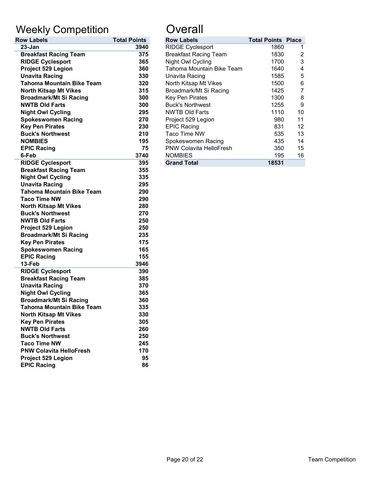# Weekly Competition **Constanting Constant**

| <b>Row Labels</b>                | <b>Total Points</b> | <b>Row Labels</b>            | <b>Total Points</b> |
|----------------------------------|---------------------|------------------------------|---------------------|
| 23-Jan                           | 3940                | <b>RIDGE Cyclesport</b>      | 1860                |
| <b>Breakfast Racing Team</b>     | 375                 | <b>Breakfast Racing Team</b> | 1830                |
| <b>RIDGE Cyclesport</b>          | 365                 | Night Owl Cycling            | 1700                |
| Project 529 Legion               | 360                 | Tahoma Mountain Bike Team    | 1640                |
| <b>Unavita Racing</b>            | 330                 | Unavita Racing               | 1585                |
| <b>Tahoma Mountain Bike Team</b> | 320                 | North Kitsap Mt Vikes        | 1500                |
| <b>North Kitsap Mt Vikes</b>     | 315                 | Broadmark/Mt Si Racing       | 1425                |
| <b>Broadmark/Mt Si Racing</b>    | 300                 | Key Pen Pirates              | 1300                |
| <b>NWTB Old Farts</b>            | 300                 | <b>Buck's Northwest</b>      | 1255                |
| <b>Night Owl Cycling</b>         | 295                 | <b>NWTB Old Farts</b>        | 1110                |
| <b>Spokeswomen Racing</b>        | 270                 | Project 529 Legion           | 980                 |
| <b>Key Pen Pirates</b>           | 230                 | <b>EPIC Racing</b>           | 831                 |
| <b>Buck's Northwest</b>          | 210                 | Taco Time NW                 | 535                 |
| <b>NOMBIES</b>                   | 195                 | Spokeswomen Racing           | 435                 |
| <b>EPIC Racing</b>               | 75                  | PNW Colavita HelloFresh      | 350                 |
| 6-Feb                            | 3740                | <b>NOMBIES</b>               | 195                 |
| <b>RIDGE Cyclesport</b>          | 395                 | <b>Grand Total</b>           | 18531               |
| <b>Breakfast Racing Team</b>     | 355                 |                              |                     |
| <b>Night Owl Cycling</b>         | 335                 |                              |                     |
| <b>Unavita Racing</b>            | 295                 |                              |                     |
| <b>Tahoma Mountain Bike Team</b> | 290                 |                              |                     |
| <b>Taco Time NW</b>              | 290                 |                              |                     |
| <b>North Kitsap Mt Vikes</b>     | 280                 |                              |                     |
| <b>Buck's Northwest</b>          | 270                 |                              |                     |
| <b>NWTB Old Farts</b>            | 250                 |                              |                     |
| Project 529 Legion               | 250                 |                              |                     |
| <b>Broadmark/Mt Si Racing</b>    | 235                 |                              |                     |
| <b>Key Pen Pirates</b>           | 175                 |                              |                     |
| <b>Spokeswomen Racing</b>        | 165                 |                              |                     |
| <b>EPIC Racing</b>               | 155                 |                              |                     |
| 13-Feb                           | 3946                |                              |                     |
| <b>RIDGE Cyclesport</b>          | 390                 |                              |                     |
| <b>Breakfast Racing Team</b>     | 385                 |                              |                     |
| <b>Unavita Racing</b>            | 370                 |                              |                     |
| <b>Night Owl Cycling</b>         | 365                 |                              |                     |
| <b>Broadmark/Mt Si Racing</b>    | 360                 |                              |                     |
| <b>Tahoma Mountain Bike Team</b> | 335                 |                              |                     |
| <b>North Kitsap Mt Vikes</b>     | 330                 |                              |                     |
| <b>Key Pen Pirates</b>           | 305                 |                              |                     |
| <b>NWTB Old Farts</b>            | 260                 |                              |                     |
| <b>Buck's Northwest</b>          | 250                 |                              |                     |
| <b>Taco Time NW</b>              | 245                 |                              |                     |
| <b>PNW Colavita HelloFresh</b>   | 170                 |                              |                     |
| Project 529 Legion               | 95                  |                              |                     |
| <b>EPIC Racing</b>               | 86                  |                              |                     |

| <b>Row Labels</b>                | <b>Total Points</b> | <b>Row Labels</b>              | <b>Total Points Place</b> |    |
|----------------------------------|---------------------|--------------------------------|---------------------------|----|
| $23 - Jan$                       | 3940                | <b>RIDGE Cyclesport</b>        | 1860                      |    |
| <b>Breakfast Racing Team</b>     | 375                 | <b>Breakfast Racing Team</b>   | 1830                      | 2  |
| <b>RIDGE Cyclesport</b>          | 365                 | Night Owl Cycling              | 1700                      | 3  |
| <b>Project 529 Legion</b>        | 360                 | Tahoma Mountain Bike Team      | 1640                      | 4  |
| <b>Unavita Racing</b>            | 330                 | Unavita Racing                 | 1585                      | 5  |
| <b>Tahoma Mountain Bike Team</b> | 320                 | North Kitsap Mt Vikes          | 1500                      | 6  |
| <b>North Kitsap Mt Vikes</b>     | 315                 | Broadmark/Mt Si Racing         | 1425                      |    |
| <b>Broadmark/Mt Si Racing</b>    | 300                 | Key Pen Pirates                | 1300                      | 8  |
| <b>NWTB Old Farts</b>            | 300                 | <b>Buck's Northwest</b>        | 1255                      | 9  |
| <b>Night Owl Cycling</b>         | 295                 | <b>NWTB Old Farts</b>          | 1110                      | 10 |
| <b>Spokeswomen Racing</b>        | 270                 | Project 529 Legion             | 980                       | 11 |
| <b>Key Pen Pirates</b>           | 230                 | <b>EPIC Racing</b>             | 831                       | 12 |
| <b>Buck's Northwest</b>          | 210                 | Taco Time NW                   | 535                       | 13 |
| <b>NOMBIES</b>                   | 195                 | Spokeswomen Racing             | 435                       | 14 |
| <b>EPIC Racing</b>               | 75                  | <b>PNW Colavita HelloFresh</b> | 350                       | 15 |
| 6-Feb                            | 3740                | <b>NOMBIES</b>                 | 195                       | 16 |
| <b>RIDGE Cyclesport</b>          | 395                 | <b>Grand Total</b>             | 18531                     |    |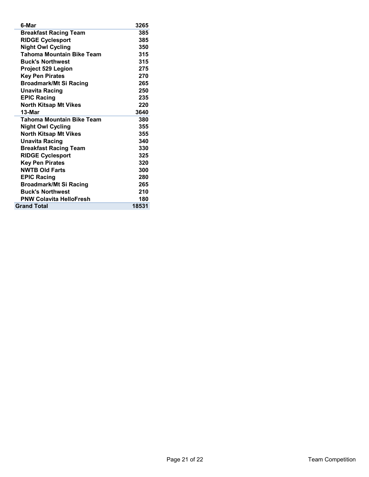| 6-Mar                            | 3265  |
|----------------------------------|-------|
| <b>Breakfast Racing Team</b>     | 385   |
| <b>RIDGE Cyclesport</b>          | 385   |
| <b>Night Owl Cycling</b>         | 350   |
| Tahoma Mountain Bike Team        | 315   |
| <b>Buck's Northwest</b>          | 315   |
| <b>Project 529 Legion</b>        | 275   |
| <b>Key Pen Pirates</b>           | 270   |
| <b>Broadmark/Mt Si Racing</b>    | 265   |
| <b>Unavita Racing</b>            | 250   |
| <b>EPIC Racing</b>               | 235   |
| <b>North Kitsap Mt Vikes</b>     | 220   |
| $13-Mar$                         | 3640  |
| <b>Tahoma Mountain Bike Team</b> | 380   |
| <b>Night Owl Cycling</b>         | 355   |
| <b>North Kitsap Mt Vikes</b>     | 355   |
| <b>Unavita Racing</b>            | 340   |
| <b>Breakfast Racing Team</b>     | 330   |
| <b>RIDGE Cyclesport</b>          | 325   |
| <b>Key Pen Pirates</b>           | 320   |
| <b>NWTB Old Farts</b>            | 300   |
| <b>EPIC Racing</b>               | 280   |
| <b>Broadmark/Mt Si Racing</b>    | 265   |
| <b>Buck's Northwest</b>          | 210   |
| <b>PNW Colavita HelloFresh</b>   | 180   |
| <b>Grand Total</b>               | 18531 |